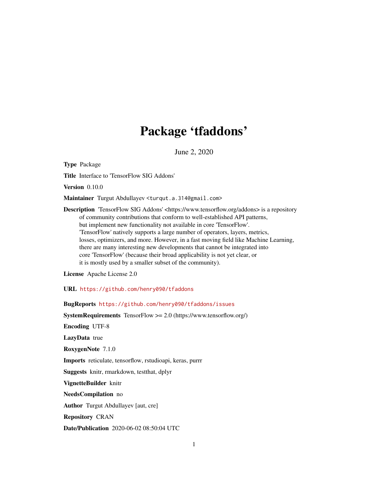# Package 'tfaddons'

June 2, 2020

Type Package

Title Interface to 'TensorFlow SIG Addons'

Version 0.10.0

Maintainer Turgut Abdullayev <turqut.a.314@gmail.com>

Description 'TensorFlow SIG Addons' <https://www.tensorflow.org/addons> is a repository of community contributions that conform to well-established API patterns, but implement new functionality not available in core 'TensorFlow'. 'TensorFlow' natively supports a large number of operators, layers, metrics, losses, optimizers, and more. However, in a fast moving field like Machine Learning, there are many interesting new developments that cannot be integrated into core 'TensorFlow' (because their broad applicability is not yet clear, or it is mostly used by a smaller subset of the community).

License Apache License 2.0

URL <https://github.com/henry090/tfaddons>

BugReports <https://github.com/henry090/tfaddons/issues>

SystemRequirements TensorFlow >= 2.0 (https://www.tensorflow.org/) Encoding UTF-8 LazyData true RoxygenNote 7.1.0 Imports reticulate, tensorflow, rstudioapi, keras, purrr Suggests knitr, rmarkdown, testthat, dplyr VignetteBuilder knitr NeedsCompilation no Author Turgut Abdullayev [aut, cre] Repository CRAN Date/Publication 2020-06-02 08:50:04 UTC 1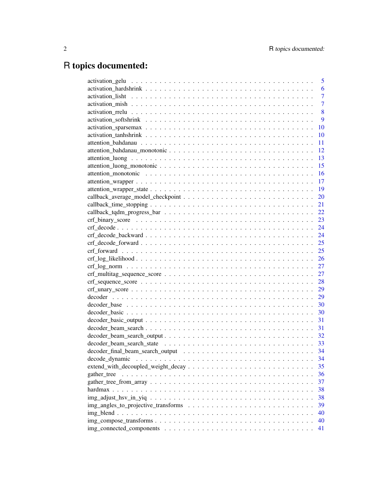# R topics documented:

|                                                                                                    | 5              |
|----------------------------------------------------------------------------------------------------|----------------|
|                                                                                                    | 6              |
|                                                                                                    | $\overline{7}$ |
|                                                                                                    | $\overline{7}$ |
|                                                                                                    | 8              |
|                                                                                                    | 9              |
|                                                                                                    | 10             |
|                                                                                                    | 10             |
|                                                                                                    | 11             |
|                                                                                                    | 12             |
|                                                                                                    | 13             |
|                                                                                                    | 15             |
|                                                                                                    | 16             |
|                                                                                                    | 17             |
|                                                                                                    | 19             |
|                                                                                                    | 20             |
|                                                                                                    | 21             |
|                                                                                                    | 22             |
|                                                                                                    | 23             |
|                                                                                                    | 24             |
|                                                                                                    |                |
|                                                                                                    |                |
|                                                                                                    | 25             |
|                                                                                                    | 26             |
|                                                                                                    | 27             |
|                                                                                                    | 27             |
|                                                                                                    | 28             |
|                                                                                                    | 29             |
|                                                                                                    | 29             |
|                                                                                                    | 30             |
|                                                                                                    | 30             |
|                                                                                                    | 31             |
|                                                                                                    | 31             |
|                                                                                                    | 32             |
|                                                                                                    | 33             |
|                                                                                                    | 34             |
|                                                                                                    | 34             |
|                                                                                                    | 35             |
| gather_tree                                                                                        | 36             |
|                                                                                                    | 37             |
|                                                                                                    | 38             |
| $img\_adjust\_hsv\_in\_yiq \ldots \ldots \ldots \ldots \ldots \ldots \ldots \ldots \ldots \ldots$  | 38             |
|                                                                                                    | 39             |
|                                                                                                    | 40             |
| $img\_composite\_transforms \ldots \ldots \ldots \ldots \ldots \ldots \ldots \ldots \ldots \ldots$ | 40             |
|                                                                                                    | 41             |
|                                                                                                    |                |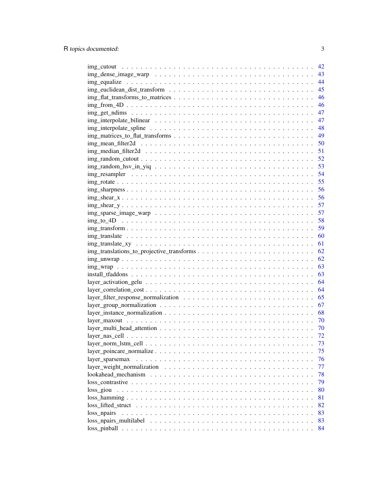|                                                                                                                         | 42 |
|-------------------------------------------------------------------------------------------------------------------------|----|
|                                                                                                                         | 43 |
|                                                                                                                         | 44 |
|                                                                                                                         | 45 |
|                                                                                                                         | 46 |
|                                                                                                                         | 46 |
|                                                                                                                         | 47 |
|                                                                                                                         | 47 |
|                                                                                                                         | 48 |
|                                                                                                                         | 49 |
|                                                                                                                         | 50 |
|                                                                                                                         | 51 |
|                                                                                                                         | 52 |
|                                                                                                                         | 53 |
|                                                                                                                         | 54 |
|                                                                                                                         | 55 |
|                                                                                                                         | 56 |
| img shear $x_1, \ldots, x_n, \ldots, x_n, \ldots, x_n, \ldots, x_n, \ldots, x_n, \ldots, x_n, \ldots, x_n$              | 56 |
|                                                                                                                         | 57 |
|                                                                                                                         | 57 |
|                                                                                                                         | 58 |
| $\text{img\_transform} \dots \dots \dots \dots \dots \dots \dots \dots \dots \dots \dots \dots \dots \dots \dots \dots$ | 59 |
| $img\_translate \dots \dots \dots \dots \dots \dots \dots \dots \dots \dots \dots \dots \dots \dots \dots$              | 60 |
|                                                                                                                         | 61 |
|                                                                                                                         | 62 |
| $img\_unwrap \dots \dots \dots \dots \dots \dots \dots \dots \dots \dots \dots \dots \dots \dots \dots \dots$           | 62 |
|                                                                                                                         | 63 |
|                                                                                                                         | 63 |
|                                                                                                                         | 64 |
|                                                                                                                         | 64 |
|                                                                                                                         | 65 |
|                                                                                                                         | 67 |
|                                                                                                                         | 68 |
|                                                                                                                         | 70 |
|                                                                                                                         | 70 |
|                                                                                                                         | 72 |
|                                                                                                                         | 73 |
|                                                                                                                         | 75 |
| layer_sparsemax                                                                                                         | 76 |
|                                                                                                                         | 77 |
|                                                                                                                         | 78 |
|                                                                                                                         | 79 |
| loss_giou                                                                                                               | 80 |
|                                                                                                                         | 81 |
|                                                                                                                         | 82 |
| loss_npairs                                                                                                             | 83 |
| $loss\_npairs\_multilabel \dots \dots \dots \dots \dots \dots \dots \dots \dots \dots \dots \dots \dots \dots$          | 83 |
|                                                                                                                         | 84 |
|                                                                                                                         |    |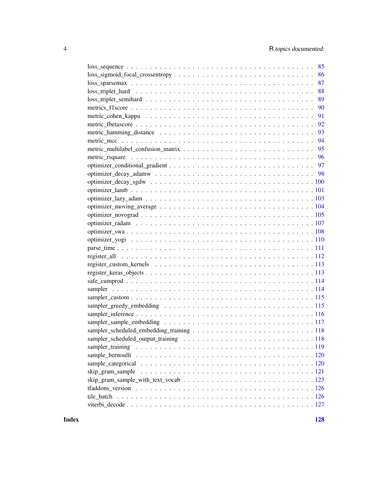| 86                                                                                                                     |
|------------------------------------------------------------------------------------------------------------------------|
| 87<br>$loss_sparsemax \dots \dots \dots \dots \dots \dots \dots \dots \dots \dots \dots \dots \dots \dots \dots \dots$ |
| 88                                                                                                                     |
| 89                                                                                                                     |
| 90                                                                                                                     |
| 91                                                                                                                     |
|                                                                                                                        |
| 93                                                                                                                     |
| 94                                                                                                                     |
| 95                                                                                                                     |
|                                                                                                                        |
|                                                                                                                        |
|                                                                                                                        |
|                                                                                                                        |
|                                                                                                                        |
|                                                                                                                        |
|                                                                                                                        |
|                                                                                                                        |
|                                                                                                                        |
|                                                                                                                        |
|                                                                                                                        |
|                                                                                                                        |
|                                                                                                                        |
|                                                                                                                        |
|                                                                                                                        |
|                                                                                                                        |
|                                                                                                                        |
|                                                                                                                        |
|                                                                                                                        |
|                                                                                                                        |
|                                                                                                                        |
|                                                                                                                        |
|                                                                                                                        |
|                                                                                                                        |
|                                                                                                                        |
|                                                                                                                        |
| skip_gram_sample                                                                                                       |
|                                                                                                                        |
|                                                                                                                        |
|                                                                                                                        |
|                                                                                                                        |

**Index** 2008 **[128](#page-127-0)**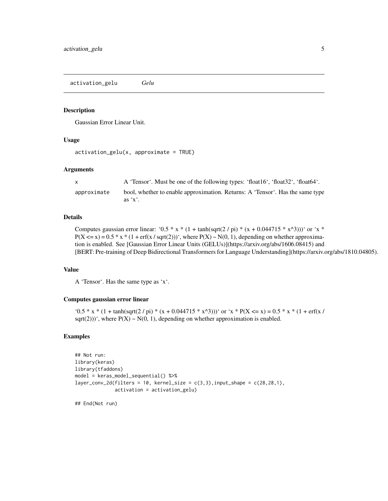<span id="page-4-0"></span>activation\_gelu *Gelu*

#### Description

Gaussian Error Linear Unit.

#### Usage

```
activation\_gelu(x, approximate = TRUE)
```
#### Arguments

| $\mathsf{x}$ | A 'Tensor'. Must be one of the following types: 'float16', 'float32', 'float64'.         |
|--------------|------------------------------------------------------------------------------------------|
| approximate  | bool, whether to enable approximation. Returns: A 'Tensor'. Has the same type<br>as 'x'. |

#### Details

Computes gaussian error linear: '0.5 \* x \* (1 + tanh(sqrt(2 / pi) \* (x + 0.044715 \* x^3)))' or 'x \*  $P(X \le x) = 0.5 * x * (1 + erf(x / sqrt(2)))$ , where  $P(X) \sim N(0, 1)$ , depending on whether approximation is enabled. See [Gaussian Error Linear Units (GELUs)](https://arxiv.org/abs/1606.08415) and [BERT: Pre-training of Deep Bidirectional Transformers for Language Understanding](https://arxiv.org/abs/1810.04805).

# Value

A 'Tensor'. Has the same type as 'x'.

# Computes gaussian error linear

'0.5 \* x \* (1 + tanh(sqrt(2 / pi) \* (x + 0.044715 \* x^3)))' or 'x \* P(X <= x) = 0.5 \* x \* (1 + erf(x / sqrt(2)))', where  $P(X) \sim N(0, 1)$ , depending on whether approximation is enabled.

#### Examples

```
## Not run:
library(keras)
library(tfaddons)
model = keras_model_sequential() %>%
layer_conv_2d(filters = 10, kernel_size = c(3,3), input_shape = c(28,28,1),
              activation = activation_gelu)
```
## End(Not run)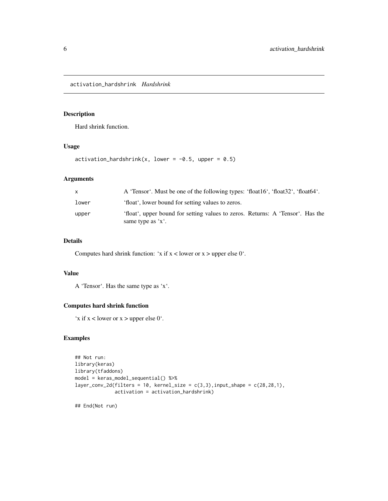<span id="page-5-0"></span>activation\_hardshrink *Hardshrink*

# Description

Hard shrink function.

# Usage

activation\_hardshrink(x, lower =  $-0.5$ , upper = 0.5)

#### Arguments

| $\mathsf{x}$ | A 'Tensor'. Must be one of the following types: 'float16', 'float32', 'float64'.                              |
|--------------|---------------------------------------------------------------------------------------------------------------|
| lower        | 'float', lower bound for setting values to zeros.                                                             |
| upper        | 'float', upper bound for setting values to zeros. Returns: A 'Tensor'. Has the<br>same type as $x^{\prime}$ . |

# Details

Computes hard shrink function: 'x if  $x$  < lower or  $x$  > upper else 0'.

# Value

A 'Tensor'. Has the same type as 'x'.

#### Computes hard shrink function

'x if  $x$  < lower or  $x$  > upper else 0'.

# Examples

```
## Not run:
library(keras)
library(tfaddons)
model = keras_model_sequential() %>%
layer_conv_2d(filters = 10, kernel_size = c(3,3), input_shape = c(28,28,1),
              activation = activation_hardshrink)
## End(Not run)
```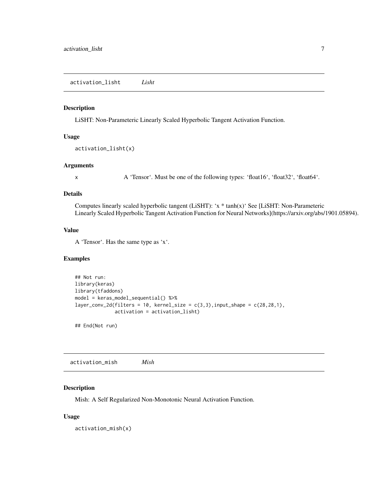<span id="page-6-0"></span>activation\_lisht *Lisht*

#### Description

LiSHT: Non-Parameteric Linearly Scaled Hyperbolic Tangent Activation Function.

#### Usage

```
activation_lisht(x)
```
#### Arguments

x A 'Tensor'. Must be one of the following types: 'float16', 'float32', 'float64'.

#### Details

Computes linearly scaled hyperbolic tangent (LiSHT): 'x \* tanh(x)' See [LiSHT: Non-Parameteric Linearly Scaled Hyperbolic Tangent Activation Function for Neural Networks](https://arxiv.org/abs/1901.05894).

## Value

A 'Tensor'. Has the same type as 'x'.

#### Examples

```
## Not run:
library(keras)
library(tfaddons)
model = keras_model_sequential() %>%
layer_conv_2d(filters = 10, kernel_size = c(3,3), input_shape = c(28,28,1),
              activation = activation_lisht)
```
## End(Not run)

activation\_mish *Mish*

# Description

Mish: A Self Regularized Non-Monotonic Neural Activation Function.

#### Usage

activation\_mish(x)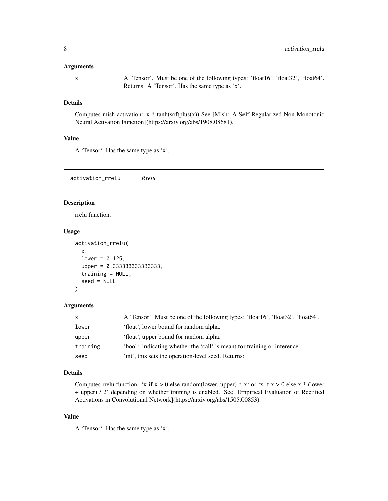#### <span id="page-7-0"></span>Arguments

x A 'Tensor'. Must be one of the following types: 'float16', 'float32', 'float64'. Returns: A 'Tensor'. Has the same type as 'x'.

# Details

Computes mish activation: x \* tanh(softplus(x)) See [Mish: A Self Regularized Non-Monotonic Neural Activation Function](https://arxiv.org/abs/1908.08681).

#### Value

A 'Tensor'. Has the same type as 'x'.

activation\_rrelu *Rrelu*

# Description

rrelu function.

#### Usage

```
activation_rrelu(
 x,
  lower = 0.125,upper = 0.333333333333333,
  training = NULL,
  seed = NULL
)
```
#### Arguments

| $\mathsf{x}$ | A 'Tensor'. Must be one of the following types: 'float16', 'float32', 'float64'. |
|--------------|----------------------------------------------------------------------------------|
| lower        | 'float', lower bound for random alpha.                                           |
| upper        | 'float', upper bound for random alpha.                                           |
| training     | 'bool', indicating whether the 'call' is meant for training or inference.        |
| seed         | 'int', this sets the operation-level seed. Returns:                              |

# Details

Computes rrelu function: 'x if  $x > 0$  else random(lower, upper) \* x ' or 'x if  $x > 0$  else  $x *$  (lower + upper) / 2' depending on whether training is enabled. See [Empirical Evaluation of Rectified Activations in Convolutional Network](https://arxiv.org/abs/1505.00853).

# Value

A 'Tensor'. Has the same type as 'x'.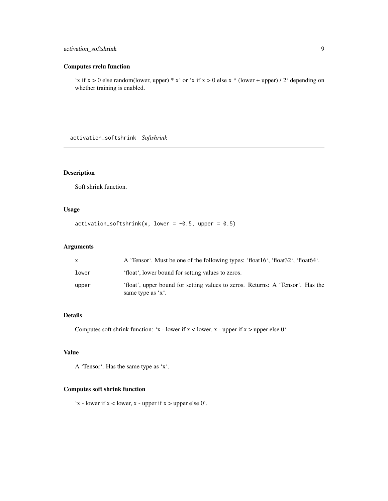# <span id="page-8-0"></span>activation\_softshrink 9

# Computes rrelu function

'x if  $x > 0$  else random(lower, upper) \*  $x'$  or 'x if  $x > 0$  else  $x *$  (lower + upper) / 2' depending on whether training is enabled.

activation\_softshrink *Softshrink*

# Description

Soft shrink function.

# Usage

```
activation\_softshrink(x, lower = -0.5, upper = 0.5)
```
# Arguments

|       | A 'Tensor'. Must be one of the following types: 'float16', 'float32', 'float64'.                              |
|-------|---------------------------------------------------------------------------------------------------------------|
| lower | 'float', lower bound for setting values to zeros.                                                             |
| upper | 'float', upper bound for setting values to zeros. Returns: A 'Tensor'. Has the<br>same type as $x^{\prime}$ . |

# Details

Computes soft shrink function: 'x - lower if  $x$  < lower, x - upper if  $x$  > upper else 0'.

# Value

A 'Tensor'. Has the same type as 'x'.

# Computes soft shrink function

'x - lower if  $x$  < lower,  $x$  - upper if  $x$  > upper else 0'.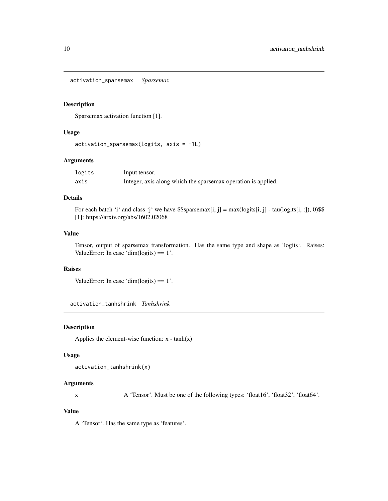<span id="page-9-0"></span>activation\_sparsemax *Sparsemax*

# Description

Sparsemax activation function [1].

# Usage

```
activation_sparsemax(logits, axis = -1L)
```
# Arguments

| logits | Input tensor.                                                 |
|--------|---------------------------------------------------------------|
| axis   | Integer, axis along which the sparsemax operation is applied. |

# Details

For each batch 'i' and class 'j' we have  $$$$ sparsemax[i, j] = max(logits[i, j] - tau(logits[i, :]), 0)\$\$ [1]: https://arxiv.org/abs/1602.02068

# Value

Tensor, output of sparsemax transformation. Has the same type and shape as 'logits'. Raises: ValueError: In case 'dim(logits)  $= 1$ '.

# Raises

ValueError: In case 'dim(logits)  $= 1$ '.

activation\_tanhshrink *Tanhshrink*

# Description

Applies the element-wise function:  $x - tanh(x)$ 

#### Usage

```
activation_tanhshrink(x)
```
# Arguments

x A 'Tensor'. Must be one of the following types: 'float16', 'float32', 'float64'.

# Value

A 'Tensor'. Has the same type as 'features'.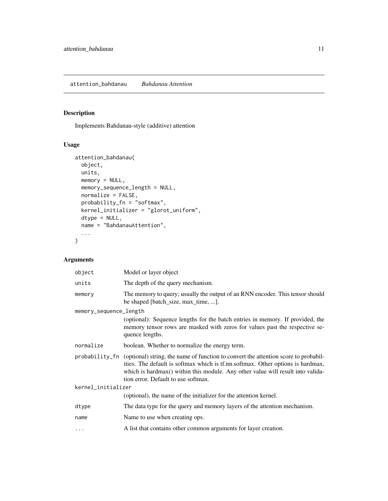# <span id="page-10-0"></span>Description

Implements Bahdanau-style (additive) attention

# Usage

```
attention_bahdanau(
 object,
 units,
 memory = NULL,
 memory_sequence_length = NULL,
 normalize = FALSE,
 probability_fn = "softmax",
 kernel_initializer = "glorot_uniform",
 dtype = NULL,
 name = "BahdanauAttention",
  ...
)
```
# Arguments

| object                 | Model or layer object                                                                                                                                                                                                                                                                                           |  |
|------------------------|-----------------------------------------------------------------------------------------------------------------------------------------------------------------------------------------------------------------------------------------------------------------------------------------------------------------|--|
| units                  | The depth of the query mechanism.                                                                                                                                                                                                                                                                               |  |
| memory                 | The memory to query; usually the output of an RNN encoder. This tensor should<br>be shaped [batch_size, max_time, ].                                                                                                                                                                                            |  |
| memory_sequence_length | (optional): Sequence lengths for the batch entries in memory. If provided, the<br>memory tensor rows are masked with zeros for values past the respective se-<br>quence lengths.                                                                                                                                |  |
| normalize              | boolean. Whether to normalize the energy term.                                                                                                                                                                                                                                                                  |  |
|                        | probability_fn (optional) string, the name of function to convert the attention score to probabil-<br>ities. The default is softmax which is tf.nn.softmax. Other options is hardmax,<br>which is hardmax() within this module. Any other value will result into valida-<br>tion error. Default to use softmax. |  |
| kernel_initializer     |                                                                                                                                                                                                                                                                                                                 |  |
|                        | (optional), the name of the initializer for the attention kernel.                                                                                                                                                                                                                                               |  |
| dtype                  | The data type for the query and memory layers of the attention mechanism.                                                                                                                                                                                                                                       |  |
| name                   | Name to use when creating ops.                                                                                                                                                                                                                                                                                  |  |
| $\ddots$               | A list that contains other common arguments for layer creation.                                                                                                                                                                                                                                                 |  |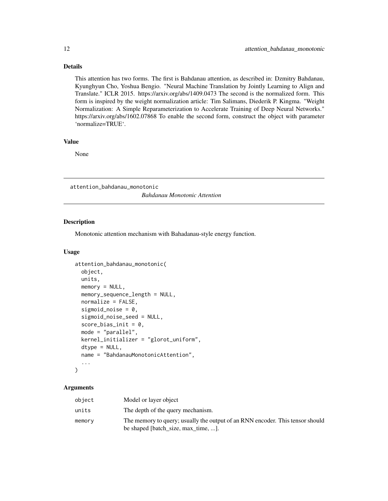# <span id="page-11-0"></span>Details

This attention has two forms. The first is Bahdanau attention, as described in: Dzmitry Bahdanau, Kyunghyun Cho, Yoshua Bengio. "Neural Machine Translation by Jointly Learning to Align and Translate." ICLR 2015. https://arxiv.org/abs/1409.0473 The second is the normalized form. This form is inspired by the weight normalization article: Tim Salimans, Diederik P. Kingma. "Weight Normalization: A Simple Reparameterization to Accelerate Training of Deep Neural Networks." https://arxiv.org/abs/1602.07868 To enable the second form, construct the object with parameter 'normalize=TRUE'.

#### Value

None

attention\_bahdanau\_monotonic *Bahdanau Monotonic Attention*

#### Description

Monotonic attention mechanism with Bahadanau-style energy function.

#### Usage

```
attention_bahdanau_monotonic(
  object,
  units,
 memory = NULL,memory_sequence_length = NULL,
  normalize = FALSE,
  sigmoid_noise = 0,
  sigmoid_noise_seed = NULL,
  score\_bias\_init = 0,
  mode = "parallel",
  kernel_initializer = "glorot_uniform",
  dtype = NULL,
  name = "BahdanauMonotonicAttention",
  ...
)
```
#### **Arguments**

| object | Model or layer object                                                                                                |
|--------|----------------------------------------------------------------------------------------------------------------------|
| units  | The depth of the query mechanism.                                                                                    |
| memory | The memory to query; usually the output of an RNN encoder. This tensor should<br>be shaped [batch_size, max_time, ]. |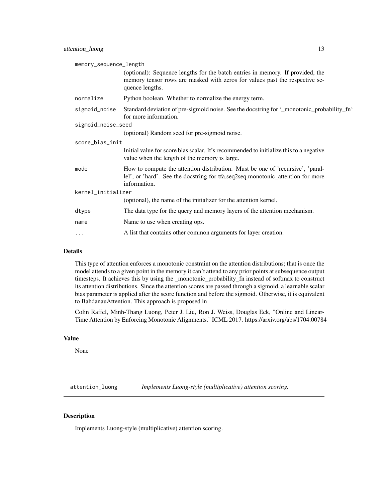<span id="page-12-0"></span>

| memory_sequence_length |                                                                                                                                                                                   |  |
|------------------------|-----------------------------------------------------------------------------------------------------------------------------------------------------------------------------------|--|
|                        | (optional): Sequence lengths for the batch entries in memory. If provided, the<br>memory tensor rows are masked with zeros for values past the respective se-<br>quence lengths.  |  |
| normalize              | Python boolean. Whether to normalize the energy term.                                                                                                                             |  |
| sigmoid_noise          | Standard deviation of pre-sigmoid noise. See the docstring for '_monotonic_probability_fn'<br>for more information.                                                               |  |
| sigmoid_noise_seed     |                                                                                                                                                                                   |  |
|                        | (optional) Random seed for pre-sigmoid noise.                                                                                                                                     |  |
| score_bias_init        |                                                                                                                                                                                   |  |
|                        | Initial value for score bias scalar. It's recommended to initialize this to a negative<br>value when the length of the memory is large.                                           |  |
| mode                   | How to compute the attention distribution. Must be one of 'recursive', 'paral-<br>lel', or 'hard'. See the docstring for tfa.seq2seq.monotonic_attention for more<br>information. |  |
| kernel_initializer     |                                                                                                                                                                                   |  |
|                        | (optional), the name of the initializer for the attention kernel.                                                                                                                 |  |
| dtype                  | The data type for the query and memory layers of the attention mechanism.                                                                                                         |  |
| name                   | Name to use when creating ops.                                                                                                                                                    |  |
| $\cdots$               | A list that contains other common arguments for layer creation.                                                                                                                   |  |

#### Details

This type of attention enforces a monotonic constraint on the attention distributions; that is once the model attends to a given point in the memory it can't attend to any prior points at subsequence output timesteps. It achieves this by using the \_monotonic\_probability\_fn instead of softmax to construct its attention distributions. Since the attention scores are passed through a sigmoid, a learnable scalar bias parameter is applied after the score function and before the sigmoid. Otherwise, it is equivalent to BahdanauAttention. This approach is proposed in

Colin Raffel, Minh-Thang Luong, Peter J. Liu, Ron J. Weiss, Douglas Eck, "Online and Linear-Time Attention by Enforcing Monotonic Alignments." ICML 2017. https://arxiv.org/abs/1704.00784

### Value

None

attention\_luong *Implements Luong-style (multiplicative) attention scoring.*

#### Description

Implements Luong-style (multiplicative) attention scoring.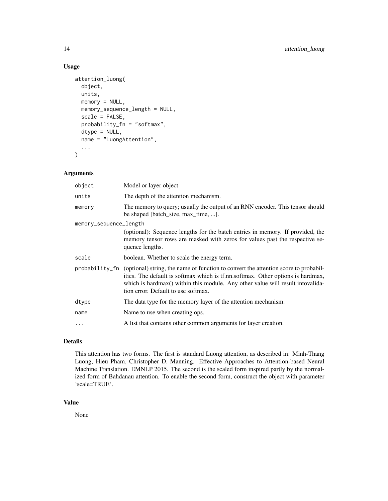# Usage

```
attention_luong(
  object,
  units,
 memory = NULL,memory_sequence_length = NULL,
  scale = FALSE,
  probability_fn = "softmax",
  dtype = NULL,
  name = "LuongAttention",
  ...
\mathcal{L}
```
# Arguments

| object                 | Model or layer object                                                                                                                                                                                                                                                                                          |
|------------------------|----------------------------------------------------------------------------------------------------------------------------------------------------------------------------------------------------------------------------------------------------------------------------------------------------------------|
| units                  | The depth of the attention mechanism.                                                                                                                                                                                                                                                                          |
| memory                 | The memory to query; usually the output of an RNN encoder. This tensor should<br>be shaped [batch_size, max_time, ].                                                                                                                                                                                           |
| memory_sequence_length |                                                                                                                                                                                                                                                                                                                |
|                        | (optional): Sequence lengths for the batch entries in memory. If provided, the<br>memory tensor rows are masked with zeros for values past the respective se-<br>quence lengths.                                                                                                                               |
| scale                  | boolean. Whether to scale the energy term.                                                                                                                                                                                                                                                                     |
|                        | probability_fn (optional) string, the name of function to convert the attention score to probabil-<br>ities. The default is softmax which is tf.nn.softmax. Other options is hardmax,<br>which is hardmax() within this module. Any other value will result intovalida-<br>tion error. Default to use softmax. |
| dtype                  | The data type for the memory layer of the attention mechanism.                                                                                                                                                                                                                                                 |
| name                   | Name to use when creating ops.                                                                                                                                                                                                                                                                                 |
| $\ddots$               | A list that contains other common arguments for layer creation.                                                                                                                                                                                                                                                |

# Details

This attention has two forms. The first is standard Luong attention, as described in: Minh-Thang Luong, Hieu Pham, Christopher D. Manning. Effective Approaches to Attention-based Neural Machine Translation. EMNLP 2015. The second is the scaled form inspired partly by the normalized form of Bahdanau attention. To enable the second form, construct the object with parameter 'scale=TRUE'.

#### Value

None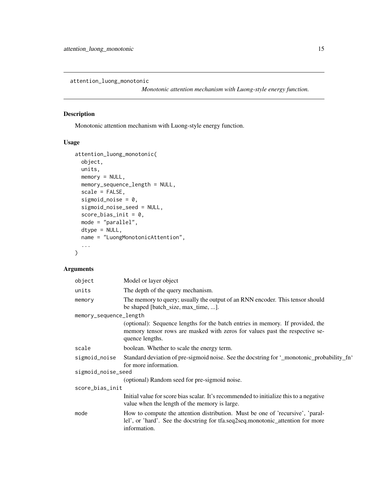<span id="page-14-0"></span>attention\_luong\_monotonic

*Monotonic attention mechanism with Luong-style energy function.*

# Description

Monotonic attention mechanism with Luong-style energy function.

# Usage

```
attention_luong_monotonic(
 object,
 units,
 memory = NULL,
 memory_sequence_length = NULL,
  scale = FALSE,
  sigmoid_noise = 0,
  sigmoid_noise_seed = NULL,
  score\_bias\_init = 0,
 mode = "parallel",
 dtype = NULL,
 name = "LuongMonotonicAttention",
  ...
\mathcal{L}
```
# Arguments

| object                 | Model or layer object                                                                                                                                                             |  |
|------------------------|-----------------------------------------------------------------------------------------------------------------------------------------------------------------------------------|--|
| units                  | The depth of the query mechanism.                                                                                                                                                 |  |
| memory                 | The memory to query; usually the output of an RNN encoder. This tensor should<br>be shaped [batch_size, max_time, ].                                                              |  |
| memory_sequence_length |                                                                                                                                                                                   |  |
|                        | (optional): Sequence lengths for the batch entries in memory. If provided, the<br>memory tensor rows are masked with zeros for values past the respective se-<br>quence lengths.  |  |
| scale                  | boolean. Whether to scale the energy term.                                                                                                                                        |  |
| sigmoid_noise          | Standard deviation of pre-sigmoid noise. See the docstring for '_monotonic_probability_fn'<br>for more information.                                                               |  |
| sigmoid_noise_seed     |                                                                                                                                                                                   |  |
|                        | (optional) Random seed for pre-sigmoid noise.                                                                                                                                     |  |
| score_bias_init        |                                                                                                                                                                                   |  |
|                        | Initial value for score bias scalar. It's recommended to initialize this to a negative<br>value when the length of the memory is large.                                           |  |
| mode                   | How to compute the attention distribution. Must be one of 'recursive', 'paral-<br>lel', or 'hard'. See the docstring for tfa.seq2seq.monotonic_attention for more<br>information. |  |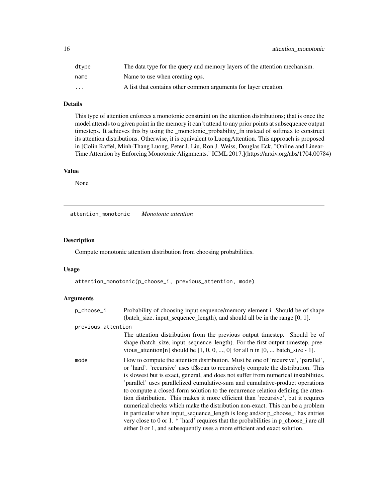<span id="page-15-0"></span>

| dtype    | The data type for the query and memory layers of the attention mechanism. |
|----------|---------------------------------------------------------------------------|
| name     | Name to use when creating ops.                                            |
| $\cdots$ | A list that contains other common arguments for layer creation.           |

# Details

This type of attention enforces a monotonic constraint on the attention distributions; that is once the model attends to a given point in the memory it can't attend to any prior points at subsequence output timesteps. It achieves this by using the \_monotonic\_probability\_fn instead of softmax to construct its attention distributions. Otherwise, it is equivalent to LuongAttention. This approach is proposed in [Colin Raffel, Minh-Thang Luong, Peter J. Liu, Ron J. Weiss, Douglas Eck, "Online and Linear-Time Attention by Enforcing Monotonic Alignments." ICML 2017.](https://arxiv.org/abs/1704.00784)

# Value

None

attention\_monotonic *Monotonic attention*

# Description

Compute monotonic attention distribution from choosing probabilities.

#### Usage

attention\_monotonic(p\_choose\_i, previous\_attention, mode)

#### Arguments

| p_choose_i         | Probability of choosing input sequence/memory element i. Should be of shape<br>(batch_size, input_sequence_length), and should all be in the range [0, 1].                                                                                                                                                                                                                                                                                                                                                                                                                                                                                                                                                                                                                                                                                                          |
|--------------------|---------------------------------------------------------------------------------------------------------------------------------------------------------------------------------------------------------------------------------------------------------------------------------------------------------------------------------------------------------------------------------------------------------------------------------------------------------------------------------------------------------------------------------------------------------------------------------------------------------------------------------------------------------------------------------------------------------------------------------------------------------------------------------------------------------------------------------------------------------------------|
| previous_attention |                                                                                                                                                                                                                                                                                                                                                                                                                                                                                                                                                                                                                                                                                                                                                                                                                                                                     |
|                    | The attention distribution from the previous output timestep. Should be of<br>shape (batch_size, input_sequence_length). For the first output timestep, pree-<br>vious_attention[n] should be $[1, 0, 0, , 0]$ for all n in $[0, $ batch_size - 1].                                                                                                                                                                                                                                                                                                                                                                                                                                                                                                                                                                                                                 |
| mode               | How to compute the attention distribution. Must be one of 'recursive', 'parallel',<br>or 'hard'. 'recursive' uses tf\$scan to recursively compute the distribution. This<br>is slowest but is exact, general, and does not suffer from numerical instabilities.<br>'parallel' uses parallelized cumulative-sum and cumulative-product operations<br>to compute a closed-form solution to the recurrence relation defining the atten-<br>tion distribution. This makes it more efficient than 'recursive', but it requires<br>numerical checks which make the distribution non-exact. This can be a problem<br>in particular when input_sequence_length is long and/or p_choose_i has entries<br>very close to 0 or 1. $*$ 'hard' requires that the probabilities in p_choose_i are all<br>either 0 or 1, and subsequently uses a more efficient and exact solution. |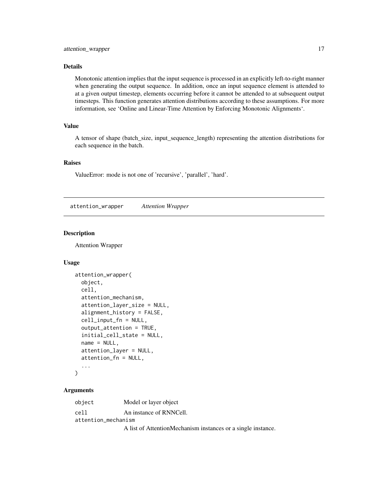#### <span id="page-16-0"></span>Details

Monotonic attention implies that the input sequence is processed in an explicitly left-to-right manner when generating the output sequence. In addition, once an input sequence element is attended to at a given output timestep, elements occurring before it cannot be attended to at subsequent output timesteps. This function generates attention distributions according to these assumptions. For more information, see 'Online and Linear-Time Attention by Enforcing Monotonic Alignments'.

# Value

A tensor of shape (batch\_size, input\_sequence\_length) representing the attention distributions for each sequence in the batch.

# Raises

ValueError: mode is not one of 'recursive', 'parallel', 'hard'.

attention\_wrapper *Attention Wrapper*

#### Description

Attention Wrapper

#### Usage

```
attention_wrapper(
 object,
  cell,
  attention_mechanism,
  attention_layer_size = NULL,
  alignment_history = FALSE,
  cell_input_fn = NULL,
  output_attention = TRUE,
  initial_cell_state = NULL,
  name = NULL,attention_layer = NULL,
  attention_fn = NULL,
  ...
)
```
# Arguments

object Model or layer object cell An instance of RNNCell. attention\_mechanism

A list of AttentionMechanism instances or a single instance.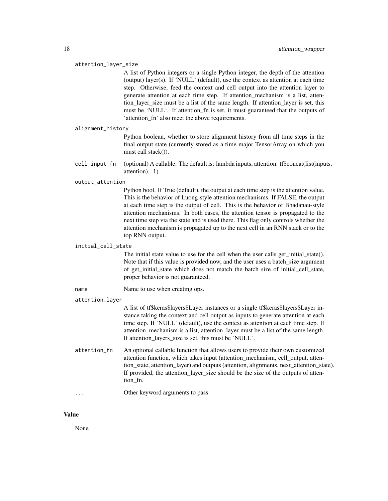#### attention\_layer\_size

A list of Python integers or a single Python integer, the depth of the attention (output) layer(s). If 'NULL' (default), use the context as attention at each time step. Otherwise, feed the context and cell output into the attention layer to generate attention at each time step. If attention\_mechanism is a list, attention\_layer\_size must be a list of the same length. If attention\_layer is set, this must be 'NULL'. If attention\_fn is set, it must guaranteed that the outputs of 'attention\_fn' also meet the above requirements.

#### alignment\_history

Python boolean, whether to store alignment history from all time steps in the final output state (currently stored as a time major TensorArray on which you must call stack()).

cell\_input\_fn (optional) A callable. The default is: lambda inputs, attention: tf\$concat(list(inputs, attention), -1).

#### output\_attention

Python bool. If True (default), the output at each time step is the attention value. This is the behavior of Luong-style attention mechanisms. If FALSE, the output at each time step is the output of cell. This is the behavior of Bhadanau-style attention mechanisms. In both cases, the attention tensor is propagated to the next time step via the state and is used there. This flag only controls whether the attention mechanism is propagated up to the next cell in an RNN stack or to the top RNN output.

#### initial\_cell\_state

The initial state value to use for the cell when the user calls get\_initial\_state(). Note that if this value is provided now, and the user uses a batch size argument of get\_initial\_state which does not match the batch size of initial\_cell\_state, proper behavior is not guaranteed.

#### name Name to use when creating ops.

#### attention\_layer

A list of tf\$keras\$layers\$Layer instances or a single tf\$keras\$layers\$Layer instance taking the context and cell output as inputs to generate attention at each time step. If 'NULL' (default), use the context as attention at each time step. If attention\_mechanism is a list, attention\_layer must be a list of the same length. If attention layers size is set, this must be 'NULL'.

- attention\_fn An optional callable function that allows users to provide their own customized attention function, which takes input (attention\_mechanism, cell\_output, attention\_state, attention\_layer) and outputs (attention, alignments, next\_attention\_state). If provided, the attention\_layer\_size should be the size of the outputs of attention\_fn.
- ... Other keyword arguments to pass

# Value

None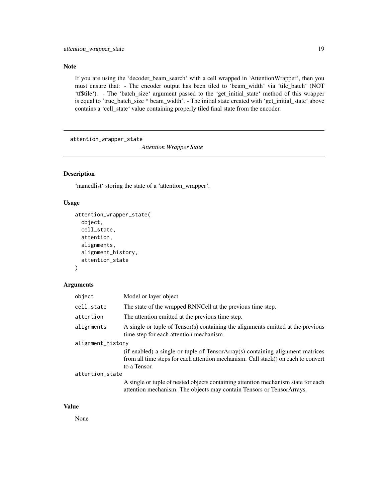#### <span id="page-18-0"></span>Note

If you are using the 'decoder\_beam\_search' with a cell wrapped in 'AttentionWrapper', then you must ensure that: - The encoder output has been tiled to 'beam\_width' via 'tile\_batch' (NOT 'tf\$tile'). - The 'batch\_size' argument passed to the 'get\_initial\_state' method of this wrapper is equal to 'true\_batch\_size \* beam\_width'. - The initial state created with 'get\_initial\_state' above contains a 'cell\_state' value containing properly tiled final state from the encoder.

attention\_wrapper\_state

*Attention Wrapper State*

# Description

'namedlist' storing the state of a 'attention\_wrapper'.

#### Usage

```
attention_wrapper_state(
  object,
  cell_state,
  attention,
  alignments,
  alignment_history,
  attention_state
\mathcal{L}
```
#### Arguments

| object            | Model or layer object                                                                                                                                                               |
|-------------------|-------------------------------------------------------------------------------------------------------------------------------------------------------------------------------------|
| cell_state        | The state of the wrapped RNNCell at the previous time step.                                                                                                                         |
| attention         | The attention emitted at the previous time step.                                                                                                                                    |
| alignments        | A single or tuple of Tensor(s) containing the alignments emitted at the previous<br>time step for each attention mechanism.                                                         |
| alignment_history |                                                                                                                                                                                     |
|                   | (if enabled) a single or tuple of TensorArray(s) containing alignment matrices<br>from all time steps for each attention mechanism. Call stack() on each to convert<br>to a Tensor. |
| attention_state   |                                                                                                                                                                                     |
|                   | A single or tuple of nested objects containing attention mechanism state for each                                                                                                   |

attention mechanism. The objects may contain Tensors or TensorArrays.

# Value

None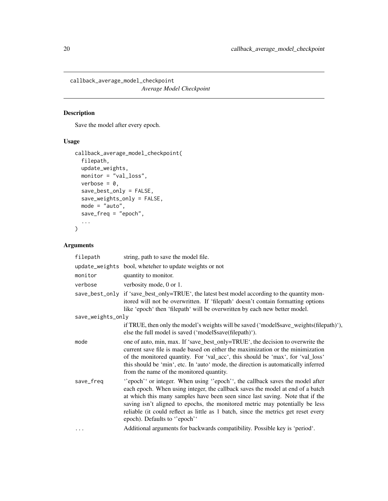<span id="page-19-0"></span>callback\_average\_model\_checkpoint *Average Model Checkpoint*

# Description

Save the model after every epoch.

# Usage

```
callback_average_model_checkpoint(
  filepath,
  update_weights,
  monitor = "val_loss",
  verbose = 0,
  save_best_only = FALSE,
  save_weights_only = FALSE,
  mode = "auto",save_freq = "epoch",
  ...
\mathcal{L}
```
# Arguments

| filepath          | string, path to save the model file.                                                                                                                                                                                                                                                                                                                                                                                                               |
|-------------------|----------------------------------------------------------------------------------------------------------------------------------------------------------------------------------------------------------------------------------------------------------------------------------------------------------------------------------------------------------------------------------------------------------------------------------------------------|
|                   | update_weights bool, wheteher to update weights or not                                                                                                                                                                                                                                                                                                                                                                                             |
| monitor           | quantity to monitor.                                                                                                                                                                                                                                                                                                                                                                                                                               |
| verbose           | verbosity mode, 0 or 1.                                                                                                                                                                                                                                                                                                                                                                                                                            |
|                   | save_best_only if 'save_best_only=TRUE', the latest best model according to the quantity mon-<br>itored will not be overwritten. If 'filepath' doesn't contain formatting options<br>like 'epoch' then 'filepath' will be overwritten by each new better model.                                                                                                                                                                                    |
| save_weights_only |                                                                                                                                                                                                                                                                                                                                                                                                                                                    |
|                   | if TRUE, then only the model's weights will be saved ('model\$save_weights(filepath)'),<br>else the full model is saved ('model\$save(filepath)').                                                                                                                                                                                                                                                                                                 |
| mode              | one of auto, min, max. If 'save_best_only=TRUE', the decision to overwrite the<br>current save file is made based on either the maximization or the minimization<br>of the monitored quantity. For 'val_acc', this should be 'max', for 'val_loss'<br>this should be 'min', etc. In 'auto' mode, the direction is automatically inferred<br>from the name of the monitored quantity.                                                               |
| save_freq         | "epoch" or integer. When using "epoch", the callback saves the model after<br>each epoch. When using integer, the callback saves the model at end of a batch<br>at which this many samples have been seen since last saving. Note that if the<br>saving isn't aligned to epochs, the monitored metric may potentially be less<br>reliable (it could reflect as little as 1 batch, since the metrics get reset every<br>epoch). Defaults to "epoch" |
| $\cdots$          | Additional arguments for backwards compatibility. Possible key is 'period'.                                                                                                                                                                                                                                                                                                                                                                        |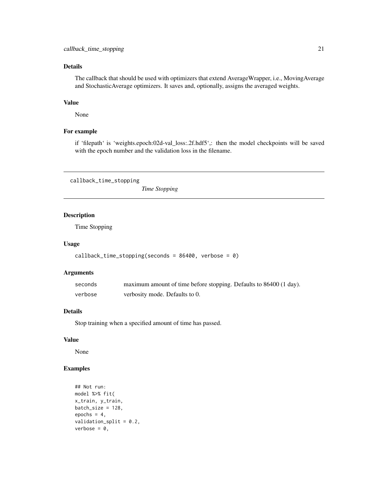# <span id="page-20-0"></span>Details

The callback that should be used with optimizers that extend AverageWrapper, i.e., MovingAverage and StochasticAverage optimizers. It saves and, optionally, assigns the averaged weights.

# Value

None

#### For example

if 'filepath' is 'weights.epoch:02d-val\_loss:.2f.hdf5',: then the model checkpoints will be saved with the epoch number and the validation loss in the filename.

callback\_time\_stopping

*Time Stopping*

# Description

Time Stopping

#### Usage

```
callback_time_stopping(seconds = 86400, verbose = 0)
```
# Arguments

| seconds | maximum amount of time before stopping. Defaults to 86400 (1 day). |
|---------|--------------------------------------------------------------------|
| verbose | verbosity mode. Defaults to 0.                                     |

# Details

Stop training when a specified amount of time has passed.

# Value

None

# Examples

```
## Not run:
model %>% fit(
x_train, y_train,
batch_size = 128,
epochs = 4,validation_split = 0.2,
verbose = 0,
```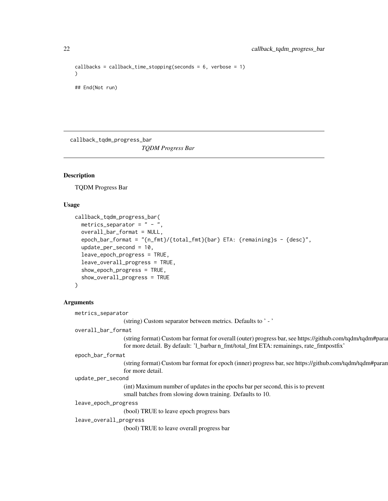```
callbacks = callback_time_stopping(seconds = 6, verbose = 1)
)
## End(Not run)
```
callback\_tqdm\_progress\_bar

*TQDM Progress Bar*

# Description

TQDM Progress Bar

# Usage

```
callback_tqdm_progress_bar(
 metrics_separator = " - ",
 overall_bar_format = NULL,
 epoch_bar_format = "{n_fmt}/{total_fmt}{bar} ETA: {remaining}s - {desc}",
  update_per_second = 10,
  leave_epoch_progress = TRUE,
 leave_overall_progress = TRUE,
  show_epoch_progress = TRUE,
 show_overall_progress = TRUE
)
```
# Arguments

|                        | metrics_separator                                                                                                                                                                                     |  |
|------------------------|-------------------------------------------------------------------------------------------------------------------------------------------------------------------------------------------------------|--|
|                        | (string) Custom separator between metrics. Defaults to '-'                                                                                                                                            |  |
|                        | overall_bar_format                                                                                                                                                                                    |  |
|                        | (string format) Custom bar format for overall (outer) progress bar, see https://github.com/tqdm/tqdm#para<br>for more detail. By default: '1_barbar n_fmt/total_fmt ETA: remainings, rate_fmtpostfix' |  |
|                        | epoch_bar_format                                                                                                                                                                                      |  |
|                        | (string format) Custom bar format for epoch (inner) progress bar, see https://github.com/tqdm/tqdm#paran<br>for more detail.                                                                          |  |
|                        | update_per_second                                                                                                                                                                                     |  |
|                        | (int) Maximum number of updates in the epochs bar per second, this is to prevent<br>small batches from slowing down training. Defaults to 10.                                                         |  |
| leave_epoch_progress   |                                                                                                                                                                                                       |  |
|                        | (bool) TRUE to leave epoch progress bars                                                                                                                                                              |  |
| leave_overall_progress |                                                                                                                                                                                                       |  |
|                        | (bool) TRUE to leave overall progress bar                                                                                                                                                             |  |

<span id="page-21-0"></span>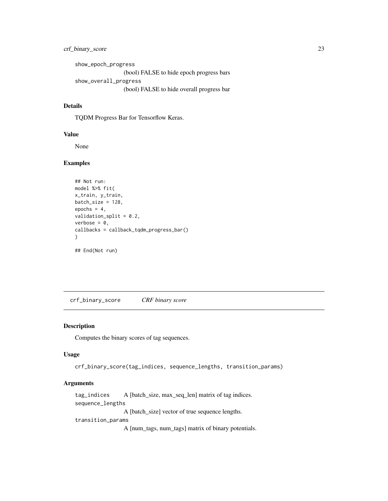# <span id="page-22-0"></span>crf\_binary\_score 23

show\_epoch\_progress (bool) FALSE to hide epoch progress bars show\_overall\_progress (bool) FALSE to hide overall progress bar

# Details

TQDM Progress Bar for Tensorflow Keras.

#### Value

None

## Examples

```
## Not run:
model %>% fit(
x_train, y_train,
batch_size = 128,
epochs = 4,
validation_split = 0.2,
verbose = 0,
callbacks = callback_tqdm_progress_bar()
)
```
## End(Not run)

crf\_binary\_score *CRF binary score*

# Description

Computes the binary scores of tag sequences.

# Usage

crf\_binary\_score(tag\_indices, sequence\_lengths, transition\_params)

# Arguments

tag\_indices A [batch\_size, max\_seq\_len] matrix of tag indices. sequence\_lengths A [batch\_size] vector of true sequence lengths. transition\_params

A [num\_tags, num\_tags] matrix of binary potentials.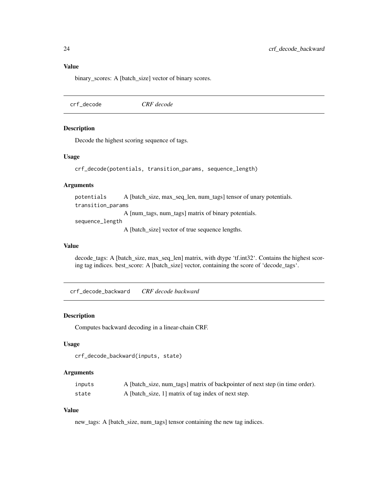# <span id="page-23-0"></span>Value

binary\_scores: A [batch\_size] vector of binary scores.

crf\_decode *CRF decode*

# Description

Decode the highest scoring sequence of tags.

#### Usage

```
crf_decode(potentials, transition_params, sequence_length)
```
#### Arguments

potentials A [batch\_size, max\_seq\_len, num\_tags] tensor of unary potentials. transition\_params A [num\_tags, num\_tags] matrix of binary potentials. sequence\_length

A [batch\_size] vector of true sequence lengths.

# Value

decode\_tags: A [batch\_size, max\_seq\_len] matrix, with dtype 'tf.int32'. Contains the highest scoring tag indices. best\_score: A [batch\_size] vector, containing the score of 'decode\_tags'.

crf\_decode\_backward *CRF decode backward*

#### Description

Computes backward decoding in a linear-chain CRF.

#### Usage

```
crf_decode_backward(inputs, state)
```
# Arguments

| inputs | A [batch_size, num_tags] matrix of backpointer of next step (in time order). |
|--------|------------------------------------------------------------------------------|
| state  | A [batch_size, 1] matrix of tag index of next step.                          |

# Value

new\_tags: A [batch\_size, num\_tags] tensor containing the new tag indices.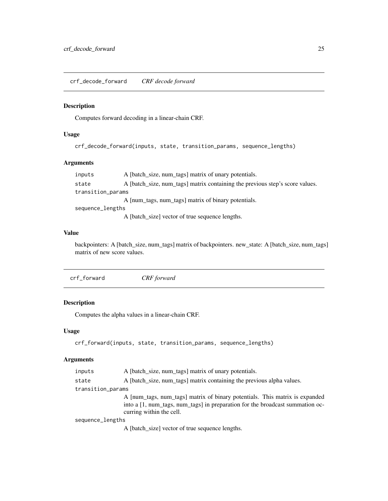<span id="page-24-0"></span>crf\_decode\_forward *CRF decode forward*

# Description

Computes forward decoding in a linear-chain CRF.

#### Usage

crf\_decode\_forward(inputs, state, transition\_params, sequence\_lengths)

# Arguments

| inputs            | A [batch_size, num_tags] matrix of unary potentials.                         |
|-------------------|------------------------------------------------------------------------------|
| state             | A [batch_size, num_tags] matrix containing the previous step's score values. |
| transition_params |                                                                              |
|                   | A [num_tags, num_tags] matrix of binary potentials.                          |
| sequence_lengths  |                                                                              |
|                   | A [batch_size] vector of true sequence lengths.                              |

#### Value

backpointers: A [batch\_size, num\_tags] matrix of backpointers. new\_state: A [batch\_size, num\_tags] matrix of new score values.

crf\_forward *CRF forward*

# Description

Computes the alpha values in a linear-chain CRF.

### Usage

```
crf_forward(inputs, state, transition_params, sequence_lengths)
```
#### Arguments

| inputs            | A [batch_size, num_tags] matrix of unary potentials.                                                                                                                                                                                                                                                           |
|-------------------|----------------------------------------------------------------------------------------------------------------------------------------------------------------------------------------------------------------------------------------------------------------------------------------------------------------|
| state             | A [batch_size, num_tags] matrix containing the previous alpha values.                                                                                                                                                                                                                                          |
| transition_params |                                                                                                                                                                                                                                                                                                                |
|                   | A [num_tags, num_tags] matrix of binary potentials. This matrix is expanded<br>into a [1, num_tags, num_tags] in preparation for the broadcast summation oc-<br>curring within the cell.                                                                                                                       |
| sequence_lengths  |                                                                                                                                                                                                                                                                                                                |
|                   | A $\mathsf{FL}$ and $\mathsf{FL}$ and $\mathsf{FL}$ and $\mathsf{FL}$ are a set of $\mathsf{FL}$ and $\mathsf{FL}$ and $\mathsf{FL}$ and $\mathsf{FL}$ and $\mathsf{FL}$ and $\mathsf{FL}$ and $\mathsf{FL}$ and $\mathsf{FL}$ and $\mathsf{FL}$ and $\mathsf{FL}$ and $\mathsf{FL}$ and $\mathsf{FL}$ and $\$ |

A [batch\_size] vector of true sequence lengths.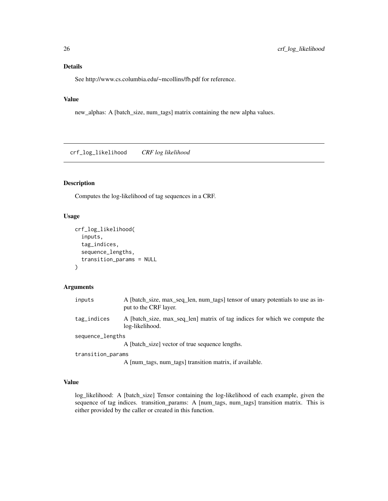# <span id="page-25-0"></span>Details

See http://www.cs.columbia.edu/~mcollins/fb.pdf for reference.

# Value

new\_alphas: A [batch\_size, num\_tags] matrix containing the new alpha values.

crf\_log\_likelihood *CRF log likelihood*

# Description

Computes the log-likelihood of tag sequences in a CRF.

# Usage

```
crf_log_likelihood(
  inputs,
  tag_indices,
  sequence_lengths,
  transition_params = NULL
)
```
#### Arguments

| inputs            | A [batch_size, max_seq_len, num_tags] tensor of unary potentials to use as in-<br>put to the CRF layer.                                                                                                                              |
|-------------------|--------------------------------------------------------------------------------------------------------------------------------------------------------------------------------------------------------------------------------------|
| tag_indices       | A [batch_size, max_seq_len] matrix of tag indices for which we compute the<br>log-likelihood.                                                                                                                                        |
| sequence_lengths  |                                                                                                                                                                                                                                      |
|                   | A [batch size] vector of true sequence lengths.                                                                                                                                                                                      |
| transition_params |                                                                                                                                                                                                                                      |
|                   | $\blacksquare$ . The contract of the contract of the contract of the contract of the contract of the contract of the contract of the contract of the contract of the contract of the contract of the contract of the contract of the |

A [num\_tags, num\_tags] transition matrix, if available.

# Value

log\_likelihood: A [batch\_size] Tensor containing the log-likelihood of each example, given the sequence of tag indices. transition\_params: A [num\_tags, num\_tags] transition matrix. This is either provided by the caller or created in this function.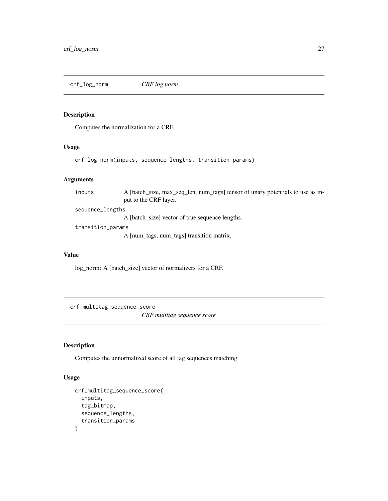<span id="page-26-0"></span>crf\_log\_norm *CRF log norm*

# Description

Computes the normalization for a CRF.

#### Usage

```
crf_log_norm(inputs, sequence_lengths, transition_params)
```
# Arguments

inputs A [batch\_size, max\_seq\_len, num\_tags] tensor of unary potentials to use as input to the CRF layer. sequence\_lengths

A [batch\_size] vector of true sequence lengths.

transition\_params

A [num\_tags, num\_tags] transition matrix.

#### Value

log\_norm: A [batch\_size] vector of normalizers for a CRF.

crf\_multitag\_sequence\_score *CRF multitag sequence score*

# Description

Computes the unnormalized score of all tag sequences matching

#### Usage

```
crf_multitag_sequence_score(
  inputs,
  tag_bitmap,
  sequence_lengths,
  transition_params
\mathcal{E}
```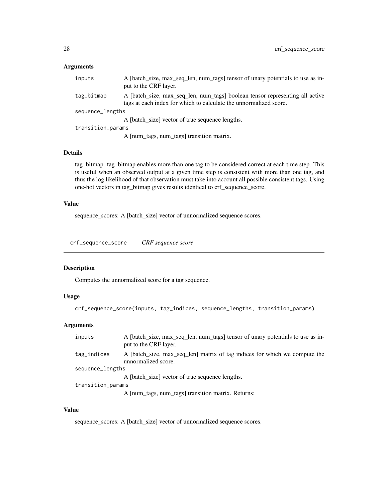### <span id="page-27-0"></span>Arguments

| inputs            | A [batch_size, max_seq_len, num_tags] tensor of unary potentials to use as in-<br>put to the CRF layer.                                           |
|-------------------|---------------------------------------------------------------------------------------------------------------------------------------------------|
| tag_bitmap        | A [batch_size, max_seq_len, num_tags] boolean tensor representing all active<br>tags at each index for which to calculate the unnormalized score. |
| sequence_lengths  |                                                                                                                                                   |
|                   | A [batch size] vector of true sequence lengths.                                                                                                   |
| transition_params |                                                                                                                                                   |
|                   | A [num_tags, num_tags] transition matrix.                                                                                                         |

#### Details

tag\_bitmap. tag\_bitmap enables more than one tag to be considered correct at each time step. This is useful when an observed output at a given time step is consistent with more than one tag, and thus the log likelihood of that observation must take into account all possible consistent tags. Using one-hot vectors in tag\_bitmap gives results identical to crf\_sequence\_score.

#### Value

sequence\_scores: A [batch\_size] vector of unnormalized sequence scores.

crf\_sequence\_score *CRF sequence score*

# Description

Computes the unnormalized score for a tag sequence.

# Usage

```
crf_sequence_score(inputs, tag_indices, sequence_lengths, transition_params)
```
# Arguments

| inputs            | A [batch_size, max_seq_len, num_tags] tensor of unary potentials to use as in-<br>put to the CRF layer. |
|-------------------|---------------------------------------------------------------------------------------------------------|
| tag_indices       | A [batch_size, max_seq_len] matrix of tag indices for which we compute the<br>unnormalized score.       |
| sequence_lengths  |                                                                                                         |
|                   | A [batch size] vector of true sequence lengths.                                                         |
| transition_params |                                                                                                         |
|                   | A [num_tags, num_tags] transition matrix. Returns:                                                      |
|                   |                                                                                                         |

#### Value

sequence\_scores: A [batch\_size] vector of unnormalized sequence scores.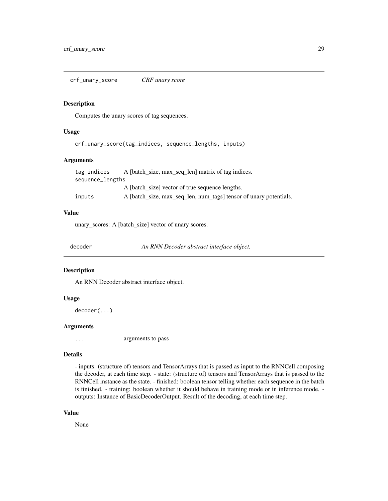<span id="page-28-0"></span>crf\_unary\_score *CRF unary score*

#### Description

Computes the unary scores of tag sequences.

#### Usage

crf\_unary\_score(tag\_indices, sequence\_lengths, inputs)

#### Arguments

| tag_indices      | A [batch_size, max_seq_len] matrix of tag indices.                |
|------------------|-------------------------------------------------------------------|
| sequence_lengths |                                                                   |
|                  | A [batch size] vector of true sequence lengths.                   |
| inputs           | A [batch_size, max_seq_len, num_tags] tensor of unary potentials. |

# Value

unary\_scores: A [batch\_size] vector of unary scores.

decoder *An RNN Decoder abstract interface object.*

#### Description

An RNN Decoder abstract interface object.

#### Usage

decoder(...)

# Arguments

... arguments to pass

#### Details

- inputs: (structure of) tensors and TensorArrays that is passed as input to the RNNCell composing the decoder, at each time step. - state: (structure of) tensors and TensorArrays that is passed to the RNNCell instance as the state. - finished: boolean tensor telling whether each sequence in the batch is finished. - training: boolean whether it should behave in training mode or in inference mode. outputs: Instance of BasicDecoderOutput. Result of the decoding, at each time step.

# Value

None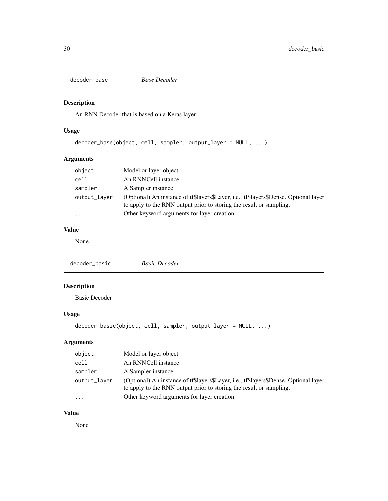<span id="page-29-0"></span>decoder\_base *Base Decoder*

# Description

An RNN Decoder that is based on a Keras layer.

# Usage

```
decoder_base(object, cell, sampler, output_layer = NULL, ...)
```
# Arguments

| object       | Model or layer object                                                                                                                                       |
|--------------|-------------------------------------------------------------------------------------------------------------------------------------------------------------|
| cell         | An RNNCell instance.                                                                                                                                        |
| sampler      | A Sampler instance.                                                                                                                                         |
| output_layer | (Optional) An instance of tf\$layers\$Layer, i.e., tf\$layers\$Dense. Optional layer<br>to apply to the RNN output prior to storing the result or sampling. |
| .            | Other keyword arguments for layer creation.                                                                                                                 |

# Value

None

```
decoder_basic Basic Decoder
```
# Description

Basic Decoder

# Usage

```
decoder_basic(object, cell, sampler, output_layer = NULL, ...)
```
# Arguments

| object       | Model or layer object                                                                                                                                       |
|--------------|-------------------------------------------------------------------------------------------------------------------------------------------------------------|
| cell         | An RNNCell instance.                                                                                                                                        |
| sampler      | A Sampler instance.                                                                                                                                         |
| output_layer | (Optional) An instance of tf\$layers\$Layer, i.e., tf\$layers\$Dense. Optional layer<br>to apply to the RNN output prior to storing the result or sampling. |
| $\cdots$     | Other keyword arguments for layer creation.                                                                                                                 |

# Value

None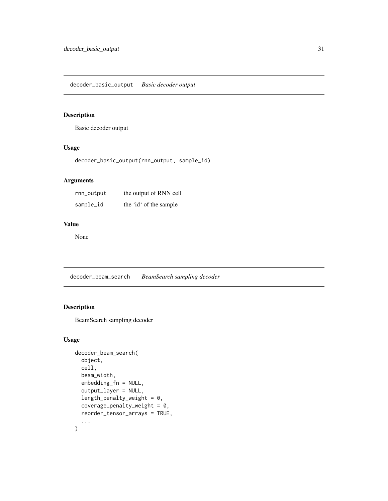# <span id="page-30-0"></span>Description

Basic decoder output

# Usage

decoder\_basic\_output(rnn\_output, sample\_id)

# Arguments

| rnn_output | the output of RNN cell |
|------------|------------------------|
| sample_id  | the 'id' of the sample |

# Value

None

decoder\_beam\_search *BeamSearch sampling decoder*

# Description

BeamSearch sampling decoder

# Usage

```
decoder_beam_search(
  object,
  cell,
  beam_width,
  embedding_fn = NULL,
  output_layer = NULL,
  length_penalty_weight = 0,
  coverage_penalty_weight = 0,
  reorder_tensor_arrays = TRUE,
  ...
\mathcal{L}
```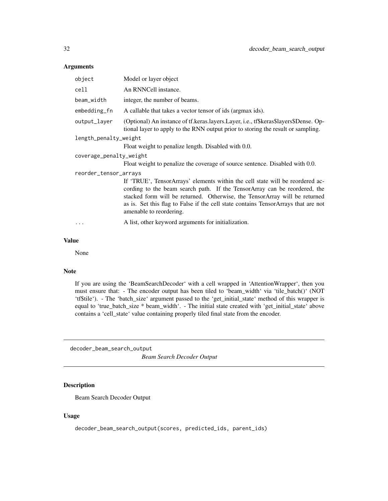# <span id="page-31-0"></span>Arguments

| object                  | Model or layer object                                                                                                                                                                                                                                                                                                                                     |
|-------------------------|-----------------------------------------------------------------------------------------------------------------------------------------------------------------------------------------------------------------------------------------------------------------------------------------------------------------------------------------------------------|
| cell                    | An RNNCell instance.                                                                                                                                                                                                                                                                                                                                      |
| beam_width              | integer, the number of beams.                                                                                                                                                                                                                                                                                                                             |
| embedding_fn            | A callable that takes a vector tensor of ids (argmax ids).                                                                                                                                                                                                                                                                                                |
| output_layer            | (Optional) An instance of tf. keras. layers. Layer, i.e., tf\$keras\$layers\$Dense. Op-<br>tional layer to apply to the RNN output prior to storing the result or sampling.                                                                                                                                                                               |
| length_penalty_weight   |                                                                                                                                                                                                                                                                                                                                                           |
|                         | Float weight to penalize length. Disabled with 0.0.                                                                                                                                                                                                                                                                                                       |
| coverage_penalty_weight |                                                                                                                                                                                                                                                                                                                                                           |
|                         | Float weight to penalize the coverage of source sentence. Disabled with 0.0.                                                                                                                                                                                                                                                                              |
| reorder_tensor_arrays   |                                                                                                                                                                                                                                                                                                                                                           |
|                         | If 'TRUE', TensorArrays' elements within the cell state will be reordered ac-<br>cording to the beam search path. If the TensorArray can be reordered, the<br>stacked form will be returned. Otherwise, the TensorArray will be returned<br>as is. Set this flag to False if the cell state contains TensorArrays that are not<br>amenable to reordering. |
|                         | A list, other keyword arguments for initialization.                                                                                                                                                                                                                                                                                                       |
|                         |                                                                                                                                                                                                                                                                                                                                                           |

# Value

None

# Note

If you are using the 'BeamSearchDecoder' with a cell wrapped in 'AttentionWrapper', then you must ensure that: - The encoder output has been tiled to 'beam\_width' via 'tile\_batch()' (NOT 'tf\$tile'). - The 'batch\_size' argument passed to the 'get\_initial\_state' method of this wrapper is equal to 'true\_batch\_size \* beam\_width'. - The initial state created with 'get\_initial\_state' above contains a 'cell\_state' value containing properly tiled final state from the encoder.

decoder\_beam\_search\_output *Beam Search Decoder Output*

# Description

Beam Search Decoder Output

### Usage

decoder\_beam\_search\_output(scores, predicted\_ids, parent\_ids)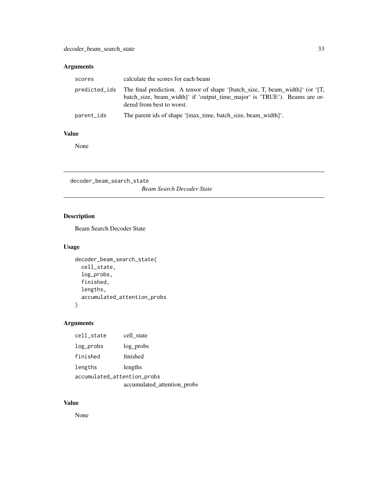# <span id="page-32-0"></span>Arguments

| scores     | calculate the scores for each beam                                                                                                                                                                     |
|------------|--------------------------------------------------------------------------------------------------------------------------------------------------------------------------------------------------------|
|            | predicted_ids The final prediction. A tensor of shape '[batch_size, T, beam_width]' (or '[T,<br>batch_size, beam_width]' if 'output_time_major' is 'TRUE'). Beams are or-<br>dered from best to worst. |
| parent_ids | The parent ids of shape '[max_time, batch_size, beam_width]'.                                                                                                                                          |

#### Value

None

decoder\_beam\_search\_state *Beam Search Decoder State*

# Description

Beam Search Decoder State

# Usage

```
decoder_beam_search_state(
 cell_state,
 log_probs,
 finished,
 lengths,
 accumulated_attention_probs
)
```
# Arguments

| cell_state                  | cell state                  |
|-----------------------------|-----------------------------|
| log_probs                   | log probs                   |
| finished                    | finished                    |
| lengths                     | lengths                     |
| accumulated_attention_probs |                             |
|                             | accumulated_attention_probs |

# Value

None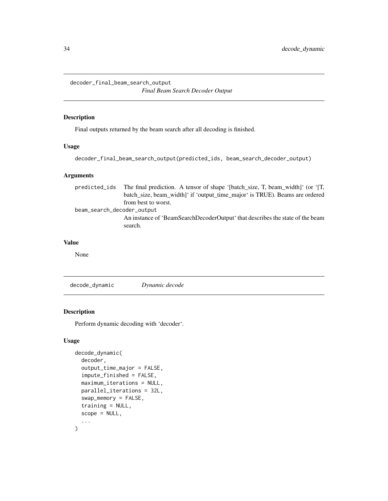<span id="page-33-0"></span>decoder\_final\_beam\_search\_output

*Final Beam Search Decoder Output*

# Description

Final outputs returned by the beam search after all decoding is finished.

# Usage

```
decoder_final_beam_search_output(predicted_ids, beam_search_decoder_output)
```
# Arguments

| predicted ids              | The final prediction. A tensor of shape '[batch_size, T, beam_width]' (or '[T, |
|----------------------------|--------------------------------------------------------------------------------|
|                            | batch_size, beam_width]' if 'output_time_major' is TRUE). Beams are ordered    |
|                            | from best to worst.                                                            |
| beam_search_decoder_output |                                                                                |
|                            | An instance of 'BeamSearchDecoderOutput' that describes the state of the beam  |
|                            | search.                                                                        |

# Value

None

decode\_dynamic *Dynamic decode*

# Description

Perform dynamic decoding with 'decoder'.

# Usage

```
decode_dynamic(
  decoder,
  output_time_major = FALSE,
  impute_finished = FALSE,
  maximum_iterations = NULL,
  parallel_iterations = 32L,
  swap_memory = FALSE,
  training = NULL,
  scope = NULL,
  ...
\mathcal{L}
```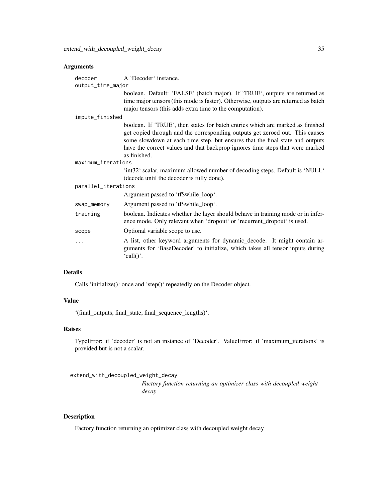# <span id="page-34-0"></span>Arguments

| decoder<br>output_time_major | A 'Decoder' instance.                                                                                                                                                                                                                                                                                                                            |
|------------------------------|--------------------------------------------------------------------------------------------------------------------------------------------------------------------------------------------------------------------------------------------------------------------------------------------------------------------------------------------------|
|                              | boolean. Default: 'FALSE' (batch major). If 'TRUE', outputs are returned as<br>time major tensors (this mode is faster). Otherwise, outputs are returned as batch<br>major tensors (this adds extra time to the computation).                                                                                                                    |
| impute_finished              |                                                                                                                                                                                                                                                                                                                                                  |
|                              | boolean. If 'TRUE', then states for batch entries which are marked as finished<br>get copied through and the corresponding outputs get zeroed out. This causes<br>some slowdown at each time step, but ensures that the final state and outputs<br>have the correct values and that backprop ignores time steps that were marked<br>as finished. |
| maximum_iterations           |                                                                                                                                                                                                                                                                                                                                                  |
|                              | 'int32' scalar, maximum allowed number of decoding steps. Default is 'NULL'<br>(decode until the decoder is fully done).                                                                                                                                                                                                                         |
| parallel_iterations          |                                                                                                                                                                                                                                                                                                                                                  |
|                              | Argument passed to 'tf\$while_loop'.                                                                                                                                                                                                                                                                                                             |
| swap_memory                  | Argument passed to 'tf\$while_loop'.                                                                                                                                                                                                                                                                                                             |
| training                     | boolean. Indicates whether the layer should behave in training mode or in infer-<br>ence mode. Only relevant when 'dropout' or 'recurrent_dropout' is used.                                                                                                                                                                                      |
| scope                        | Optional variable scope to use.                                                                                                                                                                                                                                                                                                                  |
| .                            | A list, other keyword arguments for dynamic_decode. It might contain ar-<br>guments for 'BaseDecoder' to initialize, which takes all tensor inputs during<br>'call()'.                                                                                                                                                                           |

# Details

Calls 'initialize()' once and 'step()' repeatedly on the Decoder object.

# Value

'(final\_outputs, final\_state, final\_sequence\_lengths)'.

#### Raises

TypeError: if 'decoder' is not an instance of 'Decoder'. ValueError: if 'maximum\_iterations' is provided but is not a scalar.

extend\_with\_decoupled\_weight\_decay

*Factory function returning an optimizer class with decoupled weight decay*

# Description

Factory function returning an optimizer class with decoupled weight decay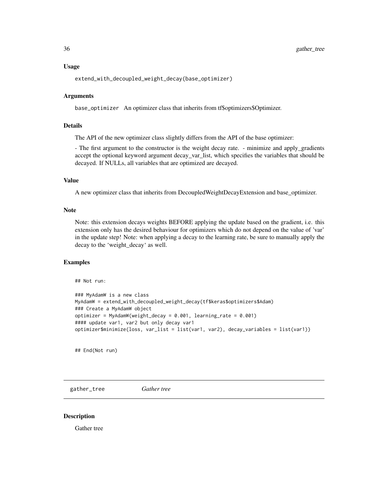#### <span id="page-35-0"></span>Usage

extend\_with\_decoupled\_weight\_decay(base\_optimizer)

#### Arguments

base\_optimizer An optimizer class that inherits from tf\$optimizers\$Optimizer.

# Details

The API of the new optimizer class slightly differs from the API of the base optimizer:

- The first argument to the constructor is the weight decay rate. - minimize and apply\_gradients accept the optional keyword argument decay\_var\_list, which specifies the variables that should be decayed. If NULLs, all variables that are optimized are decayed.

# Value

A new optimizer class that inherits from DecoupledWeightDecayExtension and base\_optimizer.

#### Note

Note: this extension decays weights BEFORE applying the update based on the gradient, i.e. this extension only has the desired behaviour for optimizers which do not depend on the value of 'var' in the update step! Note: when applying a decay to the learning rate, be sure to manually apply the decay to the 'weight\_decay' as well.

#### Examples

## Not run:

```
### MyAdamW is a new class
MyAdamW = extend_with_decoupled_weight_decay(tf$keras$optimizers$Adam)
### Create a MyAdamW object
optimizer = MyAdamW(weight_decay = 0.001, learning_rate = 0.001)
#### update var1, var2 but only decay var1
optimizer$minimize(loss, var_list = list(var1, var2), decay_variables = list(var1))
```
## End(Not run)

gather\_tree *Gather tree*

#### Description

Gather tree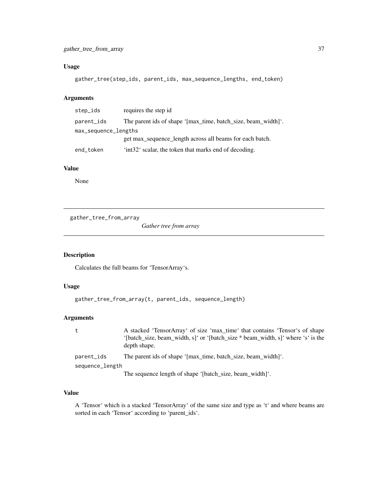# Usage

```
gather_tree(step_ids, parent_ids, max_sequence_lengths, end_token)
```
# Arguments

| step_ids             | requires the step id                                          |
|----------------------|---------------------------------------------------------------|
| parent_ids           | The parent ids of shape '[max_time, batch_size, beam_width]'. |
| max_sequence_lengths |                                                               |
|                      | get max_sequence_length across all beams for each batch.      |
| end_token            | 'int32' scalar, the token that marks end of decoding.         |

### Value

None

gather\_tree\_from\_array

*Gather tree from array*

# Description

Calculates the full beams for 'TensorArray's.

# Usage

```
gather_tree_from_array(t, parent_ids, sequence_length)
```
# Arguments

| A stacked 'TensorArray' of size 'max_time' that contains 'Tensor's of shape      |
|----------------------------------------------------------------------------------|
| '[batch_size, beam_width, s]' or '[batch_size * beam_width, s]' where 's' is the |
| depth shape.                                                                     |
| The parent ids of shape '[max_time, batch_size, beam_width]'.                    |
| sequence_length                                                                  |
| The sequence length of shape '[batch size, beam width]'.                         |
|                                                                                  |

#### Value

A 'Tensor' which is a stacked 'TensorArray' of the same size and type as 't' and where beams are sorted in each 'Tensor' according to 'parent\_ids'.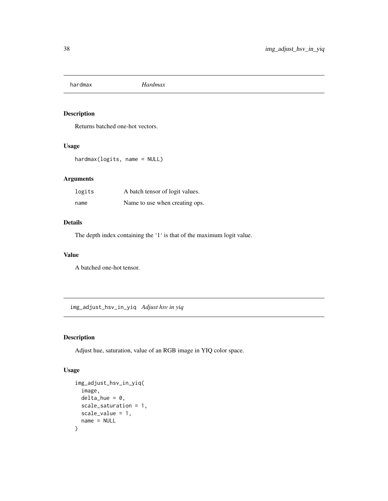# Description

Returns batched one-hot vectors.

### Usage

hardmax(logits, name = NULL)

## Arguments

| logits | A batch tensor of logit values. |
|--------|---------------------------------|
| name   | Name to use when creating ops.  |

# Details

The depth index containing the '1' is that of the maximum logit value.

#### Value

A batched one-hot tensor.

img\_adjust\_hsv\_in\_yiq *Adjust hsv in yiq*

# Description

Adjust hue, saturation, value of an RGB image in YIQ color space.

### Usage

```
img_adjust_hsv_in_yiq(
  image,
 delta\_hue = 0,
  scale_saturation = 1,
  scale_value = 1,
  name = NULL
\mathcal{E}
```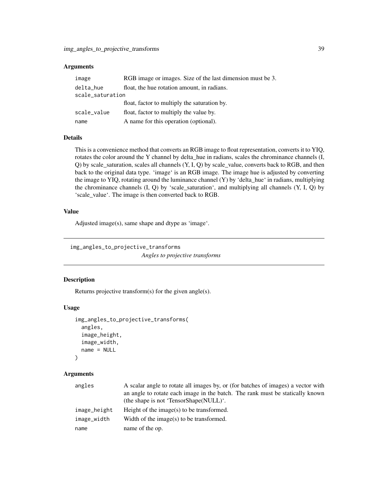#### **Arguments**

| image            | RGB image or images. Size of the last dimension must be 3. |
|------------------|------------------------------------------------------------|
| delta_hue        | float, the hue rotation amount, in radians.                |
| scale_saturation |                                                            |
|                  | float, factor to multiply the saturation by.               |
| scale_value      | float, factor to multiply the value by.                    |
| name             | A name for this operation (optional).                      |

#### Details

This is a convenience method that converts an RGB image to float representation, converts it to YIQ, rotates the color around the Y channel by delta\_hue in radians, scales the chrominance channels (I, Q) by scale\_saturation, scales all channels (Y, I, Q) by scale\_value, converts back to RGB, and then back to the original data type. 'image' is an RGB image. The image hue is adjusted by converting the image to YIQ, rotating around the luminance channel (Y) by 'delta\_hue' in radians, multiplying the chrominance channels  $(I, Q)$  by 'scale\_saturation', and multiplying all channels  $(Y, I, Q)$  by 'scale\_value'. The image is then converted back to RGB.

#### Value

Adjusted image(s), same shape and dtype as 'image'.

img\_angles\_to\_projective\_transforms *Angles to projective transforms*

#### Description

Returns projective transform(s) for the given angle(s).

#### Usage

```
img_angles_to_projective_transforms(
  angles,
  image_height,
  image_width,
  name = NULL
)
```

| angles       | A scalar angle to rotate all images by, or (for batches of images) a vector with<br>an angle to rotate each image in the batch. The rank must be statically known<br>(the shape is not 'TensorShape(NULL)'. |
|--------------|-------------------------------------------------------------------------------------------------------------------------------------------------------------------------------------------------------------|
| image_height | Height of the image( $s$ ) to be transformed.                                                                                                                                                               |
| image_width  | Width of the image(s) to be transformed.                                                                                                                                                                    |
| name         | name of the op.                                                                                                                                                                                             |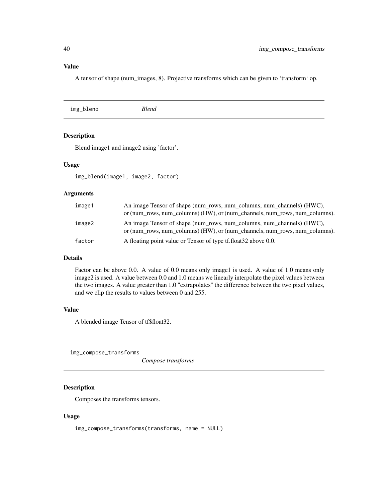# Value

A tensor of shape (num\_images, 8). Projective transforms which can be given to 'transform' op.

|  | <b>Blend</b> | img_blend |
|--|--------------|-----------|
|--|--------------|-----------|

## Description

Blend image1 and image2 using 'factor'.

# Usage

img\_blend(image1, image2, factor)

#### Arguments

| image1 | An image Tensor of shape (num_rows, num_columns, num_channels) (HWC),<br>or (num_rows, num_columns) (HW), or (num_channels, num_rows, num_columns). |
|--------|-----------------------------------------------------------------------------------------------------------------------------------------------------|
| image2 | An image Tensor of shape (num_rows, num_columns, num_channels) (HWC),<br>or (num_rows, num_columns) (HW), or (num_channels, num_rows, num_columns). |
| factor | A floating point value or Tensor of type tf.float 32 above 0.0.                                                                                     |

# Details

Factor can be above 0.0. A value of 0.0 means only image1 is used. A value of 1.0 means only image2 is used. A value between 0.0 and 1.0 means we linearly interpolate the pixel values between the two images. A value greater than 1.0 "extrapolates" the difference between the two pixel values, and we clip the results to values between 0 and 255.

# Value

A blended image Tensor of tf\$float32.

img\_compose\_transforms

*Compose transforms*

## Description

Composes the transforms tensors.

#### Usage

img\_compose\_transforms(transforms, name = NULL)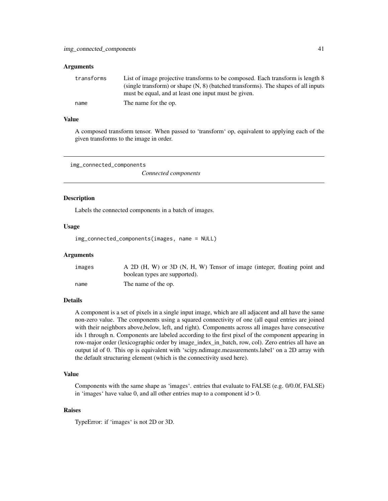#### **Arguments**

| transforms | List of image projective transforms to be composed. Each transform is length 8                                                              |
|------------|---------------------------------------------------------------------------------------------------------------------------------------------|
|            | (single transform) or shape $(N, 8)$ (batched transforms). The shapes of all inputs<br>must be equal, and at least one input must be given. |
| name       | The name for the op.                                                                                                                        |

## Value

A composed transform tensor. When passed to 'transform' op, equivalent to applying each of the given transforms to the image in order.

img\_connected\_components

*Connected components*

### **Description**

Labels the connected components in a batch of images.

#### Usage

```
img_connected_components(images, name = NULL)
```
#### **Arguments**

| images | A 2D (H, W) or 3D (N, H, W) Tensor of image (integer, floating point and<br>boolean types are supported). |
|--------|-----------------------------------------------------------------------------------------------------------|
| name   | The name of the op.                                                                                       |

#### Details

A component is a set of pixels in a single input image, which are all adjacent and all have the same non-zero value. The components using a squared connectivity of one (all equal entries are joined with their neighbors above,below, left, and right). Components across all images have consecutive ids 1 through n. Components are labeled according to the first pixel of the component appearing in row-major order (lexicographic order by image\_index\_in\_batch, row, col). Zero entries all have an output id of 0. This op is equivalent with 'scipy.ndimage.measurements.label' on a 2D array with the default structuring element (which is the connectivity used here).

#### Value

Components with the same shape as 'images'. entries that evaluate to FALSE (e.g. 0/0.0f, FALSE) in 'images' have value 0, and all other entries map to a component  $id > 0$ .

#### Raises

TypeError: if 'images' is not 2D or 3D.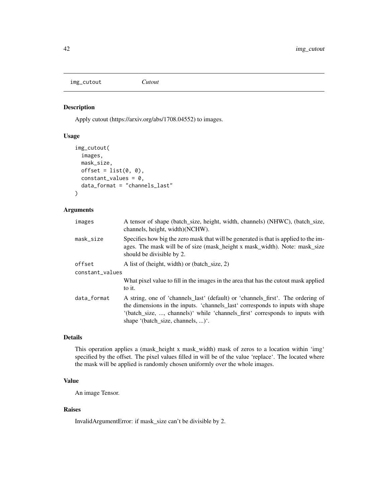img\_cutout *Cutout*

## Description

Apply cutout (https://arxiv.org/abs/1708.04552) to images.

# Usage

```
img_cutout(
  images,
 mask_size,
 offset = list(0, 0),constant_values = 0,
  data_format = "channels_last"
)
```
#### Arguments

| images          | A tensor of shape (batch_size, height, width, channels) (NHWC), (batch_size,<br>channels, height, width)(NCHW).                                                                                                                                                                        |
|-----------------|----------------------------------------------------------------------------------------------------------------------------------------------------------------------------------------------------------------------------------------------------------------------------------------|
| mask_size       | Specifies how big the zero mask that will be generated is that is applied to the im-<br>ages. The mask will be of size (mask_height x mask_width). Note: mask_size<br>should be divisible by 2.                                                                                        |
| offset          | A list of (height, width) or (batch size, 2)                                                                                                                                                                                                                                           |
| constant_values |                                                                                                                                                                                                                                                                                        |
|                 | What pixel value to fill in the images in the area that has the cutout mask applied<br>to it.                                                                                                                                                                                          |
| data_format     | A string, one of 'channels_last' (default) or 'channels_first'. The ordering of<br>the dimensions in the inputs. 'channels_last' corresponds to inputs with shape<br>'(batch_size, , channels)' while 'channels_first' corresponds to inputs with<br>shape '(batch size, channels, )'. |

### Details

This operation applies a (mask\_height x mask\_width) mask of zeros to a location within 'img' specified by the offset. The pixel values filled in will be of the value 'replace'. The located where the mask will be applied is randomly chosen uniformly over the whole images.

#### Value

An image Tensor.

#### Raises

InvalidArgumentError: if mask\_size can't be divisible by 2.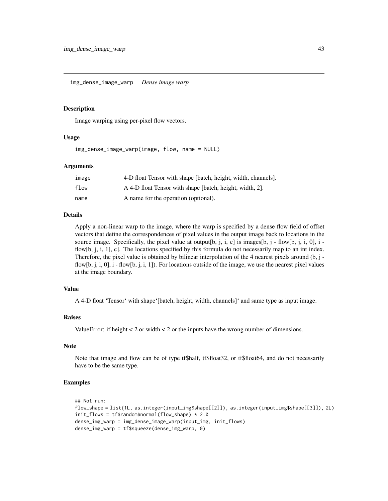img\_dense\_image\_warp *Dense image warp*

#### Description

Image warping using per-pixel flow vectors.

#### Usage

img\_dense\_image\_warp(image, flow, name = NULL)

#### **Arguments**

| image | 4-D float Tensor with shape [batch, height, width, channels]. |
|-------|---------------------------------------------------------------|
| flow  | A 4-D float Tensor with shape [batch, height, width, 2].      |
| name  | A name for the operation (optional).                          |

#### Details

Apply a non-linear warp to the image, where the warp is specified by a dense flow field of offset vectors that define the correspondences of pixel values in the output image back to locations in the source image. Specifically, the pixel value at output[b, j, i, c] is images[b, j - flow[b, j, i, 0], i flow[b, j, i, 1], c]. The locations specified by this formula do not necessarily map to an int index. Therefore, the pixel value is obtained by bilinear interpolation of the 4 nearest pixels around (b, j flow[b, j, i, 0], i - flow[b, j, i, 1]). For locations outside of the image, we use the nearest pixel values at the image boundary.

#### Value

A 4-D float 'Tensor' with shape'[batch, height, width, channels]' and same type as input image.

#### Raises

ValueError: if height  $< 2$  or width  $< 2$  or the inputs have the wrong number of dimensions.

#### Note

Note that image and flow can be of type tf\$half, tf\$float32, or tf\$float64, and do not necessarily have to be the same type.

#### Examples

```
## Not run:
flow_shape = list(1L, as.integer(input_img$shape[[2]]), as.integer(input_img$shape[[3]]), 2L)
init_flows = tf$random$normal(flow_shape) * 2.0
dense_img_warp = img_dense_image_warp(input_img, init_flows)
dense_img_warp = tf$squeeze(dense_img_warp, 0)
```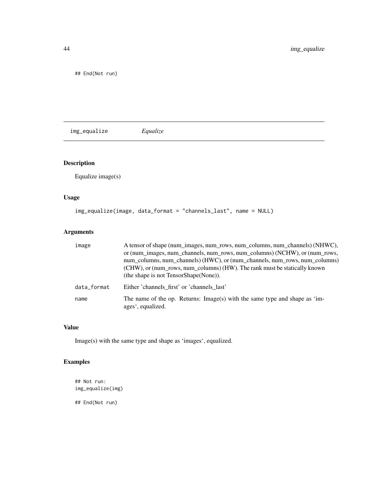## End(Not run)

img\_equalize *Equalize*

# Description

Equalize image(s)

## Usage

```
img_equalize(image, data_format = "channels_last", name = NULL)
```
# Arguments

| image       | A tensor of shape (num images, num rows, num columns, num channels) (NHWC),<br>or (num images, num channels, num rows, num columns) (NCHW), or (num rows,<br>num_columns, num_channels) (HWC), or (num_channels, num_rows, num_columns)<br>(CHW), or (num_rows, num_columns) (HW). The rank must be statically known<br>(the shape is not TensorShape(None)). |
|-------------|---------------------------------------------------------------------------------------------------------------------------------------------------------------------------------------------------------------------------------------------------------------------------------------------------------------------------------------------------------------|
| data format | Either 'channels first' or 'channels last'                                                                                                                                                                                                                                                                                                                    |
| name        | The name of the op. Returns: Image(s) with the same type and shape as 'im-<br>ages', equalized.                                                                                                                                                                                                                                                               |

# Value

Image(s) with the same type and shape as 'images', equalized.

# Examples

## Not run: img\_equalize(img)

## End(Not run)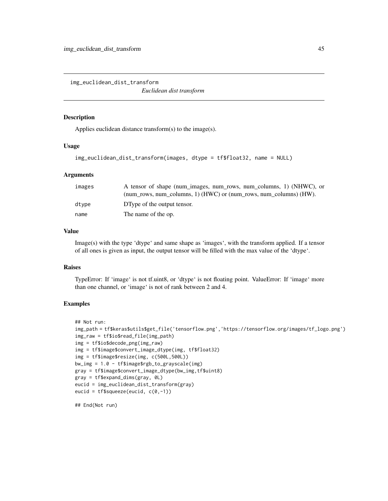img\_euclidean\_dist\_transform

*Euclidean dist transform*

#### Description

Applies euclidean distance transform(s) to the image(s).

### Usage

```
img_euclidean_dist_transform(images, dtype = tf$float32, name = NULL)
```
#### **Arguments**

| images | A tensor of shape (num images, num rows, num columns, 1) (NHWC), or       |
|--------|---------------------------------------------------------------------------|
|        | (num rows, num columns, 1) ( $HWC$ ) or (num rows, num columns) ( $HW$ ). |
| dtvpe  | DType of the output tensor.                                               |
| name   | The name of the op.                                                       |

## Value

Image(s) with the type 'dtype' and same shape as 'images', with the transform applied. If a tensor of all ones is given as input, the output tensor will be filled with the max value of the 'dtype'.

### Raises

TypeError: If 'image' is not tf.uint8, or 'dtype' is not floating point. ValueError: If 'image' more than one channel, or 'image' is not of rank between 2 and 4.

#### Examples

```
## Not run:
img_path = tf$keras$utils$get_file('tensorflow.png','https://tensorflow.org/images/tf_logo.png')
img_raw = tf$io$read_file(img_path)
img = tf$io$decode_png(img_raw)
img = tf$image$convert_image_dtype(img, tf$float32)
img = tf$image$resize(img, c(500L,500L))
bw_img = 1.0 - tf$image$rgb_to_grayscale(img)
gray = tf$image$convert_image_dtype(bw_img,tf$uint8)
gray = tf$expand_dims(gray, 0L)
eucid = img_euclidean_dist_transform(gray)
eucid = tf$squeeze(eucid, c(0,-1))
```
## End(Not run)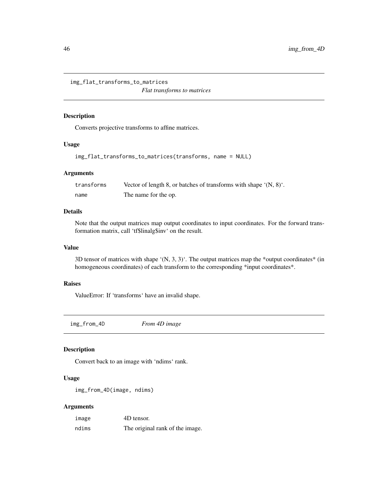img\_flat\_transforms\_to\_matrices *Flat transforms to matrices*

#### Description

Converts projective transforms to affine matrices.

#### Usage

```
img_flat_transforms_to_matrices(transforms, name = NULL)
```
#### Arguments

| transforms | Vector of length 8, or batches of transforms with shape $(N, 8)$ . |
|------------|--------------------------------------------------------------------|
| name       | The name for the op.                                               |

### Details

Note that the output matrices map output coordinates to input coordinates. For the forward transformation matrix, call 'tf\$linalg\$inv' on the result.

#### Value

3D tensor of matrices with shape '(N, 3, 3)'. The output matrices map the \*output coordinates\* (in homogeneous coordinates) of each transform to the corresponding \*input coordinates\*.

#### Raises

ValueError: If 'transforms' have an invalid shape.

img\_from\_4D *From 4D image*

# Description

Convert back to an image with 'ndims' rank.

#### Usage

```
img_from_4D(image, ndims)
```

| image | 4D tensor.                      |
|-------|---------------------------------|
| ndims | The original rank of the image. |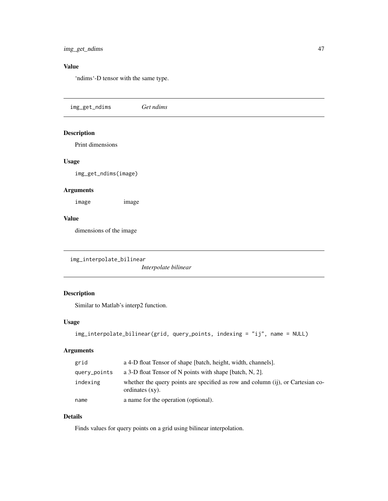# Value

'ndims'-D tensor with the same type.

img\_get\_ndims *Get ndims*

## Description

Print dimensions

#### Usage

img\_get\_ndims(image)

## Arguments

image image

#### Value

dimensions of the image

img\_interpolate\_bilinear

*Interpolate bilinear*

# Description

Similar to Matlab's interp2 function.

# Usage

```
img_interpolate_bilinear(grid, query_points, indexing = "ij", name = NULL)
```
## Arguments

| grid         | a 4-D float Tensor of shape [batch, height, width, channels].                                         |
|--------------|-------------------------------------------------------------------------------------------------------|
| query_points | a 3-D float Tensor of N points with shape [batch, N, 2].                                              |
| indexing     | whether the query points are specified as row and column (ij), or Cartesian co-<br>ordinates $(xy)$ . |
| name         | a name for the operation (optional).                                                                  |

### Details

Finds values for query points on a grid using bilinear interpolation.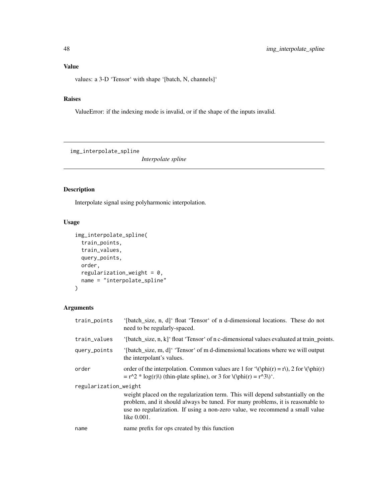values: a 3-D 'Tensor' with shape '[batch, N, channels]'

### Raises

ValueError: if the indexing mode is invalid, or if the shape of the inputs invalid.

img\_interpolate\_spline

*Interpolate spline*

# Description

Interpolate signal using polyharmonic interpolation.

# Usage

```
img_interpolate_spline(
 train_points,
  train_values,
 query_points,
 order,
 regularization_weight = 0,
 name = "interpolate_spline"
)
```

| train_points          | '(batch_size, n, d)' float 'Tensor' of n d-dimensional locations. These do not<br>need to be regularly-spaced.                                                                                                                                                   |
|-----------------------|------------------------------------------------------------------------------------------------------------------------------------------------------------------------------------------------------------------------------------------------------------------|
| train_values          | '[batch_size, n, k]' float 'Tensor' of n c-dimensional values evaluated at train_points.                                                                                                                                                                         |
| query_points          | '[batch_size, m, d]' 'Tensor' of m d-dimensional locations where we will output<br>the interpolant's values.                                                                                                                                                     |
| order                 | order of the interpolation. Common values are 1 for $\(\phi(r) = r), 2$ for $(\phi(r)$<br>$= r^2 * log(r)$ (thin-plate spline), or 3 for $\langle p \rangle = r^3$ ).                                                                                            |
| regularization_weight | weight placed on the regularization term. This will depend substantially on the<br>problem, and it should always be tuned. For many problems, it is reasonable to<br>use no regularization. If using a non-zero value, we recommend a small value<br>like 0.001. |
| name                  | name prefix for ops created by this function                                                                                                                                                                                                                     |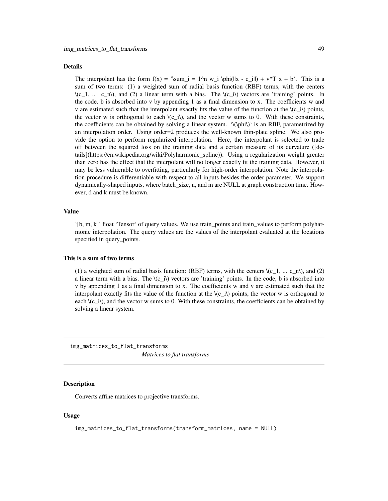#### Details

The interpolant has the form  $f(x) = \sum_{i=1}^{\infty}$   $\phi_i = 1^n$  w\_i  $\phi_i = \sum_{i=1}^{\infty}$  + v^T x + b'. This is a sum of two terms: (1) a weighted sum of radial basis function (RBF) terms, with the centers  $\(c_1, \ldots, c_n)$ , and (2) a linear term with a bias. The  $\(c_i)\$  vectors are 'training' points. In the code, b is absorbed into v by appending 1 as a final dimension to x. The coefficients w and v are estimated such that the interpolant exactly fits the value of the function at the  $\langle c\,i\rangle$  points, the vector w is orthogonal to each  $\langle (c_i)\rangle$ , and the vector w sums to 0. With these constraints, the coefficients can be obtained by solving a linear system. '\(\phi\)' is an RBF, parametrized by an interpolation order. Using order=2 produces the well-known thin-plate spline. We also provide the option to perform regularized interpolation. Here, the interpolant is selected to trade off between the squared loss on the training data and a certain measure of its curvature ([details](https://en.wikipedia.org/wiki/Polyharmonic\_spline)). Using a regularization weight greater than zero has the effect that the interpolant will no longer exactly fit the training data. However, it may be less vulnerable to overfitting, particularly for high-order interpolation. Note the interpolation procedure is differentiable with respect to all inputs besides the order parameter. We support dynamically-shaped inputs, where batch\_size, n, and m are NULL at graph construction time. However, d and k must be known.

#### Value

'[b, m, k]' float 'Tensor' of query values. We use train\_points and train\_values to perform polyharmonic interpolation. The query values are the values of the interpolant evaluated at the locations specified in query\_points.

#### This is a sum of two terms

(1) a weighted sum of radial basis function: (RBF) terms, with the centers  $\(c_1, \ldots, c_n)$ , and (2) a linear term with a bias. The  $\langle c_i\rangle$  vectors are 'training' points. In the code, b is absorbed into v by appending 1 as a final dimension to x. The coefficients w and v are estimated such that the interpolant exactly fits the value of the function at the  $\langle c\,i\rangle$  points, the vector w is orthogonal to each  $\langle (c_i)\rangle$ , and the vector w sums to 0. With these constraints, the coefficients can be obtained by solving a linear system.

img\_matrices\_to\_flat\_transforms *Matrices to flat transforms*

#### Description

Converts affine matrices to projective transforms.

#### Usage

```
img_matrices_to_flat_transforms(transform_matrices, name = NULL)
```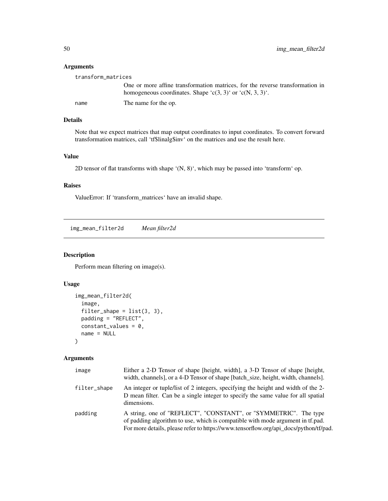## Arguments

| transform_matrices |                                                                                                                                            |
|--------------------|--------------------------------------------------------------------------------------------------------------------------------------------|
|                    | One or more affine transformation matrices, for the reverse transformation in<br>homogeneous coordinates. Shape 'c(3, 3)' or 'c(N, 3, 3)'. |
| name               | The name for the op.                                                                                                                       |

# Details

Note that we expect matrices that map output coordinates to input coordinates. To convert forward transformation matrices, call 'tf\$linalg\$inv' on the matrices and use the result here.

# Value

2D tensor of flat transforms with shape '(N, 8)', which may be passed into 'transform' op.

#### Raises

ValueError: If 'transform\_matrices' have an invalid shape.

img\_mean\_filter2d *Mean filter2d*

## Description

Perform mean filtering on image(s).

#### Usage

```
img_mean_filter2d(
  image,
 filter_shape = list(3, 3),
 padding = "REFLECT",
 constant\_values = 0,
 name = NULL
)
```

| image        | Either a 2-D Tensor of shape [height, width], a 3-D Tensor of shape [height,<br>width, channels], or a 4-D Tensor of shape [batch_size, height, width, channels].                                                                          |
|--------------|--------------------------------------------------------------------------------------------------------------------------------------------------------------------------------------------------------------------------------------------|
| filter_shape | An integer or tuple/list of 2 integers, specifying the height and width of the 2-<br>D mean filter. Can be a single integer to specify the same value for all spatial<br>dimensions.                                                       |
| padding      | A string, one of "REFLECT", "CONSTANT", or "SYMMETRIC". The type<br>of padding algorithm to use, which is compatible with mode argument in tf.pad.<br>For more details, please refer to https://www.tensorflow.org/api_docs/python/tf/pad. |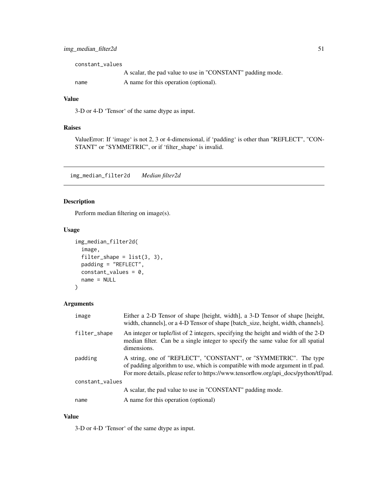| constant values |                                                            |
|-----------------|------------------------------------------------------------|
|                 | A scalar, the pad value to use in "CONSTANT" padding mode. |
| name            | A name for this operation (optional).                      |

#### Value

3-D or 4-D 'Tensor' of the same dtype as input.

## Raises

ValueError: If 'image' is not 2, 3 or 4-dimensional, if 'padding' is other than "REFLECT", "CON-STANT" or "SYMMETRIC", or if 'filter\_shape' is invalid.

img\_median\_filter2d *Median filter2d*

# Description

Perform median filtering on image(s).

### Usage

```
img_median_filter2d(
  image,
 filter_shape = list(3, 3),
 padding = "REFLECT",
 constant\_values = 0,
 name = NULL
)
```
# Arguments

| image           | Either a 2-D Tensor of shape [height, width], a 3-D Tensor of shape [height,<br>width, channels], or a 4-D Tensor of shape [batch_size, height, width, channels].                                                                          |
|-----------------|--------------------------------------------------------------------------------------------------------------------------------------------------------------------------------------------------------------------------------------------|
| filter_shape    | An integer or tuple/list of 2 integers, specifying the height and width of the 2-D<br>median filter. Can be a single integer to specify the same value for all spatial<br>dimensions.                                                      |
| padding         | A string, one of "REFLECT", "CONSTANT", or "SYMMETRIC". The type<br>of padding algorithm to use, which is compatible with mode argument in tf.pad.<br>For more details, please refer to https://www.tensorflow.org/api_docs/python/tf/pad. |
| constant_values |                                                                                                                                                                                                                                            |
|                 | A scalar, the pad value to use in "CONSTANT" padding mode.                                                                                                                                                                                 |
| name            | A name for this operation (optional)                                                                                                                                                                                                       |

### Value

3-D or 4-D 'Tensor' of the same dtype as input.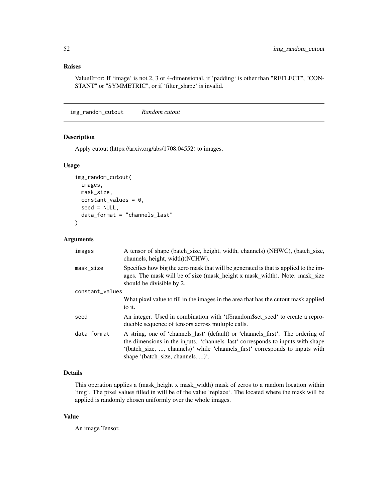### Raises

ValueError: If 'image' is not 2, 3 or 4-dimensional, if 'padding' is other than "REFLECT", "CON-STANT" or "SYMMETRIC", or if 'filter\_shape' is invalid.

img\_random\_cutout *Random cutout*

### Description

Apply cutout (https://arxiv.org/abs/1708.04552) to images.

#### Usage

```
img_random_cutout(
  images,
 mask_size,
  constant_values = 0,
  seed = NULL,
  data_format = "channels_last"
\mathcal{L}
```
#### Arguments

| images          | A tensor of shape (batch_size, height, width, channels) (NHWC), (batch_size,<br>channels, height, width)(NCHW).                                                                                                                                                                        |
|-----------------|----------------------------------------------------------------------------------------------------------------------------------------------------------------------------------------------------------------------------------------------------------------------------------------|
| mask_size       | Specifies how big the zero mask that will be generated is that is applied to the im-<br>ages. The mask will be of size (mask_height x mask_width). Note: mask_size<br>should be divisible by 2.                                                                                        |
| constant_values |                                                                                                                                                                                                                                                                                        |
|                 | What pixel value to fill in the images in the area that has the cutout mask applied                                                                                                                                                                                                    |
|                 | to it.                                                                                                                                                                                                                                                                                 |
| seed            | An integer. Used in combination with 'tf\$random\$set_seed' to create a repro-<br>ducible sequence of tensors across multiple calls.                                                                                                                                                   |
| data_format     | A string, one of 'channels_last' (default) or 'channels_first'. The ordering of<br>the dimensions in the inputs. 'channels_last' corresponds to inputs with shape<br>'(batch_size, , channels)' while 'channels_first' corresponds to inputs with<br>shape '(batch size, channels, )'. |

#### Details

This operation applies a (mask\_height x mask\_width) mask of zeros to a random location within 'img'. The pixel values filled in will be of the value 'replace'. The located where the mask will be applied is randomly chosen uniformly over the whole images.

#### Value

An image Tensor.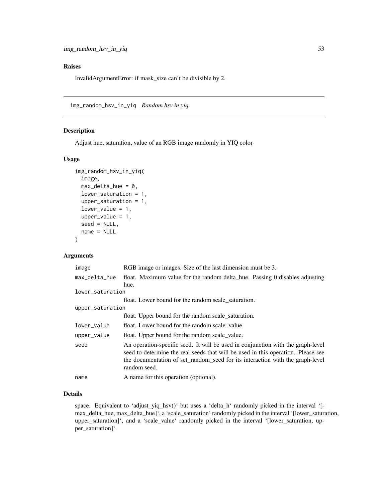### Raises

InvalidArgumentError: if mask\_size can't be divisible by 2.

img\_random\_hsv\_in\_yiq *Random hsv in yiq*

# Description

Adjust hue, saturation, value of an RGB image randomly in YIQ color

# Usage

```
img_random_hsv_in_yiq(
  image,
 max\_delta\_hue = 0,
 lower_saturation = 1,
 upper_saturation = 1,
  lower_value = 1,upper_value = 1,
  seed = NULL,
 name = NULL
)
```
#### Arguments

| image            | RGB image or images. Size of the last dimension must be 3.                                                                                                                                                                                                           |
|------------------|----------------------------------------------------------------------------------------------------------------------------------------------------------------------------------------------------------------------------------------------------------------------|
| max_delta_hue    | float. Maximum value for the random delta_hue. Passing 0 disables adjusting                                                                                                                                                                                          |
|                  | hue.                                                                                                                                                                                                                                                                 |
| lower_saturation |                                                                                                                                                                                                                                                                      |
|                  | float. Lower bound for the random scale saturation.                                                                                                                                                                                                                  |
| upper_saturation |                                                                                                                                                                                                                                                                      |
|                  | float. Upper bound for the random scale_saturation.                                                                                                                                                                                                                  |
| lower_value      | float. Lower bound for the random scale value.                                                                                                                                                                                                                       |
| upper_value      | float. Upper bound for the random scale_value.                                                                                                                                                                                                                       |
| seed             | An operation-specific seed. It will be used in conjunction with the graph-level<br>seed to determine the real seeds that will be used in this operation. Please see<br>the documentation of set_random_seed for its interaction with the graph-level<br>random seed. |
| name             | A name for this operation (optional).                                                                                                                                                                                                                                |

### Details

space. Equivalent to 'adjust\_yiq\_hsv()' but uses a 'delta\_h' randomly picked in the interval '[max\_delta\_hue, max\_delta\_hue]', a 'scale\_saturation' randomly picked in the interval '[lower\_saturation, upper\_saturation]', and a 'scale\_value' randomly picked in the interval '[lower\_saturation, upper\_saturation]'.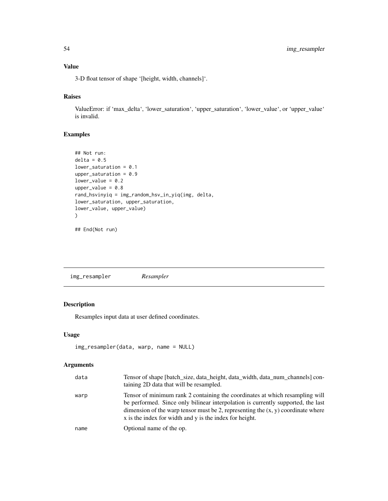# Value

3-D float tensor of shape '[height, width, channels]'.

#### Raises

ValueError: if 'max\_delta', 'lower\_saturation', 'upper\_saturation', 'lower\_value', or 'upper\_value' is invalid.

## Examples

```
## Not run:
delta = 0.5lower_saturation = 0.1
upper_saturation = 0.9lower_value = 0.2upper_value = 0.8rand_hsvinyiq = img_random_hsv_in_yiq(img, delta,
lower_saturation, upper_saturation,
lower_value, upper_value)
\lambda
```
## End(Not run)

img\_resampler *Resampler*

# Description

Resamples input data at user defined coordinates.

#### Usage

```
img_resampler(data, warp, name = NULL)
```

| data | Tensor of shape [batch_size, data_height, data_width, data_num_channels] con-<br>taining 2D data that will be resampled.                                                                                                                                                                                          |
|------|-------------------------------------------------------------------------------------------------------------------------------------------------------------------------------------------------------------------------------------------------------------------------------------------------------------------|
| warp | Tensor of minimum rank 2 containing the coordinates at which resampling will<br>be performed. Since only bilinear interpolation is currently supported, the last<br>dimension of the warp tensor must be 2, representing the $(x, y)$ coordinate where<br>x is the index for width and y is the index for height. |
| name | Optional name of the op.                                                                                                                                                                                                                                                                                          |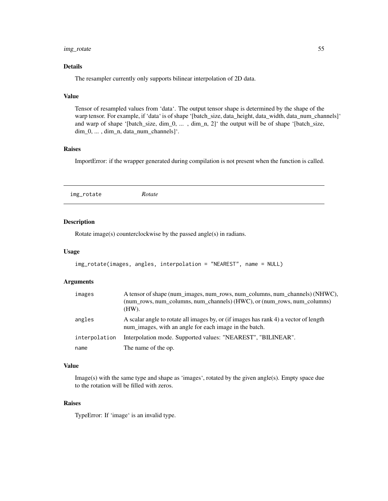## img\_rotate 55

## Details

The resampler currently only supports bilinear interpolation of 2D data.

#### Value

Tensor of resampled values from 'data'. The output tensor shape is determined by the shape of the warp tensor. For example, if 'data' is of shape '[batch\_size, data\_height, data\_width, data\_num\_channels]' and warp of shape '[batch\_size, dim\_0, ... , dim\_n, 2]' the output will be of shape '[batch\_size, dim\_0, ... , dim\_n, data\_num\_channels]'.

## Raises

ImportError: if the wrapper generated during compilation is not present when the function is called.

## Description

Rotate image(s) counterclockwise by the passed angle(s) in radians.

#### Usage

```
img_rotate(images, angles, interpolation = "NEAREST", name = NULL)
```
#### Arguments

| images        | A tensor of shape (num_images, num_rows, num_columns, num_channels) (NHWC),<br>(num_rows, num_columns, num_channels) (HWC), or (num_rows, num_columns)<br>(HW). |
|---------------|-----------------------------------------------------------------------------------------------------------------------------------------------------------------|
| angles        | A scalar angle to rotate all images by, or (if images has rank 4) a vector of length<br>num images, with an angle for each image in the batch.                  |
| interpolation | Interpolation mode. Supported values: "NEAREST", "BILINEAR".                                                                                                    |
| name          | The name of the op.                                                                                                                                             |

#### Value

Image(s) with the same type and shape as 'images', rotated by the given angle(s). Empty space due to the rotation will be filled with zeros.

## Raises

TypeError: If 'image' is an invalid type.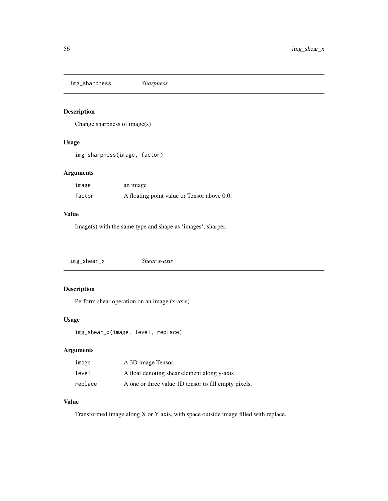img\_sharpness *Sharpness*

# Description

Change sharpness of image(s)

## Usage

img\_sharpness(image, factor)

## Arguments

| image  | an image                                    |
|--------|---------------------------------------------|
| factor | A floating point value or Tensor above 0.0. |

### Value

Image(s) with the same type and shape as 'images', sharper.

| img_shear_x | Shear $x$ -axis |
|-------------|-----------------|
|-------------|-----------------|

# Description

Perform shear operation on an image (x-axis)

## Usage

img\_shear\_x(image, level, replace)

# Arguments

| image   | A 3D image Tensor.                                   |
|---------|------------------------------------------------------|
| level   | A float denoting shear element along y-axis          |
| replace | A one or three value 1D tensor to fill empty pixels. |

## Value

Transformed image along X or Y axis, with space outside image filled with replace.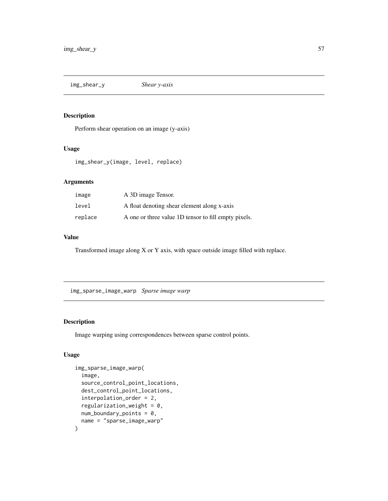img\_shear\_y *Shear y-axis*

#### Description

Perform shear operation on an image (y-axis)

#### Usage

img\_shear\_y(image, level, replace)

# Arguments

| image   | A 3D image Tensor.                                   |
|---------|------------------------------------------------------|
| level   | A float denoting shear element along x-axis          |
| replace | A one or three value 1D tensor to fill empty pixels. |

#### Value

Transformed image along X or Y axis, with space outside image filled with replace.

img\_sparse\_image\_warp *Sparse image warp*

# Description

Image warping using correspondences between sparse control points.

# Usage

```
img_sparse_image_warp(
  image,
  source_control_point_locations,
 dest_control_point_locations,
  interpolation_order = 2,
  regularization_weight = 0,
 num\_boundary\_points = 0,
 name = "sparse_image_warp"
\mathcal{E}
```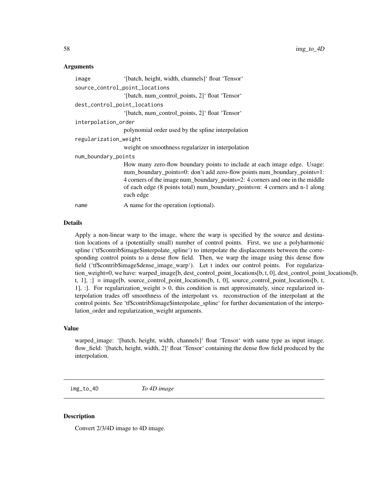#### Arguments

| image                          | '[batch, height, width, channels]' float 'Tensor'                                                                                                                                                                                                                                                                                  |
|--------------------------------|------------------------------------------------------------------------------------------------------------------------------------------------------------------------------------------------------------------------------------------------------------------------------------------------------------------------------------|
| source_control_point_locations |                                                                                                                                                                                                                                                                                                                                    |
|                                | '[batch, num_control_points, 2]' float 'Tensor'                                                                                                                                                                                                                                                                                    |
| dest_control_point_locations   |                                                                                                                                                                                                                                                                                                                                    |
|                                | '[batch, num_control_points, 2]' float 'Tensor'                                                                                                                                                                                                                                                                                    |
| interpolation_order            |                                                                                                                                                                                                                                                                                                                                    |
|                                | polynomial order used by the spline interpolation                                                                                                                                                                                                                                                                                  |
| regularization_weight          |                                                                                                                                                                                                                                                                                                                                    |
|                                | weight on smoothness regularizer in interpolation                                                                                                                                                                                                                                                                                  |
| num_boundary_points            |                                                                                                                                                                                                                                                                                                                                    |
|                                | How many zero-flow boundary points to include at each image edge. Usage:<br>num_boundary_points=0: don't add zero-flow points num_boundary_points=1:<br>4 corners of the image num_boundary_points=2: 4 corners and one in the middle<br>of each edge (8 points total) num_boundary_points=n: 4 corners and n-1 along<br>each edge |
| name                           | A name for the operation (optional).                                                                                                                                                                                                                                                                                               |

### Details

Apply a non-linear warp to the image, where the warp is specified by the source and destination locations of a (potentially small) number of control points. First, we use a polyharmonic spline ('tf\$contrib\$image\$interpolate\_spline') to interpolate the displacements between the corresponding control points to a dense flow field. Then, we warp the image using this dense flow field ('tf\$contrib\$image\$dense\_image\_warp'). Let t index our control points. For regularization\_weight=0, we have: warped\_image[b, dest\_control\_point\_locations[b, t, 0], dest\_control\_point\_locations[b, t,  $1$ ],  $:$ ] = image[b, source\_control\_point\_locations[b, t, 0], source\_control\_point\_locations[b, t, 1], : [Itherefore, 1]. For regularization\_weight  $> 0$ , this condition is met approximately, since regularized interpolation trades off smoothness of the interpolant vs. reconstruction of the interpolant at the control points. See 'tf\$contrib\$image\$interpolate\_spline' for further documentation of the interpolation order and regularization weight arguments.

#### Value

warped\_image: '[batch, height, width, channels]' float 'Tensor' with same type as input image. flow\_field: '[batch, height, width, 2]' float 'Tensor' containing the dense flow field produced by the interpolation.

img\_to\_4D *To 4D image*

#### Description

Convert 2/3/4D image to 4D image.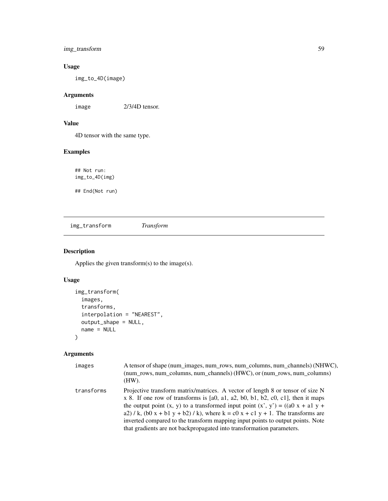# img\_transform 59

# Usage

img\_to\_4D(image)

# Arguments

image 2/3/4D tensor.

# Value

4D tensor with the same type.

## Examples

## Not run: img\_to\_4D(img)

## End(Not run)

img\_transform *Transform*

# Description

Applies the given transform(s) to the image(s).

# Usage

```
img_transform(
  images,
  transforms,
  interpolation = "NEAREST",
 output_shape = NULL,
 name = NULL
\mathcal{L}
```

| images     | A tensor of shape (num_images, num_rows, num_columns, num_channels) (NHWC),<br>(num rows, num_columns, num_channels) (HWC), or (num_rows, num_columns)<br>(HW).                                                                                                                                                                                                                                                                                                                                                |
|------------|----------------------------------------------------------------------------------------------------------------------------------------------------------------------------------------------------------------------------------------------------------------------------------------------------------------------------------------------------------------------------------------------------------------------------------------------------------------------------------------------------------------|
| transforms | Projective transform matrix/matrices. A vector of length 8 or tensor of size N<br>$x$ 8. If one row of transforms is [a0, a1, a2, b0, b1, b2, c0, c1], then it maps<br>the output point $(x, y)$ to a transformed input point $(x', y') = ((a0 x + a1 y + b1))$<br>a2) / k, (b0 x + b1 y + b2) / k), where $k = c0x + c1y + 1$ . The transforms are<br>inverted compared to the transform mapping input points to output points. Note<br>that gradients are not backpropagated into transformation parameters. |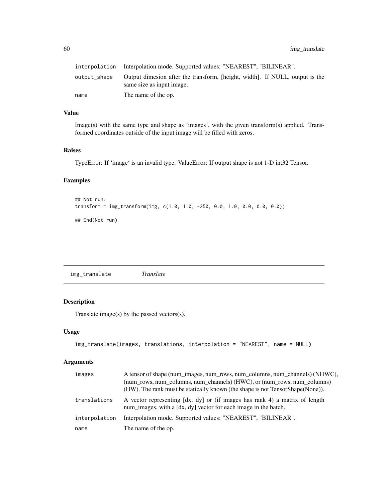|              | interpolation Interpolation mode. Supported values: "NEAREST", "BILINEAR".                                |
|--------------|-----------------------------------------------------------------------------------------------------------|
| output_shape | Output dimesion after the transform, [height, width]. If NULL, output is the<br>same size as input image. |
| name         | The name of the op.                                                                                       |

## Value

Image(s) with the same type and shape as 'images', with the given transform(s) applied. Transformed coordinates outside of the input image will be filled with zeros.

#### Raises

TypeError: If 'image' is an invalid type. ValueError: If output shape is not 1-D int32 Tensor.

## Examples

```
## Not run:
transform = img_transform(img, c(1.0, 1.0, -250, 0.0, 1.0, 0.0, 0.0, 0.0))
## End(Not run)
```
img\_translate *Translate*

## Description

Translate image(s) by the passed vectors(s).

#### Usage

```
img_translate(images, translations, interpolation = "NEAREST", name = NULL)
```

| images        | A tensor of shape (num images, num rows, num columns, num channels) (NHWC),<br>(num_rows, num_columns, num_channels) (HWC), or (num_rows, num_columns)<br>(HW). The rank must be statically known (the shape is not TensorShape(None)). |
|---------------|-----------------------------------------------------------------------------------------------------------------------------------------------------------------------------------------------------------------------------------------|
| translations  | A vector representing [dx, dy] or (if images has rank 4) a matrix of length<br>num_images, with a [dx, dy] vector for each image in the batch.                                                                                          |
| interpolation | Interpolation mode. Supported values: "NEAREST", "BILINEAR".                                                                                                                                                                            |
| name          | The name of the op.                                                                                                                                                                                                                     |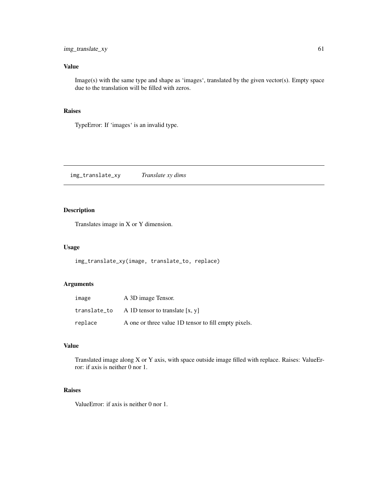# Value

Image(s) with the same type and shape as 'images', translated by the given vector(s). Empty space due to the translation will be filled with zeros.

# Raises

TypeError: If 'images' is an invalid type.

img\_translate\_xy *Translate xy dims*

## Description

Translates image in X or Y dimension.

#### Usage

img\_translate\_xy(image, translate\_to, replace)

## Arguments

| image        | A 3D image Tensor.                                   |
|--------------|------------------------------------------------------|
| translate_to | A 1D tensor to translate $[x, y]$                    |
| replace      | A one or three value 1D tensor to fill empty pixels. |

#### Value

Translated image along X or Y axis, with space outside image filled with replace. Raises: ValueError: if axis is neither 0 nor 1.

# Raises

ValueError: if axis is neither 0 nor 1.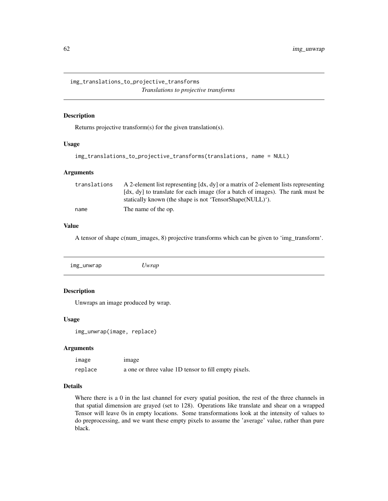img\_translations\_to\_projective\_transforms *Translations to projective transforms*

#### Description

Returns projective transform(s) for the given translation(s).

#### Usage

```
img_translations_to_projective_transforms(translations, name = NULL)
```
#### Arguments

| translations | A 2-element list representing $\left[ dx, dy \right]$ or a matrix of 2-element lists representing |
|--------------|---------------------------------------------------------------------------------------------------|
|              | [dx, dy] to translate for each image (for a batch of images). The rank must be                    |
|              | statically known (the shape is not 'TensorShape(NULL)').                                          |
| name         | The name of the op.                                                                               |

#### Value

A tensor of shape c(num\_images, 8) projective transforms which can be given to 'img\_transform'.

| img_unwrap | 'wrap |  |
|------------|-------|--|
|            |       |  |

### Description

Unwraps an image produced by wrap.

#### Usage

```
img_unwrap(image, replace)
```
#### Arguments

| image   | image                                                |
|---------|------------------------------------------------------|
| replace | a one or three value 1D tensor to fill empty pixels. |

#### Details

Where there is a 0 in the last channel for every spatial position, the rest of the three channels in that spatial dimension are grayed (set to 128). Operations like translate and shear on a wrapped Tensor will leave 0s in empty locations. Some transformations look at the intensity of values to do preprocessing, and we want these empty pixels to assume the 'average' value, rather than pure black.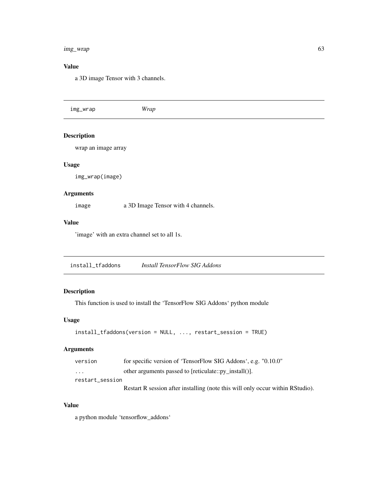#### img\_wrap 63

# Value

a 3D image Tensor with 3 channels.

| img_wrap           | Wrap |
|--------------------|------|
| <b>Description</b> |      |

wrap an image array

#### Usage

img\_wrap(image)

# Arguments

image a 3D Image Tensor with 4 channels.

# Value

'image' with an extra channel set to all 1s.

install\_tfaddons *Install TensorFlow SIG Addons*

## Description

This function is used to install the 'TensorFlow SIG Addons' python module

#### Usage

```
install_tfaddons(version = NULL, ..., restart_session = TRUE)
```
## Arguments

| version                 | for specific version of 'TensorFlow SIG Addons', e.g. "0.10.0"                 |
|-------------------------|--------------------------------------------------------------------------------|
| $\cdot$ $\cdot$ $\cdot$ | other arguments passed to [reticulate::py install()].                          |
| restart session         |                                                                                |
|                         | Restart R session after installing (note this will only occur within RStudio). |

# Value

a python module 'tensorflow\_addons'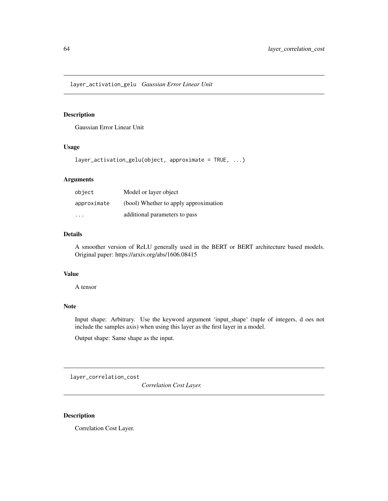layer\_activation\_gelu *Gaussian Error Linear Unit*

# Description

Gaussian Error Linear Unit

## Usage

```
layer_activation_gelu(object, approximate = TRUE, ...)
```
### Arguments

| object      | Model or layer object                 |
|-------------|---------------------------------------|
| approximate | (bool) Whether to apply approximation |
| .           | additional parameters to pass         |

## Details

A smoother version of ReLU generally used in the BERT or BERT architecture based models. Original paper: https://arxiv.org/abs/1606.08415

#### Value

A tensor

# Note

Input shape: Arbitrary. Use the keyword argument 'input\_shape' (tuple of integers, d oes not include the samples axis) when using this layer as the first layer in a model.

Output shape: Same shape as the input.

layer\_correlation\_cost

*Correlation Cost Layer.*

# Description

Correlation Cost Layer.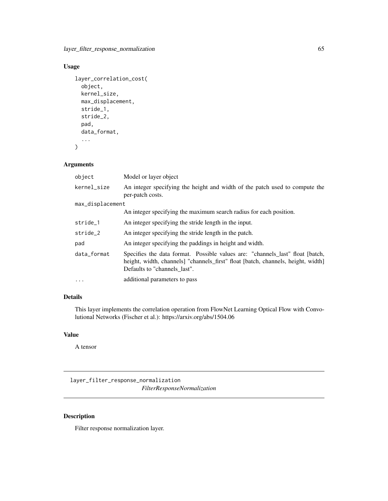layer\_filter\_response\_normalization 65

# Usage

```
layer_correlation_cost(
  object,
 kernel_size,
 max_displacement,
 stride_1,
  stride_2,
 pad,
  data_format,
  ...
)
```
#### Arguments

| object           | Model or layer object                                                                                                                                                                              |
|------------------|----------------------------------------------------------------------------------------------------------------------------------------------------------------------------------------------------|
| kernel_size      | An integer specifying the height and width of the patch used to compute the<br>per-patch costs.                                                                                                    |
| max_displacement |                                                                                                                                                                                                    |
|                  | An integer specifying the maximum search radius for each position.                                                                                                                                 |
| stride_1         | An integer specifying the stride length in the input.                                                                                                                                              |
| stride_2         | An integer specifying the stride length in the patch.                                                                                                                                              |
| pad              | An integer specifying the paddings in height and width.                                                                                                                                            |
| data format      | Specifies the data format. Possible values are: "channels_last" float [batch,<br>height, width, channels   "channels_first" float [batch, channels, height, width]<br>Defaults to "channels last". |
| $\ddotsc$        | additional parameters to pass                                                                                                                                                                      |

# Details

This layer implements the correlation operation from FlowNet Learning Optical Flow with Convolutional Networks (Fischer et al.): https://arxiv.org/abs/1504.06

# Value

A tensor

layer\_filter\_response\_normalization *FilterResponseNormalization*

# Description

Filter response normalization layer.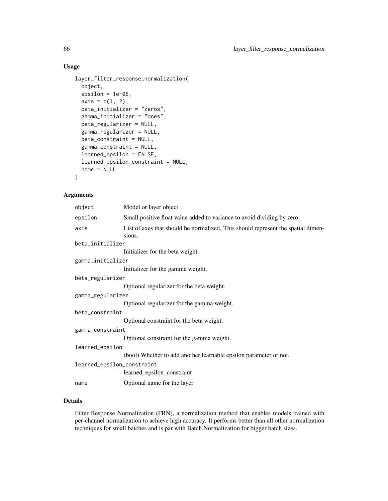# Usage

```
layer_filter_response_normalization(
 object,
 epsilon = 1e-06,
  axis = c(1, 2),beta_initializer = "zeros",
  gamma_initializer = "ones",
 beta_regularizer = NULL,
  gamma_regularizer = NULL,
 beta_constraint = NULL,
  gamma_constraint = NULL,
  learned_epsilon = FALSE,
  learned_epsilon_constraint = NULL,
  name = NULL
)
```
## Arguments

| object                     | Model or layer object                                                                      |
|----------------------------|--------------------------------------------------------------------------------------------|
| epsilon                    | Small positive float value added to variance to avoid dividing by zero.                    |
| axis                       | List of axes that should be normalized. This should represent the spatial dimen-<br>sions. |
| beta_initializer           |                                                                                            |
|                            | Initializer for the beta weight.                                                           |
| gamma_initializer          |                                                                                            |
|                            | Initializer for the gamma weight.                                                          |
| beta_regularizer           |                                                                                            |
|                            | Optional regularizer for the beta weight.                                                  |
| gamma_regularizer          |                                                                                            |
|                            | Optional regularizer for the gamma weight.                                                 |
| beta_constraint            |                                                                                            |
|                            | Optional constraint for the beta weight.                                                   |
| gamma_constraint           |                                                                                            |
|                            | Optional constraint for the gamma weight.                                                  |
| learned_epsilon            |                                                                                            |
|                            | (bool) Whether to add another learnable epsilon parameter or not.                          |
| learned_epsilon_constraint |                                                                                            |
|                            | learned_epsilon_constraint                                                                 |
| name                       | Optional name for the layer                                                                |

### Details

Filter Response Normalization (FRN), a normalization method that enables models trained with per-channel normalization to achieve high accuracy. It performs better than all other normalization techniques for small batches and is par with Batch Normalization for bigger batch sizes.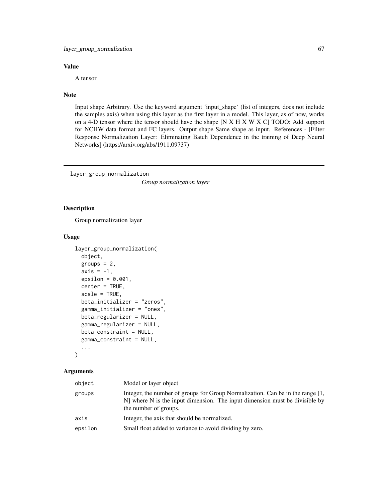#### Value

A tensor

#### Note

Input shape Arbitrary. Use the keyword argument 'input\_shape' (list of integers, does not include the samples axis) when using this layer as the first layer in a model. This layer, as of now, works on a 4-D tensor where the tensor should have the shape [N X H X W X C] TODO: Add support for NCHW data format and FC layers. Output shape Same shape as input. References - [Filter Response Normalization Layer: Eliminating Batch Dependence in the training of Deep Neural Networks] (https://arxiv.org/abs/1911.09737)

layer\_group\_normalization

*Group normalization layer*

# Description

Group normalization layer

#### Usage

```
layer_group_normalization(
 object,
  groups = 2,
  axis = -1,
  epsilon = 0.001,
  center = TRUE,
  scale = TRUE,
 beta_initializer = "zeros",
  gamma_initializer = "ones",
 beta_regularizer = NULL,
  gamma_regularizer = NULL,
 beta_constraint = NULL,
  gamma_constraint = NULL,
  ...
```
)

| object  | Model or layer object                                                                                                                                                                  |
|---------|----------------------------------------------------------------------------------------------------------------------------------------------------------------------------------------|
| groups  | Integer, the number of groups for Group Normalization. Can be in the range [1,<br>N] where N is the input dimension. The input dimension must be divisible by<br>the number of groups. |
| axis    | Integer, the axis that should be normalized.                                                                                                                                           |
| epsilon | Small float added to variance to avoid dividing by zero.                                                                                                                               |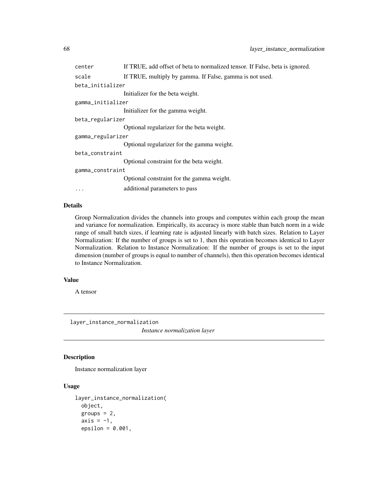| center            | If TRUE, add offset of beta to normalized tensor. If False, beta is ignored. |
|-------------------|------------------------------------------------------------------------------|
| scale             | If TRUE, multiply by gamma. If False, gamma is not used.                     |
| beta_initializer  |                                                                              |
|                   | Initializer for the beta weight.                                             |
| gamma_initializer |                                                                              |
|                   | Initializer for the gamma weight.                                            |
| beta_regularizer  |                                                                              |
|                   | Optional regularizer for the beta weight.                                    |
| gamma_regularizer |                                                                              |
|                   | Optional regularizer for the gamma weight.                                   |
| beta constraint   |                                                                              |
|                   | Optional constraint for the beta weight.                                     |
| gamma_constraint  |                                                                              |
|                   | Optional constraint for the gamma weight.                                    |
| $\ddotsc$         | additional parameters to pass                                                |

# Details

Group Normalization divides the channels into groups and computes within each group the mean and variance for normalization. Empirically, its accuracy is more stable than batch norm in a wide range of small batch sizes, if learning rate is adjusted linearly with batch sizes. Relation to Layer Normalization: If the number of groups is set to 1, then this operation becomes identical to Layer Normalization. Relation to Instance Normalization: If the number of groups is set to the input dimension (number of groups is equal to number of channels), then this operation becomes identical to Instance Normalization.

#### Value

A tensor

layer\_instance\_normalization

*Instance normalization layer*

#### Description

Instance normalization layer

# Usage

```
layer_instance_normalization(
  object,
  groups = 2,
  axis = -1,
  epsilon = 0.001,
```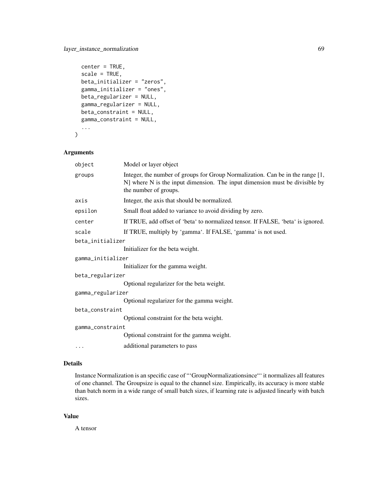```
center = TRUE,
scale = TRUE,
beta_initializer = "zeros",
gamma_initializer = "ones",
beta_regularizer = NULL,
gamma_regularizer = NULL,
beta_constraint = NULL,
gamma_constraint = NULL,
...
```
#### Arguments

 $\mathcal{L}$ 

| object            | Model or layer object                                                                                                                                                                  |  |
|-------------------|----------------------------------------------------------------------------------------------------------------------------------------------------------------------------------------|--|
| groups            | Integer, the number of groups for Group Normalization. Can be in the range [1,<br>N] where N is the input dimension. The input dimension must be divisible by<br>the number of groups. |  |
| axis              | Integer, the axis that should be normalized.                                                                                                                                           |  |
| epsilon           | Small float added to variance to avoid dividing by zero.                                                                                                                               |  |
| center            | If TRUE, add offset of 'beta' to normalized tensor. If FALSE, 'beta' is ignored.                                                                                                       |  |
| scale             | If TRUE, multiply by 'gamma'. If FALSE, 'gamma' is not used.                                                                                                                           |  |
| beta_initializer  |                                                                                                                                                                                        |  |
|                   | Initializer for the beta weight.                                                                                                                                                       |  |
| gamma_initializer |                                                                                                                                                                                        |  |
|                   | Initializer for the gamma weight.                                                                                                                                                      |  |
| beta_regularizer  |                                                                                                                                                                                        |  |
|                   | Optional regularizer for the beta weight.                                                                                                                                              |  |
| gamma_regularizer |                                                                                                                                                                                        |  |
|                   | Optional regularizer for the gamma weight.                                                                                                                                             |  |
| beta_constraint   |                                                                                                                                                                                        |  |
|                   | Optional constraint for the beta weight.                                                                                                                                               |  |
| gamma_constraint  |                                                                                                                                                                                        |  |
|                   | Optional constraint for the gamma weight.                                                                                                                                              |  |
| $\cdots$          | additional parameters to pass                                                                                                                                                          |  |

## Details

Instance Normalization is an specific case of "'GroupNormalizationsince"' it normalizes all features of one channel. The Groupsize is equal to the channel size. Empirically, its accuracy is more stable than batch norm in a wide range of small batch sizes, if learning rate is adjusted linearly with batch sizes.

#### Value

A tensor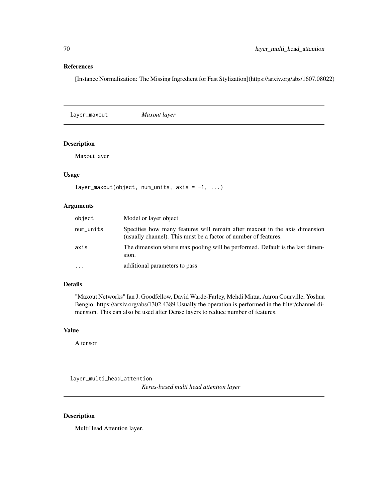### References

[Instance Normalization: The Missing Ingredient for Fast Stylization](https://arxiv.org/abs/1607.08022)

layer\_maxout *Maxout layer*

## Description

Maxout layer

# Usage

```
layer_maxout(object, num_units, axis = -1, ...)
```
## Arguments

| object    | Model or layer object                                                                                                                         |
|-----------|-----------------------------------------------------------------------------------------------------------------------------------------------|
| num_units | Specifies how many features will remain after maxout in the axis dimension<br>(usually channel). This must be a factor of number of features. |
| axis      | The dimension where max pooling will be performed. Default is the last dimen-<br>sion.                                                        |
| $\ddotsc$ | additional parameters to pass                                                                                                                 |

## Details

"Maxout Networks" Ian J. Goodfellow, David Warde-Farley, Mehdi Mirza, Aaron Courville, Yoshua Bengio. https://arxiv.org/abs/1302.4389 Usually the operation is performed in the filter/channel dimension. This can also be used after Dense layers to reduce number of features.

# Value

A tensor

layer\_multi\_head\_attention

*Keras-based multi head attention layer*

## Description

MultiHead Attention layer.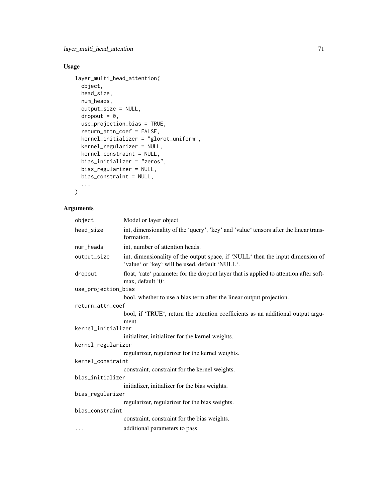# Usage

```
layer_multi_head_attention(
 object,
 head_size,
 num_heads,
 output_size = NULL,
  dropout = 0,
  use_projection_bias = TRUE,
  return_attn_coef = FALSE,
  kernel_initializer = "glorot_uniform",
 kernel_regularizer = NULL,
 kernel_constraint = NULL,
 bias_initializer = "zeros",
 bias_regularizer = NULL,
 bias_constraint = NULL,
  ...
\mathcal{L}
```

| object              | Model or layer object                                                                                                            |
|---------------------|----------------------------------------------------------------------------------------------------------------------------------|
| head_size           | int, dimensionality of the 'query', 'key' and 'value' tensors after the linear trans-<br>formation.                              |
| num_heads           | int, number of attention heads.                                                                                                  |
| output_size         | int, dimensionality of the output space, if 'NULL' then the input dimension of<br>'value' or 'key' will be used, default 'NULL'. |
| dropout             | float, 'rate' parameter for the dropout layer that is applied to attention after soft-<br>max, default '0'.                      |
| use_projection_bias |                                                                                                                                  |
|                     | bool, whether to use a bias term after the linear output projection.                                                             |
| return_attn_coef    |                                                                                                                                  |
|                     | bool, if 'TRUE', return the attention coefficients as an additional output argu-                                                 |
|                     | ment.                                                                                                                            |
| kernel_initializer  |                                                                                                                                  |
|                     | initializer, initializer for the kernel weights.                                                                                 |
| kernel_regularizer  |                                                                                                                                  |
|                     | regularizer, regularizer for the kernel weights.                                                                                 |
| kernel_constraint   |                                                                                                                                  |
|                     | constraint, constraint for the kernel weights.                                                                                   |
| bias_initializer    |                                                                                                                                  |
|                     | initializer, initializer for the bias weights.                                                                                   |
| bias_regularizer    |                                                                                                                                  |
|                     | regularizer, regularizer for the bias weights.                                                                                   |
| bias_constraint     |                                                                                                                                  |
|                     | constraint, constraint for the bias weights.                                                                                     |
| $\cdots$            | additional parameters to pass                                                                                                    |
|                     |                                                                                                                                  |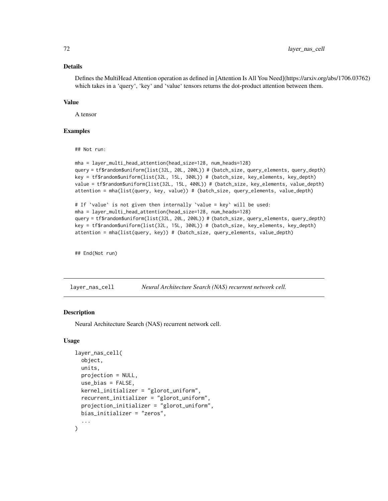### Details

Defines the MultiHead Attention operation as defined in [Attention Is All You Need](https://arxiv.org/abs/1706.03762) which takes in a 'query', 'key' and 'value' tensors returns the dot-product attention between them.

#### Value

A tensor

#### Examples

## Not run:

```
mha = layer_multi_head_attention(head_size=128, num_heads=128)
query = tf$random$uniform(list(32L, 20L, 200L)) # (batch_size, query_elements, query_depth)
key = tf$random$uniform(list(32L, 15L, 300L)) # (batch_size, key_elements, key_depth)
value = tf$random$uniform(list(32L, 15L, 400L)) # (batch_size, key_elements, value_depth)
attention = mha(list(query, key, value)) # (batch_size, query_elements, value_depth)
```

```
# If `value` is not given then internally `value = key` will be used:
mha = layer_multi_head_attention(head_size=128, num_heads=128)
query = tf$random$uniform(list(32L, 20L, 200L)) # (batch_size, query_elements, query_depth)
key = tf$random$uniform(list(32L, 15L, 300L)) # (batch_size, key_elements, key_depth)
attention = mha(list(query, key)) # (batch_size, query_elements, value_depth)
```
## End(Not run)

layer\_nas\_cell *Neural Architecture Search (NAS) recurrent network cell.*

# **Description**

Neural Architecture Search (NAS) recurrent network cell.

#### Usage

```
layer_nas_cell(
  object,
  units,
  projection = NULL,
  use_bias = FALSE,
  kernel_initializer = "glorot_uniform",
  recurrent_initializer = "glorot_uniform",
  projection_initializer = "glorot_uniform",
 bias_initializer = "zeros",
  ...
)
```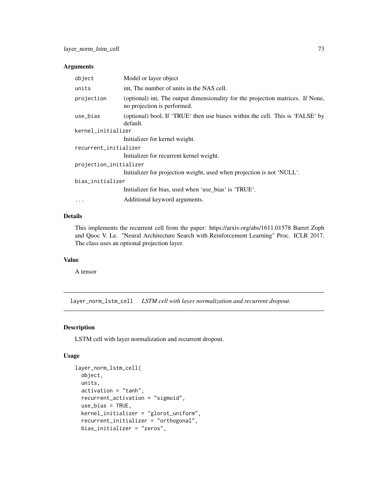| object                 | Model or layer object                                                                                          |  |
|------------------------|----------------------------------------------------------------------------------------------------------------|--|
| units                  | int, The number of units in the NAS cell.                                                                      |  |
| projection             | (optional) int, The output dimensionality for the projection matrices. If None,<br>no projection is performed. |  |
| use_bias               | (optional) bool, If 'TRUE' then use biases within the cell. This is 'FALSE' by<br>default.                     |  |
| kernel_initializer     |                                                                                                                |  |
|                        | Initializer for kernel weight.                                                                                 |  |
| recurrent_initializer  |                                                                                                                |  |
|                        | Initializer for recurrent kernel weight.                                                                       |  |
| projection_initializer |                                                                                                                |  |
|                        | Initializer for projection weight, used when projection is not 'NULL'.                                         |  |
| bias_initializer       |                                                                                                                |  |
|                        | Initializer for bias, used when 'use_bias' is 'TRUE'.                                                          |  |
| $\cdots$               | Additional keyword arguments.                                                                                  |  |

# Details

This implements the recurrent cell from the paper: https://arxiv.org/abs/1611.01578 Barret Zoph and Quoc V. Le. "Neural Architecture Search with Reinforcement Learning" Proc. ICLR 2017. The class uses an optional projection layer.

## Value

A tensor

layer\_norm\_lstm\_cell *LSTM cell with layer normalization and recurrent dropout.*

### Description

LSTM cell with layer normalization and recurrent dropout.

#### Usage

```
layer_norm_lstm_cell(
 object,
 units,
 activation = "tanh",
  recurrent_activation = "sigmoid",
 use_bias = TRUE,
 kernel_initializer = "glorot_uniform",
  recurrent_initializer = "orthogonal",
 bias_initializer = "zeros",
```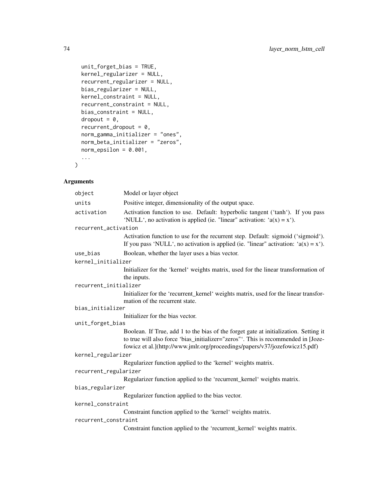```
unit_forget_bias = TRUE,
 kernel_regularizer = NULL,
 recurrent_regularizer = NULL,
 bias_regularizer = NULL,
 kernel_constraint = NULL,
  recurrent_constraint = NULL,
 bias_constraint = NULL,
  dropout = 0,
  recurrent_dropout = 0,norm_gamma_initializer = "ones",
 norm_beta_initializer = "zeros",
 norm\_epsilonilon = 0.001,
  ...
\mathcal{L}
```

| object                | Model or layer object                                                                                                                                                                                                                                    |  |
|-----------------------|----------------------------------------------------------------------------------------------------------------------------------------------------------------------------------------------------------------------------------------------------------|--|
| units                 | Positive integer, dimensionality of the output space.                                                                                                                                                                                                    |  |
|                       |                                                                                                                                                                                                                                                          |  |
| activation            | Activation function to use. Default: hyperbolic tangent ('tanh'). If you pass<br>'NULL', no activation is applied (ie. "linear" activation: $a(x) = x'$ ).                                                                                               |  |
| recurrent_activation  |                                                                                                                                                                                                                                                          |  |
|                       | Activation function to use for the recurrent step. Default: sigmoid ('sigmoid').<br>If you pass 'NULL', no activation is applied (ie. "linear" activation: $a(x) = x'$ ).                                                                                |  |
| use_bias              | Boolean, whether the layer uses a bias vector.                                                                                                                                                                                                           |  |
| kernel_initializer    |                                                                                                                                                                                                                                                          |  |
|                       | Initializer for the 'kernel' weights matrix, used for the linear transformation of<br>the inputs.                                                                                                                                                        |  |
| recurrent_initializer |                                                                                                                                                                                                                                                          |  |
|                       | Initializer for the 'recurrent_kernel' weights matrix, used for the linear transfor-<br>mation of the recurrent state.                                                                                                                                   |  |
| bias_initializer      |                                                                                                                                                                                                                                                          |  |
|                       | Initializer for the bias vector.                                                                                                                                                                                                                         |  |
| unit_forget_bias      |                                                                                                                                                                                                                                                          |  |
|                       | Boolean. If True, add 1 to the bias of the forget gate at initialization. Setting it<br>to true will also force 'bias_initializer="zeros"'. This is recommended in [Joze-<br>fowicz et al.](http://www.jmlr.org/proceedings/papers/v37/jozefowicz15.pdf) |  |
| kernel_regularizer    |                                                                                                                                                                                                                                                          |  |
|                       | Regularizer function applied to the 'kernel' weights matrix.                                                                                                                                                                                             |  |
| recurrent_regularizer |                                                                                                                                                                                                                                                          |  |
|                       | Regularizer function applied to the 'recurrent_kernel' weights matrix.                                                                                                                                                                                   |  |
| bias_regularizer      |                                                                                                                                                                                                                                                          |  |
|                       | Regularizer function applied to the bias vector.                                                                                                                                                                                                         |  |
| kernel_constraint     |                                                                                                                                                                                                                                                          |  |
|                       | Constraint function applied to the 'kernel' weights matrix.                                                                                                                                                                                              |  |
| recurrent_constraint  |                                                                                                                                                                                                                                                          |  |
|                       | Constraint function applied to the 'recurrent_kernel' weights matrix.                                                                                                                                                                                    |  |
|                       |                                                                                                                                                                                                                                                          |  |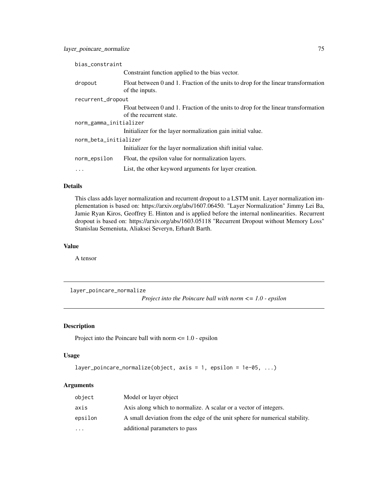| bias_constraint        |                                                                                                      |
|------------------------|------------------------------------------------------------------------------------------------------|
|                        | Constraint function applied to the bias vector.                                                      |
| dropout                | Float between 0 and 1. Fraction of the units to drop for the linear transformation<br>of the inputs. |
| recurrent_dropout      |                                                                                                      |
|                        | Float between 0 and 1. Fraction of the units to drop for the linear transformation                   |
|                        | of the recurrent state.                                                                              |
| norm_gamma_initializer |                                                                                                      |
|                        | Initializer for the layer normalization gain initial value.                                          |
| norm_beta_initializer  |                                                                                                      |
|                        | Initializer for the layer normalization shift initial value.                                         |
| norm_epsilon           | Float, the epsilon value for normalization layers.                                                   |
| $\ddots$               | List, the other keyword arguments for layer creation.                                                |

#### Details

This class adds layer normalization and recurrent dropout to a LSTM unit. Layer normalization implementation is based on: https://arxiv.org/abs/1607.06450. "Layer Normalization" Jimmy Lei Ba, Jamie Ryan Kiros, Geoffrey E. Hinton and is applied before the internal nonlinearities. Recurrent dropout is based on: https://arxiv.org/abs/1603.05118 "Recurrent Dropout without Memory Loss" Stanislau Semeniuta, Aliaksei Severyn, Erhardt Barth.

#### Value

A tensor

layer\_poincare\_normalize

*Project into the Poincare ball with norm <= 1.0 - epsilon*

# Description

Project into the Poincare ball with norm <= 1.0 - epsilon

#### Usage

```
layer_poincare_normalize(object, axis = 1, epsilon = 1e-05, ...)
```

| object    | Model or layer object                                                       |
|-----------|-----------------------------------------------------------------------------|
| axis      | Axis along which to normalize. A scalar or a vector of integers.            |
| epsilon   | A small deviation from the edge of the unit sphere for numerical stability. |
| $\ddotsc$ | additional parameters to pass                                               |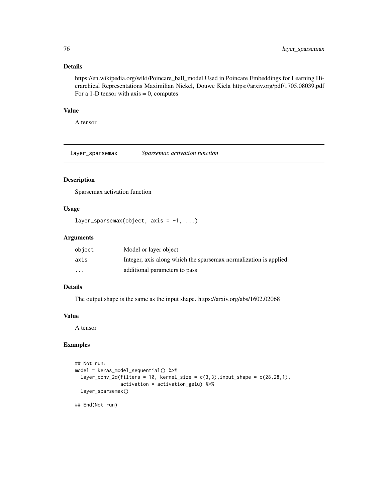#### Details

https://en.wikipedia.org/wiki/Poincare\_ball\_model Used in Poincare Embeddings for Learning Hierarchical Representations Maximilian Nickel, Douwe Kiela https://arxiv.org/pdf/1705.08039.pdf For a 1-D tensor with  $axis = 0$ , computes

#### Value

A tensor

layer\_sparsemax *Sparsemax activation function*

# Description

Sparsemax activation function

# Usage

```
layer_sparsemax(object, axis = -1, ...)
```
#### Arguments

| object                  | Model or layer object                                             |
|-------------------------|-------------------------------------------------------------------|
| axis                    | Integer, axis along which the sparsemax normalization is applied. |
| $\cdot$ $\cdot$ $\cdot$ | additional parameters to pass                                     |

# Details

The output shape is the same as the input shape. https://arxiv.org/abs/1602.02068

# Value

A tensor

### Examples

```
## Not run:
model = keras_model_sequential() %>%
  layer_conv_2d(filters = 10, kernel_size = c(3,3), input_shape = c(28,28,1),
                activation = activation_gelu) %>%
  layer_sparsemax()
```
## End(Not run)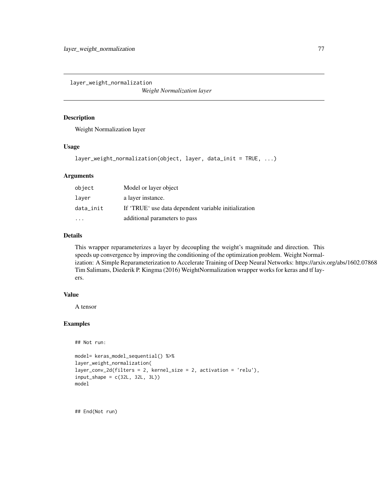layer\_weight\_normalization

*Weight Normalization layer*

#### Description

Weight Normalization layer

#### Usage

```
layer_weight_normalization(object, layer, data_init = TRUE, ...)
```
### Arguments

| object    | Model or layer object                                |
|-----------|------------------------------------------------------|
| laver     | a layer instance.                                    |
| data init | If 'TRUE' use data dependent variable initialization |
|           | additional parameters to pass                        |

#### Details

This wrapper reparameterizes a layer by decoupling the weight's magnitude and direction. This speeds up convergence by improving the conditioning of the optimization problem. Weight Normalization: A Simple Reparameterization to Accelerate Training of Deep Neural Networks: https://arxiv.org/abs/1602.07868 Tim Salimans, Diederik P. Kingma (2016) WeightNormalization wrapper works for keras and tf layers.

#### Value

A tensor

# Examples

```
## Not run:
```

```
model= keras_model_sequential() %>%
layer_weight_normalization(
layer_conv_2d(filters = 2, kernel_size = 2, activation = 'relu'),
input\_shape = c(32L, 32L, 3L))model
```
## End(Not run)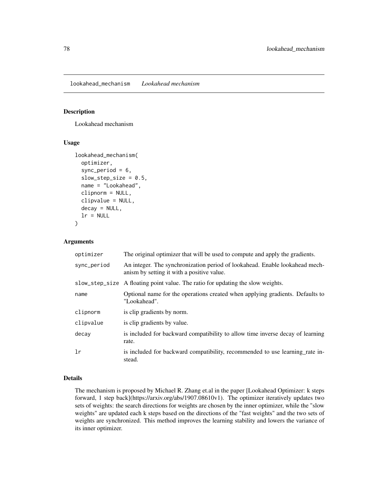lookahead\_mechanism *Lookahead mechanism*

#### Description

Lookahead mechanism

#### Usage

```
lookahead_mechanism(
  optimizer,
  sync_period = 6,
  slow\_step\_size = 0.5,
  name = "Lookahead",
  clipnorm = NULL,
  clipvalue = NULL,
  decay = NULL,
  lr = NULL)
```
#### Arguments

| optimizer   | The original optimizer that will be used to compute and apply the gradients.                                              |
|-------------|---------------------------------------------------------------------------------------------------------------------------|
| sync_period | An integer. The synchronization period of lookahead. Enable lookahead mech-<br>anism by setting it with a positive value. |
|             | slow_step_size A floating point value. The ratio for updating the slow weights.                                           |
| name        | Optional name for the operations created when applying gradients. Defaults to<br>"Lookahead".                             |
| clipnorm    | is clip gradients by norm.                                                                                                |
| clipvalue   | is clip gradients by value.                                                                                               |
| decay       | is included for backward compatibility to allow time inverse decay of learning<br>rate.                                   |
| 1r          | is included for backward compatibility, recommended to use learning rate in-<br>stead.                                    |

## Details

The mechanism is proposed by Michael R. Zhang et.al in the paper [Lookahead Optimizer: k steps forward, 1 step back](https://arxiv.org/abs/1907.08610v1). The optimizer iteratively updates two sets of weights: the search directions for weights are chosen by the inner optimizer, while the "slow weights" are updated each k steps based on the directions of the "fast weights" and the two sets of weights are synchronized. This method improves the learning stability and lowers the variance of its inner optimizer.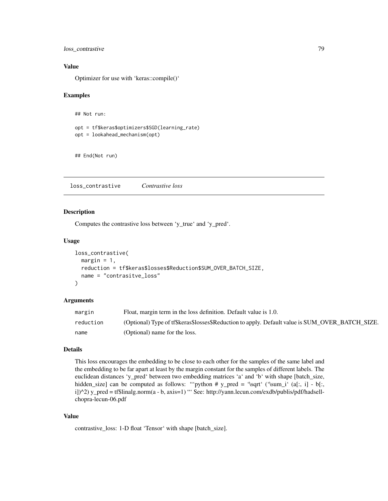loss\_contrastive 79

#### Value

Optimizer for use with 'keras::compile()'

#### Examples

```
## Not run:
```

```
opt = tf$keras$optimizers$SGD(learning_rate)
opt = lookahead_mechanism(opt)
```
## End(Not run)

loss\_contrastive *Contrastive loss*

#### Description

Computes the contrastive loss between 'y\_true' and 'y\_pred'.

#### Usage

```
loss_contrastive(
  margin = 1,
  reduction = tf$keras$losses$Reduction$SUM_OVER_BATCH_SIZE,
  name = "contrasitve_loss"
)
```
#### Arguments

| margin    | Float, margin term in the loss definition. Default value is 1.0.                                |
|-----------|-------------------------------------------------------------------------------------------------|
| reduction | (Optional) Type of tf\$keras\$losses\$Reduction to apply. Default value is SUM_OVER_BATCH_SIZE. |
| name      | (Optional) name for the loss.                                                                   |

# Details

This loss encourages the embedding to be close to each other for the samples of the same label and the embedding to be far apart at least by the margin constant for the samples of different labels. The euclidean distances 'y\_pred' between two embedding matrices 'a' and 'b' with shape [batch\_size, hidden\_size] can be computed as follows: "'python # y\_pred = '\sqrt' ('\sum\_i' (a[:, i] - b[:, i])^2) y\_pred = tf\$linalg.norm(a - b, axis=1) "' See: http://yann.lecun.com/exdb/publis/pdf/hadsellchopra-lecun-06.pdf

## Value

contrastive\_loss: 1-D float 'Tensor' with shape [batch\_size].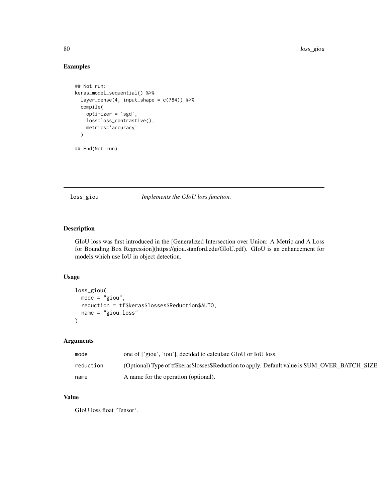# Examples

```
## Not run:
keras_model_sequential() %>%
  layer_dense(4, input_shape = c(784)) %>%
  compile(
   optimizer = 'sgd',
   loss=loss_contrastive(),
   metrics='accuracy'
  )
```
## End(Not run)

loss\_giou *Implements the GIoU loss function.*

#### Description

GIoU loss was first introduced in the [Generalized Intersection over Union: A Metric and A Loss for Bounding Box Regression](https://giou.stanford.edu/GIoU.pdf). GIoU is an enhancement for models which use IoU in object detection.

#### Usage

```
loss_giou(
 mode = "giou",
 reduction = tf$keras$losses$Reduction$AUTO,
 name = "giou_loss"
)
```
# Arguments

| mode      | one of ['giou', 'iou'], decided to calculate GIoU or IoU loss.                                  |
|-----------|-------------------------------------------------------------------------------------------------|
| reduction | (Optional) Type of tf\$keras\$losses\$Reduction to apply. Default value is SUM_OVER_BATCH_SIZE. |
| name      | A name for the operation (optional).                                                            |

# Value

GIoU loss float 'Tensor'.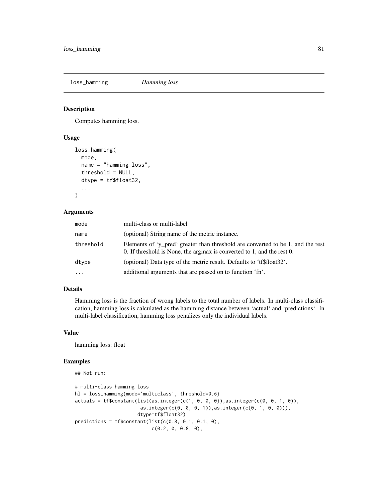loss\_hamming *Hamming loss*

# Description

Computes hamming loss.

#### Usage

```
loss_hamming(
 mode,
 name = "hamming_loss",
  threshold = NULL,
 dtype = tf$float32,
  ...
)
```
#### Arguments

| mode      | multi-class or multi-label                                                                                                                                |
|-----------|-----------------------------------------------------------------------------------------------------------------------------------------------------------|
| name      | (optional) String name of the metric instance.                                                                                                            |
| threshold | Elements of 'y pred' greater than threshold are converted to be 1, and the rest<br>0. If threshold is None, the argmax is converted to 1, and the rest 0. |
| dtype     | (optional) Data type of the metric result. Defaults to 'tf\$float32'.                                                                                     |
| $\ddotsc$ | additional arguments that are passed on to function 'fn'.                                                                                                 |

# Details

Hamming loss is the fraction of wrong labels to the total number of labels. In multi-class classification, hamming loss is calculated as the hamming distance between 'actual' and 'predictions'. In multi-label classification, hamming loss penalizes only the individual labels.

#### Value

hamming loss: float

# Examples

```
## Not run:
```

```
# multi-class hamming loss
hl = loss_hamming(mode='multiclass', threshold=0.6)
actuals = tf\text{Constant}(list(as.integer(c(1, 0, 0, 0)), as.integer(c(0, 0, 1, 0)),
                       as.integer(c(0, 0, 0, 1)),as.integer(c(0, 1, 0, 0))),
                      dtype=tf$float32)
predictions = tf$constant(list(c(0.8, 0.1, 0.1, 0),
                           c(0.2, 0, 0.8, 0),
```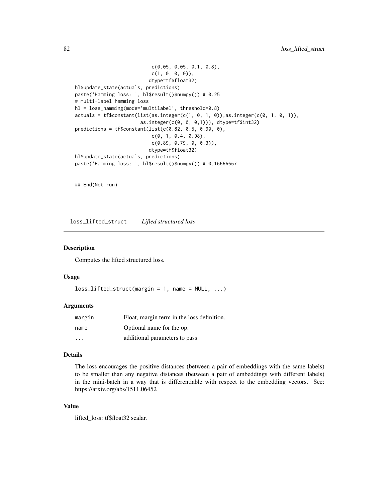```
c(0.05, 0.05, 0.1, 0.8),
                           c(1, 0, 0, 0),
                          dtype=tf$float32)
hl$update_state(actuals, predictions)
paste('Hamming loss: ', hl$result()$numpy()) # 0.25
# multi-label hamming loss
hl = loss_hamming(mode='multilabel', threshold=0.8)
actuals = tf\{constant}(list(as.integer(c(1, 0, 1, 0)), as.integer(c(0, 1, 0, 1)),
                       as.integer(c(0, 0, 0,1))), dtype=tf$int32)
predictions = tf$constant(list(c(0.82, 0.5, 0.90, 0),
                           c(0, 1, 0.4, 0.98),
                           c(0.89, 0.79, 0, 0.3)),
                          dtype=tf$float32)
hl$update_state(actuals, predictions)
paste('Hamming loss: ', hl$result()$numpy()) # 0.16666667
```
## End(Not run)

loss\_lifted\_struct *Lifted structured loss*

#### Description

Computes the lifted structured loss.

#### Usage

```
loss\_lifted\_struct(margin = 1, name = NULL, ...)
```
### Arguments

| margin | Float, margin term in the loss definition. |
|--------|--------------------------------------------|
| name   | Optional name for the op.                  |
| .      | additional parameters to pass              |

#### Details

The loss encourages the positive distances (between a pair of embeddings with the same labels) to be smaller than any negative distances (between a pair of embeddings with different labels) in the mini-batch in a way that is differentiable with respect to the embedding vectors. See: https://arxiv.org/abs/1511.06452

# Value

lifted\_loss: tf\$float32 scalar.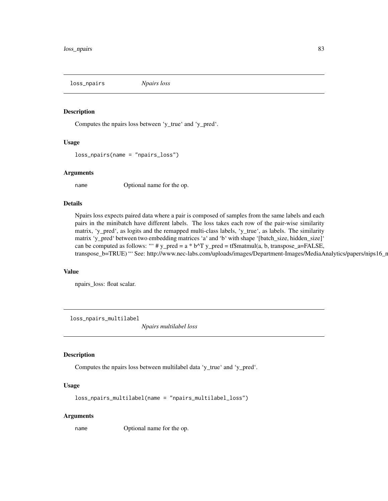loss\_npairs *Npairs loss*

#### Description

Computes the npairs loss between 'y\_true' and 'y\_pred'.

### Usage

```
loss_npairs(name = "npairs_loss")
```
#### Arguments

name Optional name for the op.

#### Details

Npairs loss expects paired data where a pair is composed of samples from the same labels and each pairs in the minibatch have different labels. The loss takes each row of the pair-wise similarity matrix, 'y\_pred', as logits and the remapped multi-class labels, 'y\_true', as labels. The similarity matrix 'y\_pred' between two embedding matrices 'a' and 'b' with shape '[batch\_size, hidden\_size]' can be computed as follows: ""  $\#$  y\_pred = a \* b^T y\_pred = tf\$matmul(a, b, transpose\_a=FALSE, transpose\_b=TRUE) "' See: http://www.nec-labs.com/uploads/images/Department-Images/MediaAnalytics/papers/nips16\_r

#### Value

npairs\_loss: float scalar.

loss\_npairs\_multilabel

*Npairs multilabel loss*

## Description

Computes the npairs loss between multilabel data 'y\_true' and 'y\_pred'.

#### Usage

loss\_npairs\_multilabel(name = "npairs\_multilabel\_loss")

#### Arguments

name Optional name for the op.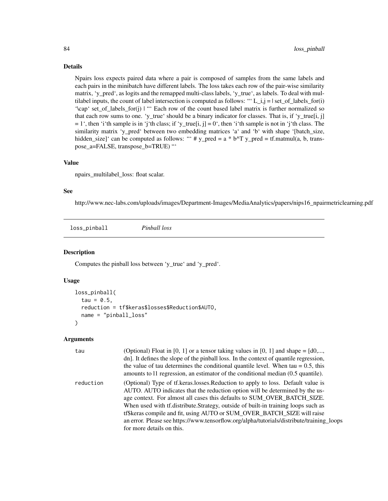#### Details

Npairs loss expects paired data where a pair is composed of samples from the same labels and each pairs in the minibatch have different labels. The loss takes each row of the pair-wise similarity matrix, 'y\_pred', as logits and the remapped multi-class labels, 'y\_true', as labels. To deal with multilabel inputs, the count of label intersection is computed as follows: "' $L_i$ ,j = | set\_of\_labels\_for(i) '\cap' set\_of\_labels\_for(j) | "' Each row of the count based label matrix is further normalized so that each row sums to one. 'y\_true' should be a binary indicator for classes. That is, if 'y\_true[i, j]  $= 1<sup>4</sup>$ , then 'i'th sample is in 'j'th class; if 'y\_true[i, j] = 0', then 'i'th sample is not in 'j'th class. The similarity matrix 'y\_pred' between two embedding matrices 'a' and 'b' with shape '[batch\_size, hidden\_size]' can be computed as follows: "'  $\# y$ \_pred = a \* b^T y\_pred = tf.matmul(a, b, transpose\_a=FALSE, transpose\_b=TRUE) "'

#### Value

npairs\_multilabel\_loss: float scalar.

### See

http://www.nec-labs.com/uploads/images/Department-Images/MediaAnalytics/papers/nips16\_npairmetriclearning.pdf

loss\_pinball *Pinball loss*

#### **Description**

Computes the pinball loss between 'y\_true' and 'y\_pred'.

#### Usage

```
loss_pinball(
  tau = 0.5,
  reduction = tf$keras$losses$Reduction$AUTO,
  name = "pinball_loss"
)
```

| tau       | (Optional) Float in [0, 1] or a tensor taking values in [0, 1] and shape $=[d0, \dots, d]$<br>dn]. It defines the slope of the pinball loss. In the context of quantile regression,                                                                                                                                                                                                                                                                                                                                                     |
|-----------|-----------------------------------------------------------------------------------------------------------------------------------------------------------------------------------------------------------------------------------------------------------------------------------------------------------------------------------------------------------------------------------------------------------------------------------------------------------------------------------------------------------------------------------------|
|           | the value of tau determines the conditional quantile level. When $tau = 0.5$ , this<br>amounts to 11 regression, an estimator of the conditional median (0.5 quantile).                                                                                                                                                                                                                                                                                                                                                                 |
| reduction | (Optional) Type of tf. keras. losses. Reduction to apply to loss. Default value is<br>AUTO. AUTO indicates that the reduction option will be determined by the us-<br>age context. For almost all cases this defaults to SUM_OVER_BATCH_SIZE.<br>When used with tf.distribute.Strategy, outside of built-in training loops such as<br>tf\$keras compile and fit, using AUTO or SUM_OVER_BATCH_SIZE will raise<br>an error. Please see https://www.tensorflow.org/alpha/tutorials/distribute/training_loops<br>for more details on this. |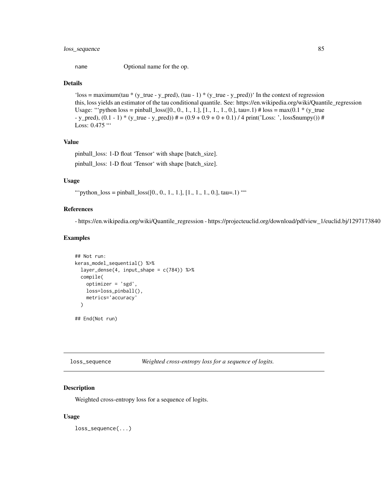# loss\_sequence 85

name Optional name for the op.

#### Details

'loss = maximum(tau \* (y\_true - y\_pred), (tau - 1) \* (y\_true - y\_pred))' In the context of regression this, loss yields an estimator of the tau conditional quantile. See: https://en.wikipedia.org/wiki/Quantile\_regression Usage: "'python loss = pinball\_loss( $[0, 0, 1, 1, 1]$ ,  $[1, 1, 1, 0]$ , tau=.1) # loss = max $(0.1 * (y_true$  $-$  y\_pred),  $(0.1 - 1)$  \* (y\_true  $-$  y\_pred))  $\# = (0.9 + 0.9 + 0 + 0.1)$  / 4 print('Loss: ', loss\$numpy())  $\#$ Loss: 0.475 "

### Value

pinball\_loss: 1-D float 'Tensor' with shape [batch\_size]. pinball\_loss: 1-D float 'Tensor' with shape [batch\_size].

#### Usage

"" python\_loss = pinball\_loss([0., 0., 1., 1.], [1., 1., 1., 0.], tau=.1) ""

# References

- https://en.wikipedia.org/wiki/Quantile\_regression - https://projecteuclid.org/download/pdfview\_1/euclid.bj/1297173840

#### Examples

```
## Not run:
keras_model_sequential() %>%
 layer_dense(4, input_shape = c(784)) %>%
 compile(
   optimizer = 'sgd',
   loss=loss_pinball(),
   metrics='accuracy'
 )
## End(Not run)
```
loss\_sequence *Weighted cross-entropy loss for a sequence of logits.*

#### Description

Weighted cross-entropy loss for a sequence of logits.

#### Usage

loss\_sequence(...)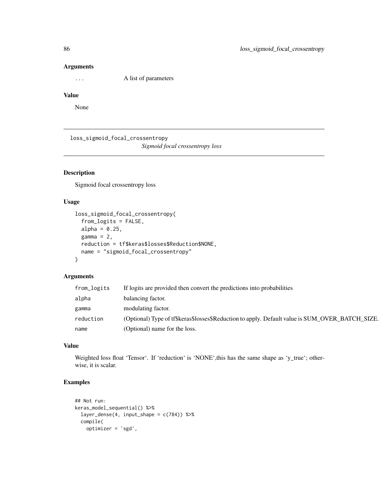... A list of parameters

#### Value

None

loss\_sigmoid\_focal\_crossentropy

*Sigmoid focal crossentropy loss*

# Description

Sigmoid focal crossentropy loss

# Usage

```
loss_sigmoid_focal_crossentropy(
  from_logits = FALSE,
 alpha = 0.25,
 gamma = 2,
 reduction = tf$keras$losses$Reduction$NONE,
 name = "sigmoid_focal_crossentropy"
)
```
## Arguments

| from_logits | If logits are provided then convert the predictions into probabilities                          |
|-------------|-------------------------------------------------------------------------------------------------|
| alpha       | balancing factor.                                                                               |
| gamma       | modulating factor.                                                                              |
| reduction   | (Optional) Type of tf\$keras\$losses\$Reduction to apply. Default value is SUM_OVER_BATCH_SIZE. |
| name        | (Optional) name for the loss.                                                                   |

#### Value

Weighted loss float 'Tensor'. If 'reduction' is 'NONE', this has the same shape as 'y\_true'; otherwise, it is scalar.

# Examples

```
## Not run:
keras_model_sequential() %>%
  layer\_dense(4, input\_shape = c(784)) %>%
  compile(
   optimizer = 'sgd',
```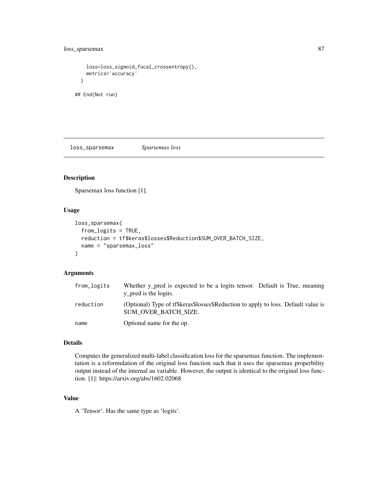```
loss=loss_sigmoid_focal_crossentropy(),
   metrics='accuracy'
 )
## End(Not run)
```
loss\_sparsemax *Sparsemax loss*

# Description

Sparsemax loss function [1].

#### Usage

```
loss_sparsemax(
  from_logits = TRUE,
  reduction = tf$keras$losses$Reduction$SUM_OVER_BATCH_SIZE,
 name = "sparsemax_loss"
)
```
#### Arguments

| from_logits | Whether y pred is expected to be a logits tensor. Default is True, meaning<br>y pred is the logits.        |
|-------------|------------------------------------------------------------------------------------------------------------|
| reduction   | (Optional) Type of tf\$keras\$losses\$Reduction to apply to loss. Default value is<br>SUM OVER BATCH SIZE. |
| name        | Optional name for the op.                                                                                  |

#### Details

Computes the generalized multi-label classification loss for the sparsemax function. The implementation is a reformulation of the original loss function such that it uses the sparsemax properbility output instead of the internal au variable. However, the output is identical to the original loss function. [1]: https://arxiv.org/abs/1602.02068

### Value

A 'Tensor'. Has the same type as 'logits'.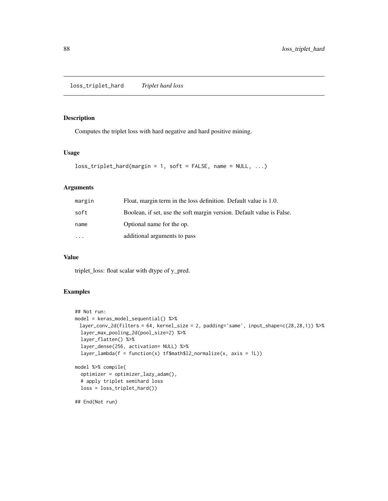# Description

Computes the triplet loss with hard negative and hard positive mining.

# Usage

```
loss_triplet_hard(margin = 1, soft = FALSE, name = NULL, ...)
```
# Arguments

| margin | Float, margin term in the loss definition. Default value is 1.0.      |
|--------|-----------------------------------------------------------------------|
| soft   | Boolean, if set, use the soft margin version. Default value is False. |
| name   | Optional name for the op.                                             |
|        | additional arguments to pass                                          |

### Value

triplet\_loss: float scalar with dtype of y\_pred.

# Examples

```
## Not run:
model = keras_model_sequential() %>%
 layer_conv_2d(filters = 64, kernel_size = 2, padding='same', input_shape=c(28,28,1)) %>%
 layer_max_pooling_2d(pool_size=2) %>%
  layer_flatten() %>%
  layer_dense(256, activation= NULL) %>%
  layer\_lambda(f = function(x) tf3math12}_normalize(x, axis = 1L))model %>% compile(
  optimizer = optimizer_lazy_adam(),
  # apply triplet semihard loss
  loss = loss_triplet_hard())
## End(Not run)
```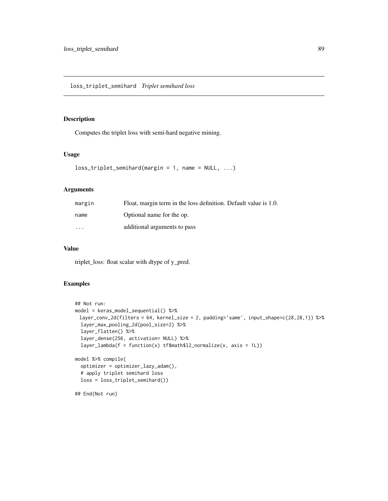#### Description

Computes the triplet loss with semi-hard negative mining.

## Usage

```
loss_triplet\_semihard(margin = 1, name = NULL, ...)
```
#### Arguments

| margin                  | Float, margin term in the loss definition. Default value is 1.0. |
|-------------------------|------------------------------------------------------------------|
| name                    | Optional name for the op.                                        |
| $\cdot$ $\cdot$ $\cdot$ | additional arguments to pass                                     |

#### Value

triplet\_loss: float scalar with dtype of y\_pred.

# Examples

```
## Not run:
model = keras_model_sequential() %>%
 layer_conv_2d(filters = 64, kernel_size = 2, padding='same', input_shape=c(28,28,1)) %>%
 layer_max_pooling_2d(pool_size=2) %>%
 layer_flatten() %>%
  layer_dense(256, activation= NULL) %>%
  layer\_lambda(f = function(x) tf$math12_normmalice(x, axis = 1L))model %>% compile(
  optimizer = optimizer_lazy_adam(),
  # apply triplet semihard loss
  loss = loss_triplet_semihard())
```
## End(Not run)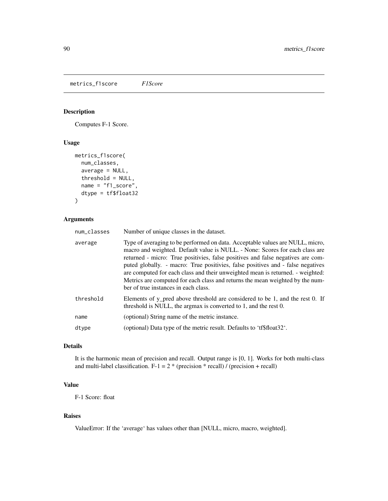metrics\_f1score *F1Score*

# Description

Computes F-1 Score.

# Usage

```
metrics_f1score(
  num_classes,
  average = NULL,
  threshold = NULL,
 name = "f1_score",
 dtype = tf$float32
)
```
# Arguments

| num_classes | Number of unique classes in the dataset.                                                                                                                                                                                                                                                                                                                                                                                                                                                                                                       |
|-------------|------------------------------------------------------------------------------------------------------------------------------------------------------------------------------------------------------------------------------------------------------------------------------------------------------------------------------------------------------------------------------------------------------------------------------------------------------------------------------------------------------------------------------------------------|
| average     | Type of averaging to be performed on data. Acceptable values are NULL, micro,<br>macro and weighted. Default value is NULL. - None: Scores for each class are<br>returned - micro: True positivies, false positives and false negatives are com-<br>puted globally. - macro: True positivies, false positives and - false negatives<br>are computed for each class and their unweighted mean is returned. - weighted:<br>Metrics are computed for each class and returns the mean weighted by the num-<br>ber of true instances in each class. |
| threshold   | Elements of y_pred above threshold are considered to be 1, and the rest 0. If<br>threshold is NULL, the argmax is converted to 1, and the rest 0.                                                                                                                                                                                                                                                                                                                                                                                              |
| name        | (optional) String name of the metric instance.                                                                                                                                                                                                                                                                                                                                                                                                                                                                                                 |
| dtype       | (optional) Data type of the metric result. Defaults to 'tf\$float32'.                                                                                                                                                                                                                                                                                                                                                                                                                                                                          |
|             |                                                                                                                                                                                                                                                                                                                                                                                                                                                                                                                                                |

## Details

It is the harmonic mean of precision and recall. Output range is [0, 1]. Works for both multi-class and multi-label classification.  $F-1 = 2 * (precision * recall) / (precision + recall)$ 

# Value

F-1 Score: float

#### Raises

ValueError: If the 'average' has values other than [NULL, micro, macro, weighted].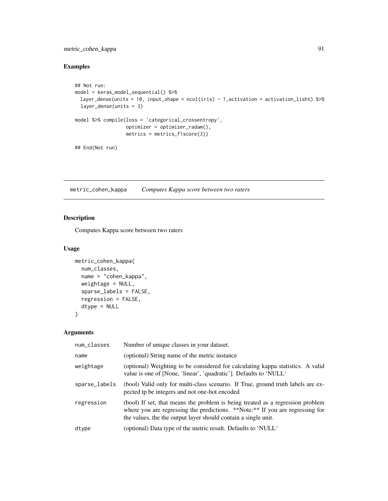# metric\_cohen\_kappa 91

# Examples

```
## Not run:
model = keras_model_sequential() %>%
 layer_dense(units = 10, input_shape = ncol(iris) - 1,activation = activation_lisht) %>%
  layer_dense(units = 3)
model %>% compile(loss = 'categorical_crossentropy',
                  optimizer = optimizer_radam(),
                  metrics = metrics_f1score(3))
## End(Not run)
```
metric\_cohen\_kappa *Computes Kappa score between two raters*

# Description

Computes Kappa score between two raters

#### Usage

```
metric_cohen_kappa(
 num_classes,
  name = "cohen_kappa",
 weightage = NULL,
  sparse_labels = FALSE,
  regression = FALSE,
  dtype = NULL
\lambda
```

| num_classes   | Number of unique classes in your dataset.                                                                                                                                                                                         |
|---------------|-----------------------------------------------------------------------------------------------------------------------------------------------------------------------------------------------------------------------------------|
| name          | (optional) String name of the metric instance                                                                                                                                                                                     |
| weightage     | (optional) Weighting to be considered for calculating kappa statistics. A valid<br>value is one of [None, 'linear', 'quadratic']. Defaults to 'NULL'                                                                              |
| sparse_labels | (bool) Valid only for multi-class scenario. If True, ground truth labels are ex-<br>pected tp be integers and not one-hot encoded                                                                                                 |
| regression    | (bool) If set, that means the problem is being treated as a regression problem<br>where you are regressing the predictions. **Note:** If you are regressing for<br>the values, the the output layer should contain a single unit. |
| dtype         | (optional) Data type of the metric result. Defaults to 'NULL'                                                                                                                                                                     |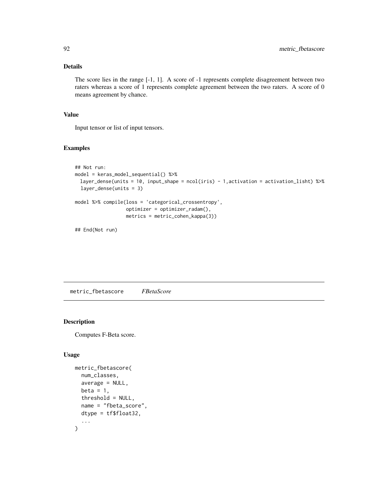# Details

The score lies in the range [-1, 1]. A score of -1 represents complete disagreement between two raters whereas a score of 1 represents complete agreement between the two raters. A score of 0 means agreement by chance.

# Value

Input tensor or list of input tensors.

# Examples

```
## Not run:
model = keras_model_sequential() %>%
 layer_dense(units = 10, input_shape = ncol(iris) - 1,activation = activation_lisht) %>%
  layer_dense(units = 3)
model %>% compile(loss = 'categorical_crossentropy',
                  optimizer = optimizer_radam(),
                  metrics = metric_cohen_kappa(3))
```

```
## End(Not run)
```
metric\_fbetascore *FBetaScore*

### Description

Computes F-Beta score.

## Usage

```
metric_fbetascore(
  num_classes,
  average = NULL,
  beta = 1,
  threshold = NULL,
  name = "fbeta_score",
  dtype = tf$float32,
  ...
)
```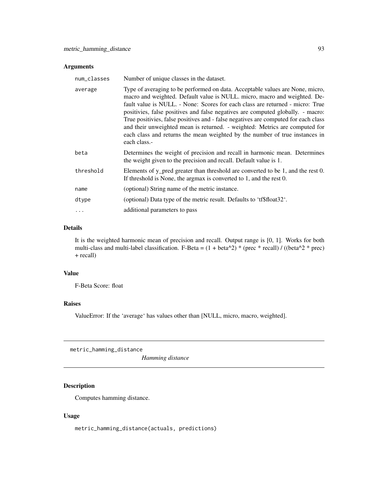| num_classes | Number of unique classes in the dataset.                                                                                                                                                                                                                                                                                                                                                                                                                                                                                                                                                           |
|-------------|----------------------------------------------------------------------------------------------------------------------------------------------------------------------------------------------------------------------------------------------------------------------------------------------------------------------------------------------------------------------------------------------------------------------------------------------------------------------------------------------------------------------------------------------------------------------------------------------------|
| average     | Type of averaging to be performed on data. Acceptable values are None, micro,<br>macro and weighted. Default value is NULL. micro, macro and weighted. De-<br>fault value is NULL. - None: Scores for each class are returned - micro: True<br>positivies, false positives and false negatives are computed globally. - macro:<br>True positivies, false positives and - false negatives are computed for each class<br>and their unweighted mean is returned. - weighted: Metrics are computed for<br>each class and returns the mean weighted by the number of true instances in<br>each class.- |
| beta        | Determines the weight of precision and recall in harmonic mean. Determines<br>the weight given to the precision and recall. Default value is 1.                                                                                                                                                                                                                                                                                                                                                                                                                                                    |
| threshold   | Elements of y_pred greater than threshold are converted to be 1, and the rest 0.<br>If threshold is None, the argmax is converted to 1, and the rest 0.                                                                                                                                                                                                                                                                                                                                                                                                                                            |
| name        | (optional) String name of the metric instance.                                                                                                                                                                                                                                                                                                                                                                                                                                                                                                                                                     |
| dtype       | (optional) Data type of the metric result. Defaults to 'tf\$float32'.                                                                                                                                                                                                                                                                                                                                                                                                                                                                                                                              |
| $\ddots$    | additional parameters to pass                                                                                                                                                                                                                                                                                                                                                                                                                                                                                                                                                                      |
|             |                                                                                                                                                                                                                                                                                                                                                                                                                                                                                                                                                                                                    |

# Details

It is the weighted harmonic mean of precision and recall. Output range is [0, 1]. Works for both multi-class and multi-label classification. F-Beta =  $(1 + \text{beta}^2)$  \* (prec \* recall) / ((beta^2 \* prec) + recall)

# Value

F-Beta Score: float

# Raises

ValueError: If the 'average' has values other than [NULL, micro, macro, weighted].

metric\_hamming\_distance

*Hamming distance*

# Description

Computes hamming distance.

#### Usage

metric\_hamming\_distance(actuals, predictions)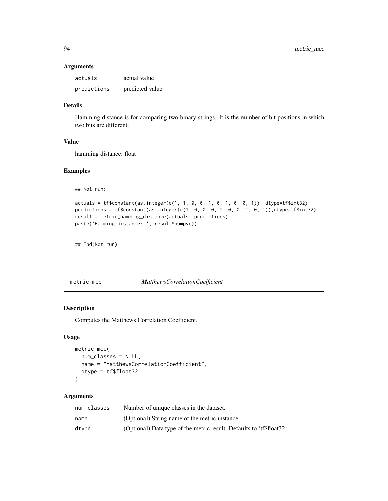| actuals     | actual value    |
|-------------|-----------------|
| predictions | predicted value |

# Details

Hamming distance is for comparing two binary strings. It is the number of bit positions in which two bits are different.

#### Value

hamming distance: float

## Examples

## Not run:

```
actuals = tf$constant(as.integer(c(1, 1, 0, 0, 1, 0, 1, 0, 0, 1)), dtype=tf$int32)
predictions = tf$constant(as.integer(c(1, 0, 0, 0, 1, 0, 0, 1, 0, 1)),dtype=tf$int32)
result = metric_hamming_distance(actuals, predictions)
paste('Hamming distance: ', result$numpy())
```
## End(Not run)

metric\_mcc *MatthewsCorrelationCoefficient*

# Description

Computes the Matthews Correlation Coefficient.

#### Usage

```
metric_mcc(
  num_classes = NULL,
  name = "MatthewsCorrelationCoefficient",
  dtype = tf$float32
\mathcal{L}
```

| num classes | Number of unique classes in the dataset.                              |
|-------------|-----------------------------------------------------------------------|
| name        | (Optional) String name of the metric instance.                        |
| dtype       | (Optional) Data type of the metric result. Defaults to 'tf\$float32'. |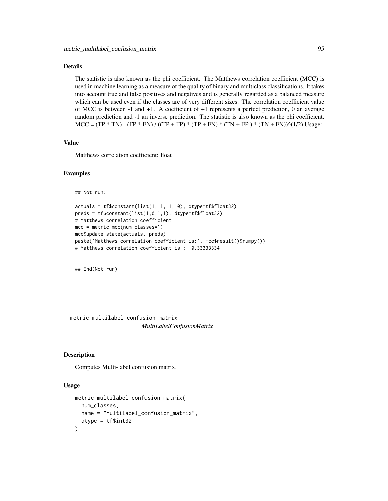# Details

The statistic is also known as the phi coefficient. The Matthews correlation coefficient (MCC) is used in machine learning as a measure of the quality of binary and multiclass classifications. It takes into account true and false positives and negatives and is generally regarded as a balanced measure which can be used even if the classes are of very different sizes. The correlation coefficient value of MCC is between -1 and +1. A coefficient of +1 represents a perfect prediction, 0 an average random prediction and -1 an inverse prediction. The statistic is also known as the phi coefficient.  $MCC = (TP * TN) - (FP * FN) / ((TP + FP) * (TP + FN) * (TN + FP) * (TN + FN))$ <sup>(1/2)</sup> Usage:

#### Value

Matthews correlation coefficient: float

#### Examples

```
## Not run:
```

```
actuals = tf\{constant}(list(1, 1, 1, 0), dtype=tf\fload32)
preds = tf\$constant(list(1,0,1,1), dtype=tfsfloat32)# Matthews correlation coefficient
mcc = metric mcc(num classes=1)mcc$update_state(actuals, preds)
paste('Matthews correlation coefficient is:', mcc$result()$numpy())
# Matthews correlation coefficient is : -0.33333334
```
## End(Not run)

metric\_multilabel\_confusion\_matrix *MultiLabelConfusionMatrix*

#### **Description**

Computes Multi-label confusion matrix.

#### Usage

```
metric_multilabel_confusion_matrix(
  num_classes,
 name = "Multilabel_confusion_matrix",
  dtype = tf$int32)
```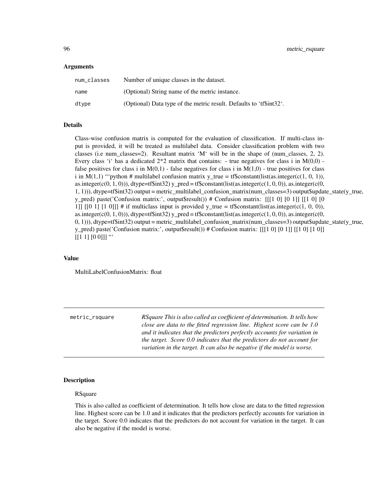| num_classes | Number of unique classes in the dataset.                             |
|-------------|----------------------------------------------------------------------|
| name        | (Optional) String name of the metric instance.                       |
| dtype       | (Optional) Data type of the metric result. Defaults to 'tf\\$int32'. |

### Details

Class-wise confusion matrix is computed for the evaluation of classification. If multi-class input is provided, it will be treated as multilabel data. Consider classification problem with two classes (i.e num\_classes=2). Resultant matrix 'M' will be in the shape of (num\_classes, 2, 2). Every class 'i' has a dedicated  $2*2$  matrix that contains: - true negatives for class i in  $M(0,0)$  false positives for class i in  $M(0,1)$  - false negatives for class i in  $M(1,0)$  - true positives for class i in  $M(1,1)$  "'python # multilabel confusion matrix y\_true = tf\$constant(list(as.integer(c(1, 0, 1)), as.integer(c(0, 1, 0))), dtype=tf\\$int32) y\_pred = tf\\$constant(list(as.integer(c(1, 0, 0)), as.integer(c(0, 1, 1))), dtype=tf\$int32) output = metric\_multilabel\_confusion\_matrix(num\_classes=3) output\$update\_state(y\_true, y\_pred) paste('Confusion matrix:', output\$result()) # Confusion matrix: [[[1 0] [0 1]] [[1 0] [0 1]] [[0 1] [1 0]]] # if multiclass input is provided y true = tf\$constant(list(as.integer(c(1, 0, 0)), as.integer(c(0, 1, 0))), dtype=tf\$int32) y\_pred = tf\$constant(list(as.integer(c(1, 0, 0)), as.integer(c(0,  $(0, 1)$ )), dtype=tf\$int32) output = metric\_multilabel\_confusion\_matrix(num\_classes=3) output\$update\_state(y\_true, y\_pred) paste('Confusion matrix:', output\$result()) # Confusion matrix: [[[1 0] [0 1]] [[1 0] [1 0]]  $[[1 1] [0 0]]$  "

### Value

MultiLabelConfusionMatrix: float

| metric_rsquare | RSquare This is also called as coefficient of determination. It tells how |
|----------------|---------------------------------------------------------------------------|
|                | close are data to the fitted regression line. Highest score can be $1.0$  |
|                | and it indicates that the predictors perfectly accounts for variation in  |
|                | the target. Score 0.0 indicates that the predictors do not account for    |
|                | variation in the target. It can also be negative if the model is worse.   |
|                |                                                                           |

#### **Description**

#### RSquare

This is also called as coefficient of determination. It tells how close are data to the fitted regression line. Highest score can be 1.0 and it indicates that the predictors perfectly accounts for variation in the target. Score 0.0 indicates that the predictors do not account for variation in the target. It can also be negative if the model is worse.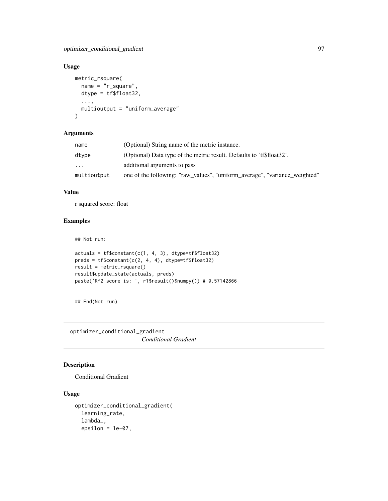# Usage

```
metric_rsquare(
 name = "r_square",
 dtype = tf$float32,
  ...,
 multioutput = "uniform_average"
)
```
#### Arguments

| name        | (Optional) String name of the metric instance.                             |
|-------------|----------------------------------------------------------------------------|
| dtvpe       | (Optional) Data type of the metric result. Defaults to 'tf\$float32'.      |
| $\ddotsc$   | additional arguments to pass                                               |
| multioutput | one of the following: "raw_values", "uniform_average", "variance_weighted" |

# Value

r squared score: float

# Examples

## Not run:

```
actuals = tf\{constant}(c(1, 4, 3), dtype=tfsfloat32)
preds = tf$constant(c(2, 4, 4), dtype=tf$float32)
result = metric_rsquare()
result$update_state(actuals, preds)
paste('R^2 score is: ', r1$result()$numpy()) # 0.57142866
```
## End(Not run)

optimizer\_conditional\_gradient *Conditional Gradient*

# Description

Conditional Gradient

## Usage

```
optimizer_conditional_gradient(
  learning_rate,
  lambda_,
  epsilon = 1e-07,
```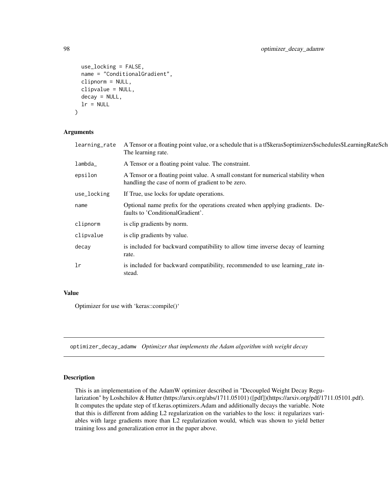```
use_locking = FALSE,
 name = "ConditionalGradient",
 clipnorm = NULL,
 clipvalue = NULL,
 decay = NULL,
 lr = NULL)
```

| A Tensor or a floating point value, or a schedule that is a tf\$keras\$optimizers\$schedules\$LearningRateSch<br>The learning rate.    |
|----------------------------------------------------------------------------------------------------------------------------------------|
| A Tensor or a floating point value. The constraint.                                                                                    |
| A Tensor or a floating point value. A small constant for numerical stability when<br>handling the case of norm of gradient to be zero. |
| If True, use locks for update operations.                                                                                              |
| Optional name prefix for the operations created when applying gradients. De-<br>faults to 'Conditional Gradient'.                      |
| is clip gradients by norm.                                                                                                             |
| is clip gradients by value.                                                                                                            |
| is included for backward compatibility to allow time inverse decay of learning<br>rate.                                                |
| is included for backward compatibility, recommended to use learning_rate in-<br>stead.                                                 |
|                                                                                                                                        |

# Value

Optimizer for use with 'keras::compile()'

optimizer\_decay\_adamw *Optimizer that implements the Adam algorithm with weight decay*

# Description

This is an implementation of the AdamW optimizer described in "Decoupled Weight Decay Regularization" by Loshchilov & Hutter (https://arxiv.org/abs/1711.05101) ([pdf])(https://arxiv.org/pdf/1711.05101.pdf). It computes the update step of tf.keras.optimizers.Adam and additionally decays the variable. Note that this is different from adding L2 regularization on the variables to the loss: it regularizes variables with large gradients more than L2 regularization would, which was shown to yield better training loss and generalization error in the paper above.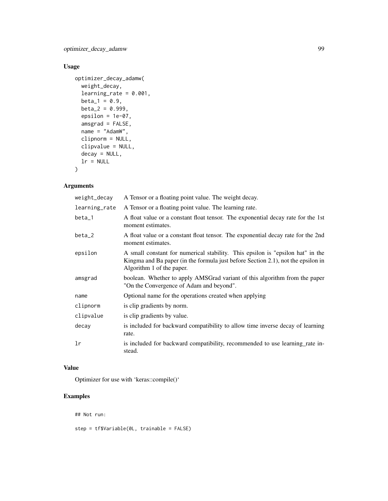optimizer\_decay\_adamw 99

# Usage

```
optimizer_decay_adamw(
  weight_decay,
  learning_rate = 0.001,beta_1 = 0.9,
  beta_2 = 0.999,
  epsilon = 1e-07,
  amsgrad = FALSE,
  name = "AdamW",
  clipnorm = NULL,
  clipvalue = NULL,
  decay = NULL,
  lr = NULL\mathcal{L}
```
# Arguments

| weight_decay  | A Tensor or a floating point value. The weight decay.                                                                                                                                           |
|---------------|-------------------------------------------------------------------------------------------------------------------------------------------------------------------------------------------------|
| learning_rate | A Tensor or a floating point value. The learning rate.                                                                                                                                          |
| beta_1        | A float value or a constant float tensor. The exponential decay rate for the 1st<br>moment estimates.                                                                                           |
| $beta_2$      | A float value or a constant float tensor. The exponential decay rate for the 2nd<br>moment estimates.                                                                                           |
| epsilon       | A small constant for numerical stability. This epsilon is "epsilon hat" in the<br>Kingma and Ba paper (in the formula just before Section 2.1), not the epsilon in<br>Algorithm 1 of the paper. |
| amsgrad       | boolean. Whether to apply AMSGrad variant of this algorithm from the paper<br>"On the Convergence of Adam and beyond".                                                                          |
| name          | Optional name for the operations created when applying                                                                                                                                          |
| clipnorm      | is clip gradients by norm.                                                                                                                                                                      |
| clipvalue     | is clip gradients by value.                                                                                                                                                                     |
| decay         | is included for backward compatibility to allow time inverse decay of learning<br>rate.                                                                                                         |
| lr            | is included for backward compatibility, recommended to use learning rate in-<br>stead.                                                                                                          |

# Value

Optimizer for use with 'keras::compile()'

# Examples

```
## Not run:
step = tf$Variable(0L, trainable = FALSE)
```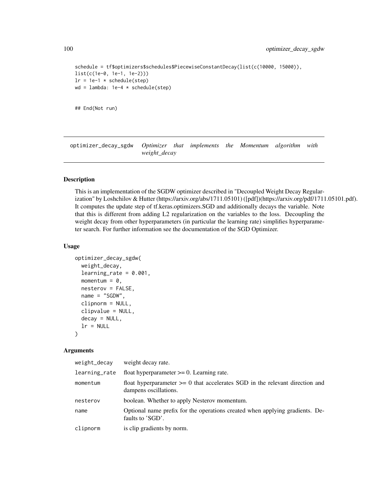```
schedule = tf$optimizers$schedules$PiecewiseConstantDecay(list(c(10000, 15000)),
list(c(1e-0, 1e-1, 1e-2)))
lr = 1e-1 * schedule(step)wd = lambda: 1e-4 * schedule(\text{step})
```

```
## End(Not run)
```
optimizer\_decay\_sgdw *Optimizer that implements the Momentum algorithm with weight\_decay*

#### Description

This is an implementation of the SGDW optimizer described in "Decoupled Weight Decay Regularization" by Loshchilov & Hutter (https://arxiv.org/abs/1711.05101) ([pdf])(https://arxiv.org/pdf/1711.05101.pdf). It computes the update step of tf.keras.optimizers.SGD and additionally decays the variable. Note that this is different from adding L2 regularization on the variables to the loss. Decoupling the weight decay from other hyperparameters (in particular the learning rate) simplifies hyperparameter search. For further information see the documentation of the SGD Optimizer.

#### Usage

```
optimizer_decay_sgdw(
  weight_decay,
  learning_rate = 0.001,momentum = 0,
  nesterov = FALSE,
  name = "SGDW",
  clipnorm = NULL,
  clipvalue = NULL,
  decay = NULL,
  lr = NULL)
```

| weight_decay  | weight decay rate.                                                                                        |
|---------------|-----------------------------------------------------------------------------------------------------------|
| learning_rate | float hyperparameter $\geq 0$ . Learning rate.                                                            |
| momentum      | float hyperparameter $\geq 0$ that accelerates SGD in the relevant direction and<br>dampens oscillations. |
| nesterov      | boolean. Whether to apply Nesterov momentum.                                                              |
| name          | Optional name prefix for the operations created when applying gradients. De-<br>faults to 'SGD'.          |
| clipnorm      | is clip gradients by norm.                                                                                |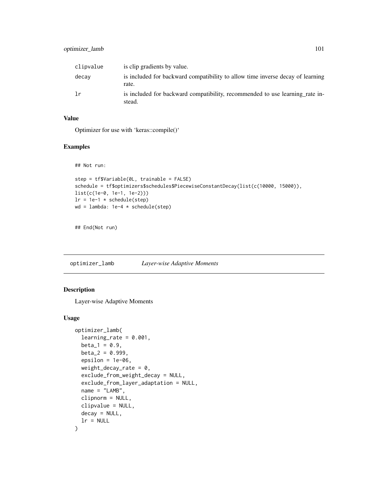# optimizer\_lamb 101

| clipvalue | is clip gradients by value.                                                             |
|-----------|-----------------------------------------------------------------------------------------|
| decay     | is included for backward compatibility to allow time inverse decay of learning<br>rate. |
| 1r        | is included for backward compatibility, recommended to use learning rate in-<br>stead.  |

# Value

Optimizer for use with 'keras::compile()'

## Examples

```
## Not run:
```

```
step = tf$Variable(0L, trainable = FALSE)
schedule = tf$optimizers$schedules$PiecewiseConstantDecay(list(c(10000, 15000)),
list(c(1e-0, 1e-1, 1e-2)))
lr = 1e-1 * schedule(step)wd = lambda: 1e-4 * schedule(step)
```
## End(Not run)

optimizer\_lamb *Layer-wise Adaptive Moments*

### Description

Layer-wise Adaptive Moments

#### Usage

```
optimizer_lamb(
  learning_rate = 0.001,beta_1 = 0.9,
 beta_2 = 0.999,
  epsilon = 1e-06,
  weight_decay_rate = 0,
  exclude_from_weight_decay = NULL,
  exclude_from_layer_adaptation = NULL,
  name = "LAMB".clipnorm = NULL,
  clipvalue = NULL,
  decay = NULL,
  lr = NULL\mathcal{E}
```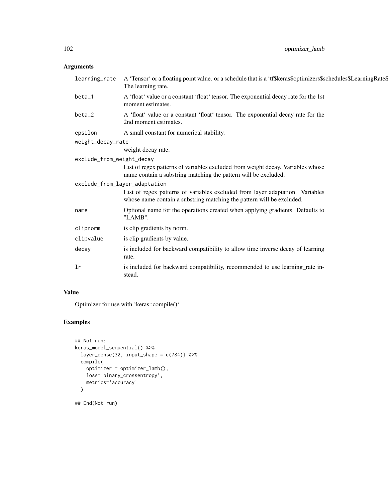| learning_rate                 | A 'Tensor' or a floating point value. or a schedule that is a 'tf\$keras\$optimizers\$schedules\$LearningRate\$<br>The learning rate.                  |
|-------------------------------|--------------------------------------------------------------------------------------------------------------------------------------------------------|
| $beta_1$                      | A 'float' value or a constant 'float' tensor. The exponential decay rate for the 1st<br>moment estimates.                                              |
| beta_2                        | A 'float' value or a constant 'float' tensor. The exponential decay rate for the<br>2nd moment estimates.                                              |
| epsilon                       | A small constant for numerical stability.                                                                                                              |
| weight_decay_rate             |                                                                                                                                                        |
|                               | weight decay rate.                                                                                                                                     |
| exclude_from_weight_decay     |                                                                                                                                                        |
|                               | List of regex patterns of variables excluded from weight decay. Variables whose<br>name contain a substring matching the pattern will be excluded.     |
| exclude_from_layer_adaptation |                                                                                                                                                        |
|                               | List of regex patterns of variables excluded from layer adaptation. Variables<br>whose name contain a substring matching the pattern will be excluded. |
| name                          | Optional name for the operations created when applying gradients. Defaults to<br>"LAMB".                                                               |
| clipnorm                      | is clip gradients by norm.                                                                                                                             |
| clipvalue                     | is clip gradients by value.                                                                                                                            |
| decay                         | is included for backward compatibility to allow time inverse decay of learning<br>rate.                                                                |
| 1r                            | is included for backward compatibility, recommended to use learning_rate in-<br>stead.                                                                 |

# Value

Optimizer for use with 'keras::compile()'

# Examples

```
## Not run:
keras_model_sequential() %>%
 layer_dense(32, input_shape = c(784)) %>%
 compile(
   optimizer = optimizer_lamb(),
   loss='binary_crossentropy',
    metrics='accuracy'
  )
```
## End(Not run)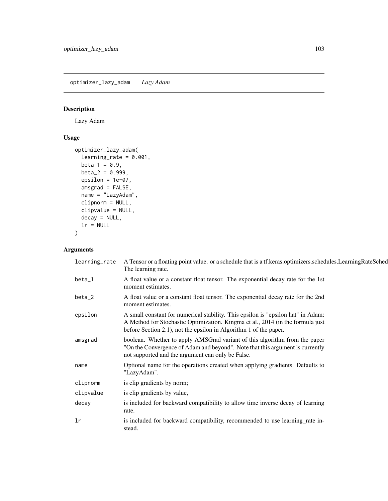optimizer\_lazy\_adam *Lazy Adam*

# Description

Lazy Adam

# Usage

```
optimizer_lazy_adam(
 learning_rate = 0.001,
 beta_1 = 0.9,
 beta_2 = 0.999,
 epsilon = 1e-07,
 amsgrad = FALSE,
 name = "LazyAdam",
 clipnorm = NULL,
 clipvalue = NULL,
 decay = NULL,
 lr = NULL)
```

| learning_rate | A Tensor or a floating point value. or a schedule that is a tf.keras.optimizers.schedules.LearningRateSched<br>The learning rate.                                                                                                       |
|---------------|-----------------------------------------------------------------------------------------------------------------------------------------------------------------------------------------------------------------------------------------|
| beta_1        | A float value or a constant float tensor. The exponential decay rate for the 1st<br>moment estimates.                                                                                                                                   |
| beta_2        | A float value or a constant float tensor. The exponential decay rate for the 2nd<br>moment estimates.                                                                                                                                   |
| epsilon       | A small constant for numerical stability. This epsilon is "epsilon hat" in Adam:<br>A Method for Stochastic Optimization. Kingma et al., 2014 (in the formula just<br>before Section 2.1), not the epsilon in Algorithm 1 of the paper. |
| amsgrad       | boolean. Whether to apply AMSGrad variant of this algorithm from the paper<br>"On the Convergence of Adam and beyond". Note that this argument is currently<br>not supported and the argument can only be False.                        |
| name          | Optional name for the operations created when applying gradients. Defaults to<br>"LazyAdam".                                                                                                                                            |
| clipnorm      | is clip gradients by norm;                                                                                                                                                                                                              |
| clipvalue     | is clip gradients by value,                                                                                                                                                                                                             |
| decay         | is included for backward compatibility to allow time inverse decay of learning<br>rate.                                                                                                                                                 |
| 1r            | is included for backward compatibility, recommended to use learning_rate in-<br>stead.                                                                                                                                                  |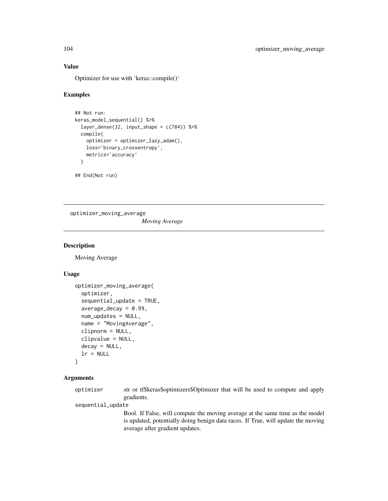# Value

Optimizer for use with 'keras::compile()'

#### Examples

```
## Not run:
keras_model_sequential() %>%
  layer_dense(32, input_shape = c(784)) %>%
  compile(
    optimizer = optimizer_lazy_adam(),
    loss='binary_crossentropy',
    metrics='accuracy'
  \lambda
```
## End(Not run)

optimizer\_moving\_average

*Moving Average*

#### Description

Moving Average

#### Usage

```
optimizer_moving_average(
  optimizer,
  sequential_update = TRUE,
  average\_decay = 0.99,
  num_updates = NULL,
  name = "MovingAverage",
  clipnorm = NULL,
  clipvalue = NULL,
  decay = NULL,
  lr = NULL\mathcal{E}
```
#### Arguments

optimizer str or tf\$keras\$optimizers\$Optimizer that will be used to compute and apply gradients.

sequential\_update

Bool. If False, will compute the moving average at the same time as the model is updated, potentially doing benign data races. If True, will update the moving average after gradient updates.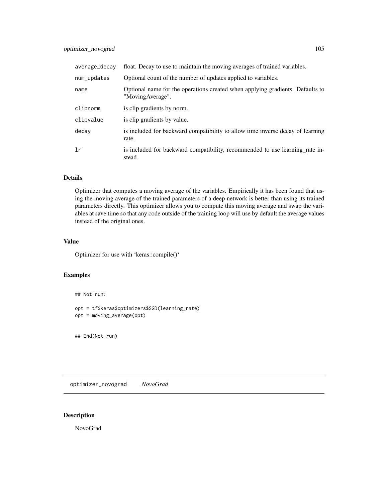| average_decay | float. Decay to use to maintain the moving averages of trained variables.                         |
|---------------|---------------------------------------------------------------------------------------------------|
| num_updates   | Optional count of the number of updates applied to variables.                                     |
| name          | Optional name for the operations created when applying gradients. Defaults to<br>"MovingAverage". |
| clipnorm      | is clip gradients by norm.                                                                        |
| clipvalue     | is clip gradients by value.                                                                       |
| decay         | is included for backward compatibility to allow time inverse decay of learning<br>rate.           |
| 1r            | is included for backward compatibility, recommended to use learning rate in-<br>stead.            |

### Details

Optimizer that computes a moving average of the variables. Empirically it has been found that using the moving average of the trained parameters of a deep network is better than using its trained parameters directly. This optimizer allows you to compute this moving average and swap the variables at save time so that any code outside of the training loop will use by default the average values instead of the original ones.

# Value

Optimizer for use with 'keras::compile()'

# Examples

## Not run:

```
opt = tf$keras$optimizers$SGD(learning_rate)
opt = moving_average(opt)
```
## End(Not run)

optimizer\_novograd *NovoGrad*

# Description

NovoGrad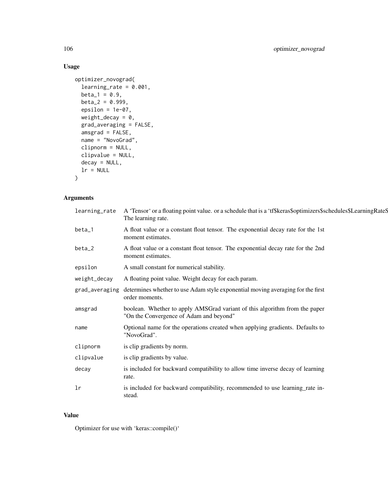# Usage

```
optimizer_novograd(
 learning_rate = 0.001,
 beta_1 = 0.9,
 beta_2 = 0.999,
 epsilon = 1e-07,
 weight_decay = 0,
 grad_averaging = FALSE,
 amsgrad = FALSE,
 name = "NovoGrad",
 clipnorm = NULL,
 clipvalue = NULL,
 decay = NULL,
 lr = NULL)
```
# Arguments

| learning_rate | A 'Tensor' or a floating point value. or a schedule that is a 'tf\$keras\$optimizers\$schedules\$LearningRate\$<br>The learning rate. |
|---------------|---------------------------------------------------------------------------------------------------------------------------------------|
| beta_1        | A float value or a constant float tensor. The exponential decay rate for the 1st<br>moment estimates.                                 |
| beta_2        | A float value or a constant float tensor. The exponential decay rate for the 2nd<br>moment estimates.                                 |
| epsilon       | A small constant for numerical stability.                                                                                             |
| weight_decay  | A floating point value. Weight decay for each param.                                                                                  |
|               | grad_averaging determines whether to use Adam style exponential moving averaging for the first<br>order moments.                      |
| amsgrad       | boolean. Whether to apply AMSGrad variant of this algorithm from the paper<br>"On the Convergence of Adam and beyond"                 |
| name          | Optional name for the operations created when applying gradients. Defaults to<br>"NovoGrad".                                          |
| clipnorm      | is clip gradients by norm.                                                                                                            |
| clipvalue     | is clip gradients by value.                                                                                                           |
| decay         | is included for backward compatibility to allow time inverse decay of learning<br>rate.                                               |
| lr            | is included for backward compatibility, recommended to use learning_rate in-<br>stead.                                                |

### Value

Optimizer for use with 'keras::compile()'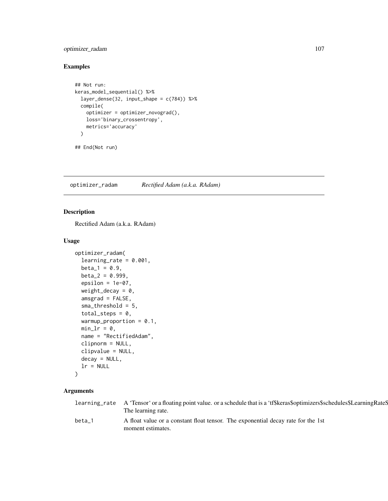# optimizer\_radam 107

# Examples

```
## Not run:
keras_model_sequential() %>%
  layer_dense(32, input_shape = c(784)) %>%
  compile(
   optimizer = optimizer_novograd(),
   loss='binary_crossentropy',
   metrics='accuracy'
  )
```
## End(Not run)

optimizer\_radam *Rectified Adam (a.k.a. RAdam)*

# Description

Rectified Adam (a.k.a. RAdam)

# Usage

```
optimizer_radam(
  learning_rate = 0.001,beta_1 = 0.9,
  beta_2 = 0.999,
  epsilon = 1e-07,
  weight_decay = 0,
  amsgrad = FALSE,
  sma_threshold = 5,
  total\_steps = 0,
  warmup_proportion = 0.1,
 min_l = 0,
  name = "RectifiedAdam",
  clipnorm = NULL,
  clipvalue = NULL,
  decay = NULL,
  lr = NULL)
```

|        | learning_rate A 'Tensor' or a floating point value. or a schedule that is a 'tf\$keras\$optimizers\$schedules\$LearningRateS<br>The learning rate. |
|--------|----------------------------------------------------------------------------------------------------------------------------------------------------|
| beta 1 | A float value or a constant float tensor. The exponential decay rate for the 1st<br>moment estimates.                                              |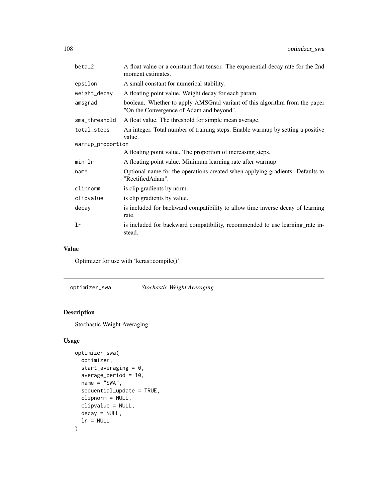| beta_2            | A float value or a constant float tensor. The exponential decay rate for the 2nd<br>moment estimates.                  |
|-------------------|------------------------------------------------------------------------------------------------------------------------|
| epsilon           | A small constant for numerical stability.                                                                              |
| weight_decay      | A floating point value. Weight decay for each param.                                                                   |
| amsgrad           | boolean. Whether to apply AMSGrad variant of this algorithm from the paper<br>"On the Convergence of Adam and beyond". |
| sma_threshold     | A float value. The threshold for simple mean average.                                                                  |
| total_steps       | An integer. Total number of training steps. Enable warmup by setting a positive<br>value.                              |
| warmup_proportion |                                                                                                                        |
|                   | A floating point value. The proportion of increasing steps.                                                            |
| min_lr            | A floating point value. Minimum learning rate after warmup.                                                            |
| name              | Optional name for the operations created when applying gradients. Defaults to<br>"RectifiedAdam".                      |
| clipnorm          | is clip gradients by norm.                                                                                             |
| clipvalue         | is clip gradients by value.                                                                                            |
| decay             | is included for backward compatibility to allow time inverse decay of learning<br>rate.                                |
| lr                | is included for backward compatibility, recommended to use learning rate in-<br>stead.                                 |

#### Value

Optimizer for use with 'keras::compile()'

optimizer\_swa *Stochastic Weight Averaging*

# Description

Stochastic Weight Averaging

# Usage

```
optimizer_swa(
 optimizer,
  start_averaging = 0,
 average_period = 10,
 name = "SWA",sequential_update = TRUE,
 clipnorm = NULL,
 clipvalue = NULL,
 decay = NULL,
 lr = NULL)
```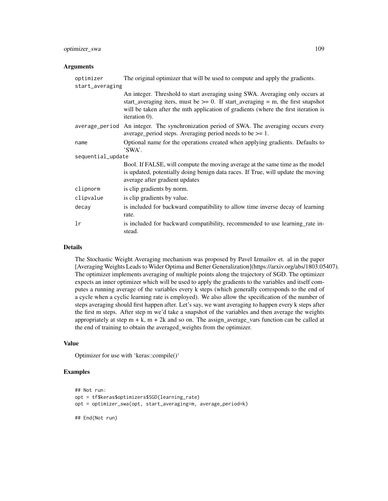# optimizer\_swa 109

#### Arguments

| optimizer         | The original optimizer that will be used to compute and apply the gradients.                                                                                                                                                                                                |  |
|-------------------|-----------------------------------------------------------------------------------------------------------------------------------------------------------------------------------------------------------------------------------------------------------------------------|--|
| start_averaging   |                                                                                                                                                                                                                                                                             |  |
|                   | An integer. Threshold to start averaging using SWA. Averaging only occurs at<br>start_averaging iters, must be $\ge$ = 0. If start_averaging = m, the first snapshot<br>will be taken after the mth application of gradients (where the first iteration is<br>iteration 0). |  |
|                   | average_period An integer. The synchronization period of SWA. The averaging occurs every<br>average_period steps. Averaging period needs to be $\geq 1$ .                                                                                                                   |  |
| name              | Optional name for the operations created when applying gradients. Defaults to<br>'SWA'.                                                                                                                                                                                     |  |
| sequential_update |                                                                                                                                                                                                                                                                             |  |
|                   | Bool. If FALSE, will compute the moving average at the same time as the model<br>is updated, potentially doing benign data races. If True, will update the moving<br>average after gradient updates                                                                         |  |
| clipnorm          | is clip gradients by norm.                                                                                                                                                                                                                                                  |  |
| clipvalue         | is clip gradients by value.                                                                                                                                                                                                                                                 |  |
| decay             | is included for backward compatibility to allow time inverse decay of learning<br>rate.                                                                                                                                                                                     |  |
| lr                | is included for backward compatibility, recommended to use learning rate in-<br>stead.                                                                                                                                                                                      |  |

### Details

The Stochastic Weight Averaging mechanism was proposed by Pavel Izmailov et. al in the paper [Averaging Weights Leads to Wider Optima and Better Generalization](https://arxiv.org/abs/1803.05407). The optimizer implements averaging of multiple points along the trajectory of SGD. The optimizer expects an inner optimizer which will be used to apply the gradients to the variables and itself computes a running average of the variables every k steps (which generally corresponds to the end of a cycle when a cyclic learning rate is employed). We also allow the specification of the number of steps averaging should first happen after. Let's say, we want averaging to happen every k steps after the first m steps. After step m we'd take a snapshot of the variables and then average the weights appropriately at step  $m + k$ ,  $m + 2k$  and so on. The assign\_average\_vars function can be called at the end of training to obtain the averaged\_weights from the optimizer.

## Value

Optimizer for use with 'keras::compile()'

### Examples

```
## Not run:
opt = tf$keras$optimizers$SGD(learning_rate)
opt = optimizer_swa(opt, start_averaging=m, average_period=k)
```
## End(Not run)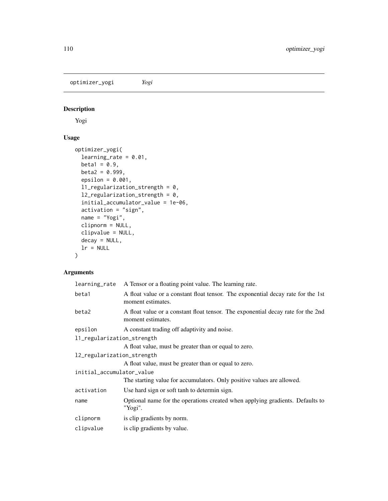<span id="page-109-0"></span>optimizer\_yogi *Yogi*

# Description

Yogi

# Usage

```
optimizer_yogi(
  learning_rate = 0.01,
 beta1 = 0.9,
 beta2 = 0.999,
  epsilon = 0.001,
  l1_regularization_strength = 0,
  l2_regularization_strength = 0,
  initial_accumulator_value = 1e-06,
  activation = "sign",
 name = "Yogi",
  clipnorm = NULL,
 clipvalue = NULL,
 decay = NULL,
 lr = NULL\mathcal{L}
```
# Arguments

| learning_rate              | A Tensor or a floating point value. The learning rate.                                                |  |
|----------------------------|-------------------------------------------------------------------------------------------------------|--|
| beta1                      | A float value or a constant float tensor. The exponential decay rate for the 1st<br>moment estimates. |  |
| beta2                      | A float value or a constant float tensor. The exponential decay rate for the 2nd<br>moment estimates. |  |
| epsilon                    | A constant trading off adaptivity and noise.                                                          |  |
| 11_regularization_strength |                                                                                                       |  |
|                            | A float value, must be greater than or equal to zero.                                                 |  |
| 12_regularization_strength |                                                                                                       |  |
|                            | A float value, must be greater than or equal to zero.                                                 |  |
| initial_accumulator_value  |                                                                                                       |  |
|                            | The starting value for accumulators. Only positive values are allowed.                                |  |
| activation                 | Use hard sign or soft tanh to determin sign.                                                          |  |
| name                       | Optional name for the operations created when applying gradients. Defaults to<br>"Yogi".              |  |
| clipnorm                   | is clip gradients by norm.                                                                            |  |
| clipvalue                  | is clip gradients by value.                                                                           |  |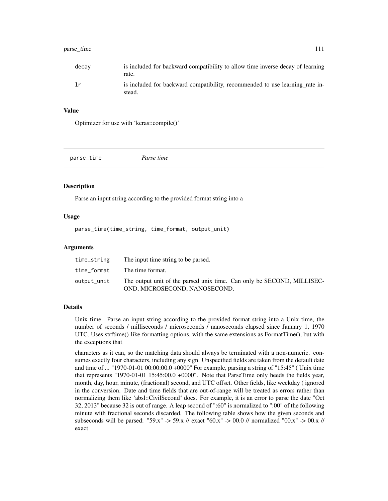# <span id="page-110-0"></span>parse\_time 111

| decav | is included for backward compatibility to allow time inverse decay of learning<br>rate. |
|-------|-----------------------------------------------------------------------------------------|
| lr    | is included for backward compatibility, recommended to use learning rate in-<br>stead.  |

#### Value

Optimizer for use with 'keras::compile()'

parse\_time *Parse time*

#### Description

Parse an input string according to the provided format string into a

#### Usage

parse\_time(time\_string, time\_format, output\_unit)

#### Arguments

| time_string | The input time string to be parsed.                                                                     |
|-------------|---------------------------------------------------------------------------------------------------------|
| time format | The time format.                                                                                        |
| output_unit | The output unit of the parsed unix time. Can only be SECOND, MILLISEC-<br>OND. MICROSECOND. NANOSECOND. |

#### Details

Unix time. Parse an input string according to the provided format string into a Unix time, the number of seconds / milliseconds / microseconds / nanoseconds elapsed since January 1, 1970 UTC. Uses strftime()-like formatting options, with the same extensions as FormatTime(), but with the exceptions that

characters as it can, so the matching data should always be terminated with a non-numeric. consumes exactly four characters, including any sign. Unspecified fields are taken from the default date and time of ... "1970-01-01 00:00:00.0 +0000" For example, parsing a string of "15:45" ( Unix time that represents "1970-01-01 15:45:00.0 +0000". Note that ParseTime only heeds the fields year, month, day, hour, minute, (fractional) second, and UTC offset. Other fields, like weekday ( ignored in the conversion. Date and time fields that are out-of-range will be treated as errors rather than normalizing them like 'absl::CivilSecond' does. For example, it is an error to parse the date "Oct 32, 2013" because 32 is out of range. A leap second of ":60" is normalized to ":00" of the following minute with fractional seconds discarded. The following table shows how the given seconds and subseconds will be parsed: "59.x" -> 59.x // exact "60.x" -> 00.0 // normalized "00.x" -> 00.x // exact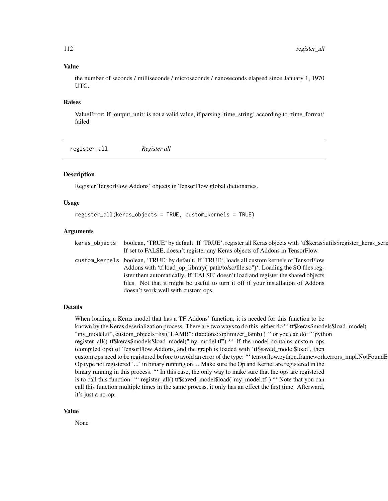#### Value

the number of seconds / milliseconds / microseconds / nanoseconds elapsed since January 1, 1970 UTC.

#### Raises

ValueError: If 'output\_unit' is not a valid value, if parsing 'time\_string' according to 'time\_format' failed.

register\_all *Register all*

#### **Description**

Register TensorFlow Addons' objects in TensorFlow global dictionaries.

#### Usage

```
register_all(keras_objects = TRUE, custom_kernels = TRUE)
```
#### Arguments

| keras_objects | boolean, 'TRUE' by default. If 'TRUE', register all Keras objects with 'tf\$keras\$utils\$register_keras_seri |
|---------------|---------------------------------------------------------------------------------------------------------------|
|               | If set to FALSE, doesn't register any Keras objects of Addons in TensorFlow.                                  |
|               | custom_kernels_boolean, 'TRUE' by default. If 'TRUE', loads all custom kernels of TensorFlow                  |
|               | Addons with 'tf.load_op_library("path/to/so/file.so")'. Loading the SO files reg-                             |
|               | ister them automatically. If 'FALSE' doesn't load and register the shared objects                             |
|               | files. Not that it might be useful to turn it off if your installation of Addons                              |
|               | doesn't work well with custom ops.                                                                            |
|               |                                                                                                               |

#### Details

When loading a Keras model that has a TF Addons' function, it is needed for this function to be known by the Keras deserialization process. There are two ways to do this, either do "' tf\$keras\$models\$load\_model( "my\_model.tf", custom\_objects=list("LAMB": tfaddons::optimizer\_lamb) ) "' or you can do: "'python register\_all() tf\$keras\$models\$load\_model("my\_model.tf") "' If the model contains custom ops (compiled ops) of TensorFlow Addons, and the graph is loaded with 'tf\$saved\_model\$load', then custom ops need to be registered before to avoid an error of the type: "' tensorflow.python.framework.errors\_impl.NotFoundE Op type not registered '...' in binary running on ... Make sure the Op and Kernel are registered in the binary running in this process. "' In this case, the only way to make sure that the ops are registered is to call this function: "' register\_all() tf\$saved\_model\$load("my\_model.tf") "' Note that you can call this function multiple times in the same process, it only has an effect the first time. Afterward, it's just a no-op.

# Value

<span id="page-111-0"></span>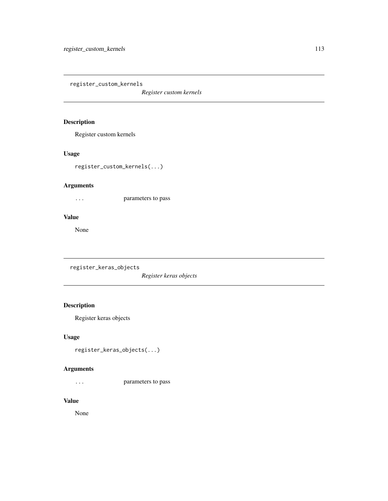<span id="page-112-0"></span>register\_custom\_kernels

*Register custom kernels*

# Description

Register custom kernels

# Usage

register\_custom\_kernels(...)

# Arguments

... parameters to pass

#### Value

None

register\_keras\_objects

*Register keras objects*

# Description

Register keras objects

# Usage

register\_keras\_objects(...)

## Arguments

... parameters to pass

# Value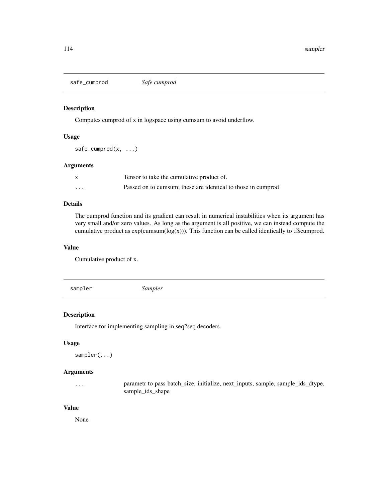<span id="page-113-0"></span>safe\_cumprod *Safe cumprod*

# Description

Computes cumprod of x in logspace using cumsum to avoid underflow.

#### Usage

safe\_cumprod(x, ...)

# Arguments

|         | Tensor to take the cumulative product of.                    |
|---------|--------------------------------------------------------------|
| $\cdot$ | Passed on to cumsum; these are identical to those in cumprod |

#### Details

The cumprod function and its gradient can result in numerical instabilities when its argument has very small and/or zero values. As long as the argument is all positive, we can instead compute the cumulative product as  $exp(cumsum(log(x)))$ . This function can be called identically to tf\$cumprod.

#### Value

Cumulative product of x.

sampler *Sampler*

#### Description

Interface for implementing sampling in seq2seq decoders.

#### Usage

```
sampler(...)
```
# Arguments

... parametr to pass batch\_size, initialize, next\_inputs, sample, sample\_ids\_dtype, sample\_ids\_shape

#### Value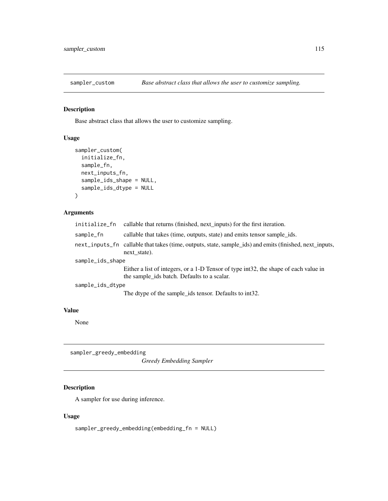<span id="page-114-0"></span>

# Description

Base abstract class that allows the user to customize sampling.

# Usage

```
sampler_custom(
  initialize_fn,
  sample_fn,
  next_inputs_fn,
  sample_ids_shape = NULL,
  sample_ids_dtype = NULL
\mathcal{L}
```
## Arguments

| initialize_fn    | callable that returns (finished, next_inputs) for the first iteration.                                                              |  |
|------------------|-------------------------------------------------------------------------------------------------------------------------------------|--|
| sample_fn        | callable that takes (time, outputs, state) and emits tensor sample_ids.                                                             |  |
|                  | next_inputs_fn callable that takes (time, outputs, state, sample_ids) and emits (finished, next_inputs,<br>next state).             |  |
| sample_ids_shape |                                                                                                                                     |  |
|                  | Either a list of integers, or a 1-D Tensor of type int32, the shape of each value in<br>the sample_ids batch. Defaults to a scalar. |  |
| sample_ids_dtype |                                                                                                                                     |  |
|                  | The dtype of the sample_ids tensor. Defaults to int32.                                                                              |  |

## Value

None

sampler\_greedy\_embedding

*Greedy Embedding Sampler*

# Description

A sampler for use during inference.

# Usage

sampler\_greedy\_embedding(embedding\_fn = NULL)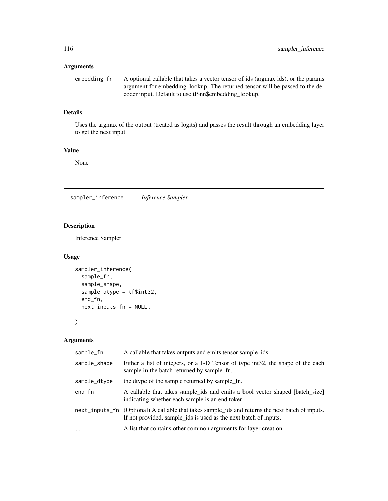# <span id="page-115-0"></span>Arguments

| embedding_fn | A optional callable that takes a vector tensor of ids (argmax ids), or the params |
|--------------|-----------------------------------------------------------------------------------|
|              | argument for embedding lookup. The returned tensor will be passed to the de-      |
|              | coder input. Default to use tf\$nn\$embedding_lookup.                             |

# Details

Uses the argmax of the output (treated as logits) and passes the result through an embedding layer to get the next input.

# Value

None

sampler\_inference *Inference Sampler*

# Description

Inference Sampler

# Usage

```
sampler_inference(
  sample_fn,
  sample_shape,
  sample_dtype = tf$int32,
 end_fn,
 next_inputs_fn = NULL,
  ...
)
```
# Arguments

| sample_fn    | A callable that takes outputs and emits tensor sample_ids.                                                                                                           |
|--------------|----------------------------------------------------------------------------------------------------------------------------------------------------------------------|
| sample_shape | Either a list of integers, or a 1-D Tensor of type int32, the shape of the each<br>sample in the batch returned by sample fn.                                        |
| sample_dtype | the dtype of the sample returned by sample fn.                                                                                                                       |
| $end_f$ n    | A callable that takes sample_ids and emits a bool vector shaped [batch_size]<br>indicating whether each sample is an end token.                                      |
|              | next_inputs_fn (Optional) A callable that takes sample_ids and returns the next batch of inputs.<br>If not provided, sample_ids is used as the next batch of inputs. |
| $\cdots$     | A list that contains other common arguments for layer creation.                                                                                                      |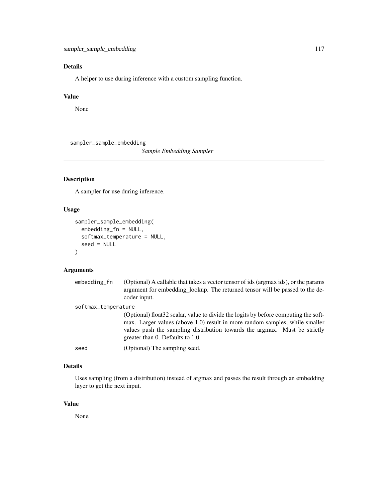# <span id="page-116-0"></span>Details

A helper to use during inference with a custom sampling function.

# Value

None

sampler\_sample\_embedding

*Sample Embedding Sampler*

# Description

A sampler for use during inference.

# Usage

```
sampler_sample_embedding(
 embedding_fn = NULL,
 softmax_temperature = NULL,
 seed = NULL
)
```
# Arguments

| embedding_fn        | (Optional) A callable that takes a vector tensor of ids (argmax ids), or the params<br>argument for embedding_lookup. The returned tensor will be passed to the de-<br>coder input.                                                                                                   |  |
|---------------------|---------------------------------------------------------------------------------------------------------------------------------------------------------------------------------------------------------------------------------------------------------------------------------------|--|
| softmax_temperature |                                                                                                                                                                                                                                                                                       |  |
|                     | (Optional) float 32 scalar, value to divide the logits by before computing the soft-<br>max. Larger values (above 1.0) result in more random samples, while smaller<br>values push the sampling distribution towards the argmax. Must be strictly<br>greater than 0. Defaults to 1.0. |  |
| seed                | (Optional) The sampling seed.                                                                                                                                                                                                                                                         |  |
|                     |                                                                                                                                                                                                                                                                                       |  |

# Details

Uses sampling (from a distribution) instead of argmax and passes the result through an embedding layer to get the next input.

# Value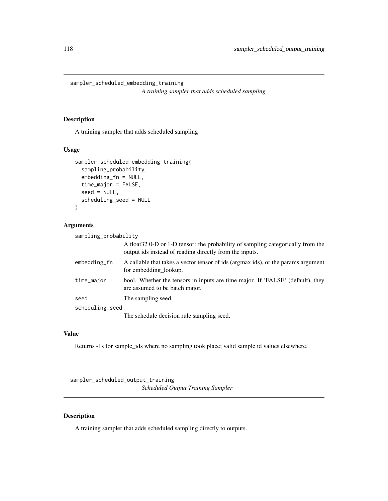<span id="page-117-0"></span>sampler\_scheduled\_embedding\_training

*A training sampler that adds scheduled sampling*

## Description

A training sampler that adds scheduled sampling

## Usage

```
sampler_scheduled_embedding_training(
  sampling_probability,
  embedding_fn = NULL,
  time_major = FALSE,
  seed = NULL,scheduling_seed = NULL
)
```
#### Arguments

| sampling_probability |                                                                                                                                             |
|----------------------|---------------------------------------------------------------------------------------------------------------------------------------------|
|                      | A float 32 0-D or 1-D tensor: the probability of sampling categorically from the<br>output ids instead of reading directly from the inputs. |
| embedding_fn         | A callable that takes a vector tensor of ids (argmax ids), or the params argument<br>for embedding lookup.                                  |
| time_major           | bool. Whether the tensors in inputs are time major. If 'FALSE' (default), they<br>are assumed to be batch major.                            |
| seed                 | The sampling seed.                                                                                                                          |
| scheduling_seed      |                                                                                                                                             |
|                      | The schedule decision rule sampling seed.                                                                                                   |

## Value

Returns -1s for sample\_ids where no sampling took place; valid sample id values elsewhere.

sampler\_scheduled\_output\_training *Scheduled Output Training Sampler*

# Description

A training sampler that adds scheduled sampling directly to outputs.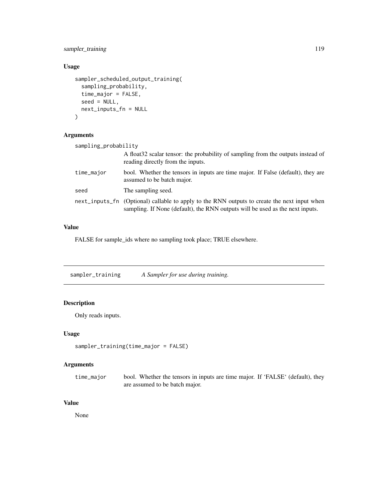# <span id="page-118-0"></span>sampler\_training 119

# Usage

```
sampler_scheduled_output_training(
  sampling_probability,
  time_major = FALSE,
  seed = NULL,next_inputs_fn = NULL
\mathcal{L}
```
# Arguments

| sampling_probability |                                                                                                                                                                               |
|----------------------|-------------------------------------------------------------------------------------------------------------------------------------------------------------------------------|
|                      | A float 32 scalar tensor: the probability of sampling from the outputs instead of<br>reading directly from the inputs.                                                        |
| time_major           | bool. Whether the tensors in inputs are time major. If False (default), they are<br>assumed to be batch major.                                                                |
| seed                 | The sampling seed.                                                                                                                                                            |
|                      | next_inputs_fn (Optional) callable to apply to the RNN outputs to create the next input when<br>sampling. If None (default), the RNN outputs will be used as the next inputs. |

### Value

FALSE for sample\_ids where no sampling took place; TRUE elsewhere.

sampler\_training *A Sampler for use during training.*

# Description

Only reads inputs.

# Usage

sampler\_training(time\_major = FALSE)

# Arguments

time\_major bool. Whether the tensors in inputs are time major. If 'FALSE' (default), they are assumed to be batch major.

# Value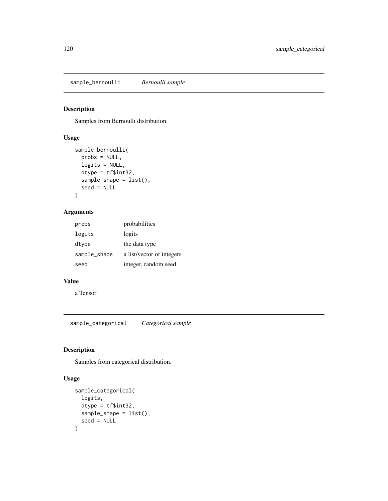# <span id="page-119-0"></span>Description

Samples from Bernoulli distribution.

# Usage

```
sample_bernoulli(
 probs = NULL,
  logits = NULL,
  dtype = tf$int32,
  sample_shape = list(),
  seed = NULL
\mathcal{L}
```
# Arguments

| probs        | probabilities             |
|--------------|---------------------------|
| logits       | logits                    |
| dtype        | the data type             |
| sample_shape | a list/vector of integers |
| seed         | integer, random seed      |

#### Value

a Tensor

sample\_categorical *Categorical sample*

# Description

Samples from categorical distribution.

# Usage

```
sample_categorical(
  logits,
  dtype = tf$int32,
  sample_shape = list(),
  seed = NULL
\mathcal{E}
```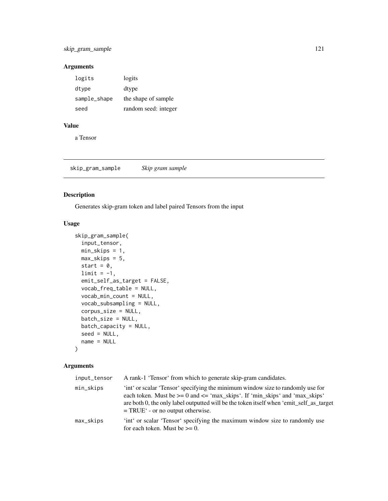# <span id="page-120-0"></span>Arguments

| logits       | logits               |
|--------------|----------------------|
| dtype        | dtype                |
| sample_shape | the shape of sample  |
| seed         | random seed: integer |

# Value

a Tensor

skip\_gram\_sample *Skip gram sample*

# Description

Generates skip-gram token and label paired Tensors from the input

### Usage

```
skip_gram_sample(
  input_tensor,
 min_skips = 1,
 max_skips = 5,
 start = 0,
 limit = -1,emit_self_as_target = FALSE,
 vocab_freq_table = NULL,
 vocab_min_count = NULL,
  vocab_subsampling = NULL,
 corpus_size = NULL,
 batch_size = NULL,
 batch_capacity = NULL,
  seed = NULL,
 name = NULL
)
```
# Arguments

| input_tensor | A rank-1 'Tensor' from which to generate skip-gram candidates.                                                                                                                                                                                                                                         |
|--------------|--------------------------------------------------------------------------------------------------------------------------------------------------------------------------------------------------------------------------------------------------------------------------------------------------------|
| min_skips    | 'int' or scalar 'Tensor' specifying the minimum window size to randomly use for<br>each token. Must be $>= 0$ and $\leq$ 'max_skips'. If 'min_skips' and 'max_skips'<br>are both 0, the only label outputted will be the token itself when 'emit_self_as_target<br>$= TRUE'$ - or no output otherwise. |
| max_skips    | int or scalar 'Tensor' specifying the maximum window size to randomly use<br>for each token. Must be $\geq 0$ .                                                                                                                                                                                        |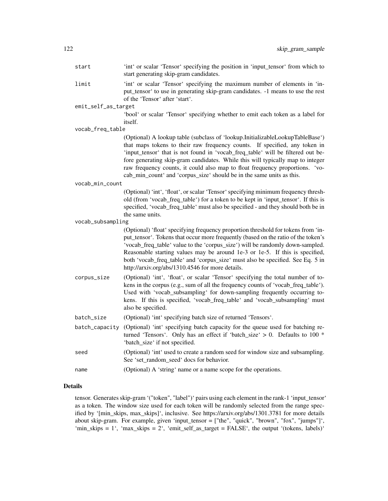| start               | 'int' or scalar 'Tensor' specifying the position in 'input_tensor' from which to<br>start generating skip-gram candidates.                                                                                                                                                                                                                                                                                                                                                                |
|---------------------|-------------------------------------------------------------------------------------------------------------------------------------------------------------------------------------------------------------------------------------------------------------------------------------------------------------------------------------------------------------------------------------------------------------------------------------------------------------------------------------------|
| limit               | 'int' or scalar 'Tensor' specifying the maximum number of elements in 'in-<br>put_tensor' to use in generating skip-gram candidates. -1 means to use the rest<br>of the 'Tensor' after 'start'.                                                                                                                                                                                                                                                                                           |
| emit_self_as_target |                                                                                                                                                                                                                                                                                                                                                                                                                                                                                           |
|                     | 'bool' or scalar 'Tensor' specifying whether to emit each token as a label for<br>itself.                                                                                                                                                                                                                                                                                                                                                                                                 |
| vocab_freq_table    |                                                                                                                                                                                                                                                                                                                                                                                                                                                                                           |
|                     | (Optional) A lookup table (subclass of 'lookup.InitializableLookupTableBase')<br>that maps tokens to their raw frequency counts. If specified, any token in<br>'input_tensor' that is not found in 'vocab_freq_table' will be filtered out be-<br>fore generating skip-gram candidates. While this will typically map to integer<br>raw frequency counts, it could also map to float frequency proportions. 'vo-<br>cab_min_count' and 'corpus_size' should be in the same units as this. |
| vocab_min_count     |                                                                                                                                                                                                                                                                                                                                                                                                                                                                                           |
|                     | (Optional) 'int', 'float', or scalar 'Tensor' specifying minimum frequency thresh-<br>old (from 'vocab_freq_table') for a token to be kept in 'input_tensor'. If this is<br>specified, 'vocab_freq_table' must also be specified - and they should both be in<br>the same units.                                                                                                                                                                                                          |
| vocab_subsampling   |                                                                                                                                                                                                                                                                                                                                                                                                                                                                                           |
|                     | (Optional) 'float' specifying frequency proportion threshold for tokens from 'in-<br>put_tensor'. Tokens that occur more frequently (based on the ratio of the token's<br>'vocab_freq_table' value to the 'corpus_size') will be randomly down-sampled.<br>Reasonable starting values may be around 1e-3 or 1e-5. If this is specified,<br>both 'vocab_freq_table' and 'corpus_size' must also be specified. See Eq. 5 in<br>http://arxiv.org/abs/1310.4546 for more details.             |
| corpus_size         | (Optional) 'int', 'float', or scalar 'Tensor' specifying the total number of to-<br>kens in the corpus (e.g., sum of all the frequency counts of 'vocab_freq_table').<br>Used with 'vocab_subsampling' for down-sampling frequently occurring to-<br>kens. If this is specified, 'vocab_freq_table' and 'vocab_subsampling' must<br>also be specified.                                                                                                                                    |
| batch_size          | (Optional) 'int' specifying batch size of returned 'Tensors'.                                                                                                                                                                                                                                                                                                                                                                                                                             |
| batch_capacity      | (Optional) 'int' specifying batch capacity for the queue used for batching re-<br>turned 'Tensors'. Only has an effect if 'batch_size' $> 0$ . Defaults to 100 $*$<br>'batch_size' if not specified.                                                                                                                                                                                                                                                                                      |
| seed                | (Optional) 'int' used to create a random seed for window size and subsampling.<br>See 'set_random_seed' docs for behavior.                                                                                                                                                                                                                                                                                                                                                                |
| name                | (Optional) A 'string' name or a name scope for the operations.                                                                                                                                                                                                                                                                                                                                                                                                                            |

# Details

tensor. Generates skip-gram '("token", "label")' pairs using each element in the rank-1 'input\_tensor' as a token. The window size used for each token will be randomly selected from the range specified by '[min\_skips, max\_skips]', inclusive. See https://arxiv.org/abs/1301.3781 for more details about skip-gram. For example, given 'input\_tensor = ["the", "quick", "brown", "fox", "jumps"]', 'min\_skips = 1', 'max\_skips = 2', 'emit\_self\_as\_target = FALSE', the output '(tokens, labels)'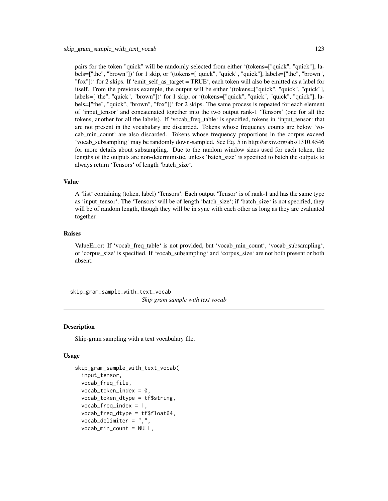<span id="page-122-0"></span>pairs for the token "quick" will be randomly selected from either '(tokens=["quick", "quick"], labels=["the", "brown"])' for 1 skip, or '(tokens=["quick", "quick", "quick"], labels=["the", "brown", "fox"])' for 2 skips. If 'emit self as target = TRUE', each token will also be emitted as a label for itself. From the previous example, the output will be either '(tokens=["quick", "quick", "quick"], labels=["the", "quick", "brown"])' for 1 skip, or '(tokens=["quick", "quick", "quick", "quick"], labels=["the", "quick", "brown", "fox"])' for 2 skips. The same process is repeated for each element of 'input\_tensor' and concatenated together into the two output rank-1 'Tensors' (one for all the tokens, another for all the labels). If 'vocab\_freq\_table' is specified, tokens in 'input\_tensor' that are not present in the vocabulary are discarded. Tokens whose frequency counts are below 'vocab\_min\_count' are also discarded. Tokens whose frequency proportions in the corpus exceed 'vocab\_subsampling' may be randomly down-sampled. See Eq. 5 in http://arxiv.org/abs/1310.4546 for more details about subsampling. Due to the random window sizes used for each token, the lengths of the outputs are non-deterministic, unless 'batch\_size' is specified to batch the outputs to always return 'Tensors' of length 'batch\_size'.

#### Value

A 'list' containing (token, label) 'Tensors'. Each output 'Tensor' is of rank-1 and has the same type as 'input\_tensor'. The 'Tensors' will be of length 'batch\_size'; if 'batch\_size' is not specified, they will be of random length, though they will be in sync with each other as long as they are evaluated together.

#### Raises

ValueError: If 'vocab\_freq\_table' is not provided, but 'vocab\_min\_count', 'vocab\_subsampling', or 'corpus\_size' is specified. If 'vocab\_subsampling' and 'corpus\_size' are not both present or both absent.

skip\_gram\_sample\_with\_text\_vocab *Skip gram sample with text vocab*

#### Description

Skip-gram sampling with a text vocabulary file.

#### Usage

```
skip_gram_sample_with_text_vocab(
  input_tensor,
  vocab_freq_file,
  vocab\_token\_index = 0,
  vocab_token_dtype = tf$string,
  vocab_freq\_index = 1,
  vocab_freq_dtype = tf$float64,
  vocab_delimiter = ",",
  vocab_min_count = NULL,
```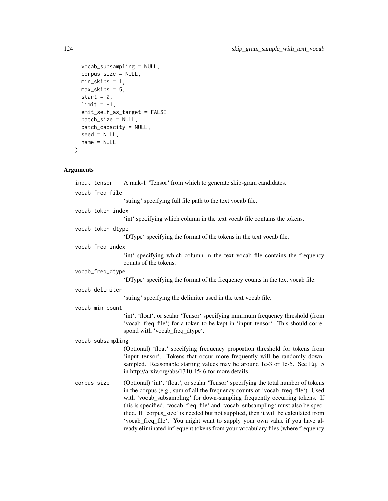```
vocab_subsampling = NULL,
 corpus_size = NULL,
 min\_skips = 1,
 max_skips = 5,
 start = 0,limit = -1,emit_self_as_target = FALSE,
 batch_size = NULL,
 batch_capacity = NULL,
 seed = NULL,
 name = NULL
\mathcal{L}
```
# Arguments

| input_tensor      | A rank-1 'Tensor' from which to generate skip-gram candidates.                                                                                                                                                                                                                                                                                                                                                                                                                                                |  |
|-------------------|---------------------------------------------------------------------------------------------------------------------------------------------------------------------------------------------------------------------------------------------------------------------------------------------------------------------------------------------------------------------------------------------------------------------------------------------------------------------------------------------------------------|--|
| vocab_freq_file   |                                                                                                                                                                                                                                                                                                                                                                                                                                                                                                               |  |
|                   | 'string' specifying full file path to the text vocab file.                                                                                                                                                                                                                                                                                                                                                                                                                                                    |  |
| vocab_token_index |                                                                                                                                                                                                                                                                                                                                                                                                                                                                                                               |  |
|                   | 'int' specifying which column in the text vocab file contains the tokens.                                                                                                                                                                                                                                                                                                                                                                                                                                     |  |
| vocab_token_dtype |                                                                                                                                                                                                                                                                                                                                                                                                                                                                                                               |  |
|                   | 'DType' specifying the format of the tokens in the text vocab file.                                                                                                                                                                                                                                                                                                                                                                                                                                           |  |
| vocab_freq_index  |                                                                                                                                                                                                                                                                                                                                                                                                                                                                                                               |  |
|                   | int specifying which column in the text vocab file contains the frequency<br>counts of the tokens.                                                                                                                                                                                                                                                                                                                                                                                                            |  |
| vocab_freq_dtype  |                                                                                                                                                                                                                                                                                                                                                                                                                                                                                                               |  |
|                   | 'DType' specifying the format of the frequency counts in the text vocab file.                                                                                                                                                                                                                                                                                                                                                                                                                                 |  |
| vocab_delimiter   |                                                                                                                                                                                                                                                                                                                                                                                                                                                                                                               |  |
|                   | 'string' specifying the delimiter used in the text vocab file.                                                                                                                                                                                                                                                                                                                                                                                                                                                |  |
| vocab_min_count   |                                                                                                                                                                                                                                                                                                                                                                                                                                                                                                               |  |
|                   | 'int', 'float', or scalar 'Tensor' specifying minimum frequency threshold (from<br>'vocab_freq_file') for a token to be kept in 'input_tensor'. This should corre-<br>spond with 'vocab_freq_dtype'.                                                                                                                                                                                                                                                                                                          |  |
| vocab_subsampling |                                                                                                                                                                                                                                                                                                                                                                                                                                                                                                               |  |
|                   | (Optional) 'float' specifying frequency proportion threshold for tokens from<br>'input_tensor'. Tokens that occur more frequently will be randomly down-<br>sampled. Reasonable starting values may be around 1e-3 or 1e-5. See Eq. 5<br>in http://arxiv.org/abs/1310.4546 for more details.                                                                                                                                                                                                                  |  |
| corpus_size       | (Optional) 'int', 'float', or scalar 'Tensor' specifying the total number of tokens<br>in the corpus (e.g., sum of all the frequency counts of 'vocab_freq_file'). Used<br>with 'vocab_subsampling' for down-sampling frequently occurring tokens. If<br>this is specified, 'vocab_freq_file' and 'vocab_subsampling' must also be spec-<br>ified. If 'corpus_size' is needed but not supplied, then it will be calculated from<br>'vocab_freq_file'. You might want to supply your own value if you have al- |  |

ready eliminated infrequent tokens from your vocabulary files (where frequency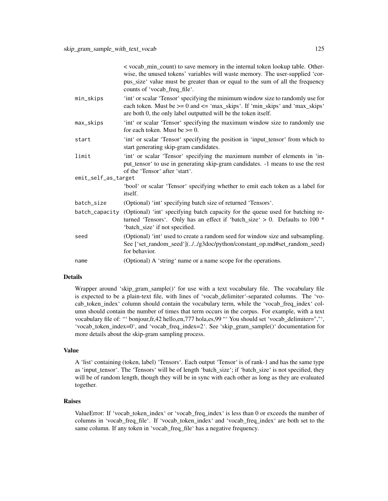|                     | < vocab_min_count) to save memory in the internal token lookup table. Other-<br>wise, the unused tokens' variables will waste memory. The user-supplied 'cor-<br>pus_size' value must be greater than or equal to the sum of all the frequency<br>counts of 'vocab_freq_file'. |
|---------------------|--------------------------------------------------------------------------------------------------------------------------------------------------------------------------------------------------------------------------------------------------------------------------------|
| min_skips           | 'int' or scalar 'Tensor' specifying the minimum window size to randomly use for<br>each token. Must be $>= 0$ and $<=$ 'max_skips'. If 'min_skips' and 'max_skips'<br>are both 0, the only label outputted will be the token itself.                                           |
| max_skips           | 'int' or scalar 'Tensor' specifying the maximum window size to randomly use<br>for each token. Must be $\geq 0$ .                                                                                                                                                              |
| start               | 'int' or scalar 'Tensor' specifying the position in 'input_tensor' from which to<br>start generating skip-gram candidates.                                                                                                                                                     |
| limit               | 'int' or scalar 'Tensor' specifying the maximum number of elements in 'in-<br>put_tensor' to use in generating skip-gram candidates. -1 means to use the rest<br>of the 'Tensor' after 'start'.                                                                                |
| emit_self_as_target |                                                                                                                                                                                                                                                                                |
|                     | 'bool' or scalar 'Tensor' specifying whether to emit each token as a label for<br>itself.                                                                                                                                                                                      |
| batch_size          | (Optional) 'int' specifying batch size of returned 'Tensors'.                                                                                                                                                                                                                  |
| batch_capacity      | (Optional) 'int' specifying batch capacity for the queue used for batching re-<br>turned 'Tensors'. Only has an effect if 'batch_size' $> 0$ . Defaults to 100 $*$<br>'batch_size' if not specified.                                                                           |
| seed                | (Optional) 'int' used to create a random seed for window size and subsampling.<br>See ['set_random_seed'](//g3doc/python/constant_op.md#set_random_seed)<br>for behavior.                                                                                                      |
| name                | (Optional) A 'string' name or a name scope for the operations.                                                                                                                                                                                                                 |

#### Details

Wrapper around 'skip\_gram\_sample()' for use with a text vocabulary file. The vocabulary file is expected to be a plain-text file, with lines of 'vocab\_delimiter'-separated columns. The 'vocab\_token\_index' column should contain the vocabulary term, while the 'vocab\_freq\_index' column should contain the number of times that term occurs in the corpus. For example, with a text vocabulary file of: "' bonjour,fr,42 hello,en,777 hola,es,99 "' You should set 'vocab\_delimiter=","', 'vocab\_token\_index=0', and 'vocab\_freq\_index=2'. See 'skip\_gram\_sample()' documentation for more details about the skip-gram sampling process.

#### Value

A 'list' containing (token, label) 'Tensors'. Each output 'Tensor' is of rank-1 and has the same type as 'input\_tensor'. The 'Tensors' will be of length 'batch\_size'; if 'batch\_size' is not specified, they will be of random length, though they will be in sync with each other as long as they are evaluated together.

#### Raises

ValueError: If 'vocab\_token\_index' or 'vocab\_freq\_index' is less than 0 or exceeds the number of columns in 'vocab\_freq\_file'. If 'vocab\_token\_index' and 'vocab\_freq\_index' are both set to the same column. If any token in 'vocab\_freq\_file' has a negative frequency.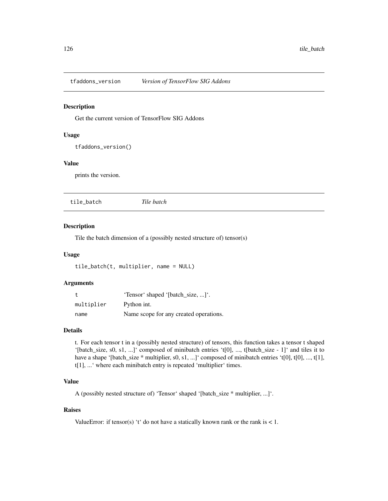<span id="page-125-0"></span>tfaddons\_version *Version of TensorFlow SIG Addons*

#### Description

Get the current version of TensorFlow SIG Addons

#### Usage

```
tfaddons_version()
```
# Value

prints the version.

tile\_batch *Tile batch*

# Description

Tile the batch dimension of a (possibly nested structure of) tensor(s)

#### Usage

```
tile_batch(t, multiplier, name = NULL)
```
#### Arguments

| t.         | 'Tensor' shaped '[batch_size, ]'.      |
|------------|----------------------------------------|
| multiplier | Python int.                            |
| name       | Name scope for any created operations. |

#### Details

t. For each tensor t in a (possibly nested structure) of tensors, this function takes a tensor t shaped '[batch\_size, s0, s1, ...]' composed of minibatch entries 't[0], ..., t[batch\_size - 1]' and tiles it to have a shape '[batch\_size \* multiplier, s0, s1, ...]' composed of minibatch entries 't[0], t[0], ..., t[1], t[1], ...' where each minibatch entry is repeated 'multiplier' times.

#### Value

A (possibly nested structure of) 'Tensor' shaped '[batch\_size \* multiplier, ...]'.

#### Raises

Value Error: if tensor(s) 't' do not have a statically known rank or the rank is  $< 1$ .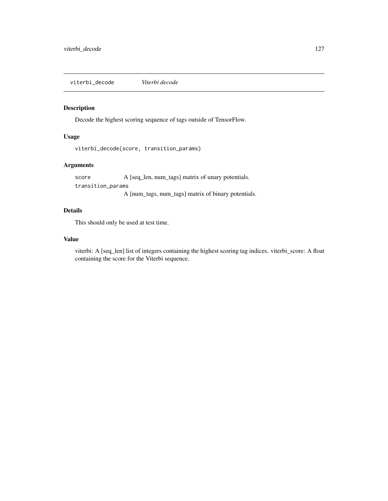<span id="page-126-0"></span>viterbi\_decode *Viterbi decode*

# Description

Decode the highest scoring sequence of tags outside of TensorFlow.

## Usage

```
viterbi_decode(score, transition_params)
```
# Arguments

score A [seq\_len, num\_tags] matrix of unary potentials. transition\_params

A [num\_tags, num\_tags] matrix of binary potentials.

# Details

This should only be used at test time.

#### Value

viterbi: A [seq\_len] list of integers containing the highest scoring tag indices. viterbi\_score: A float containing the score for the Viterbi sequence.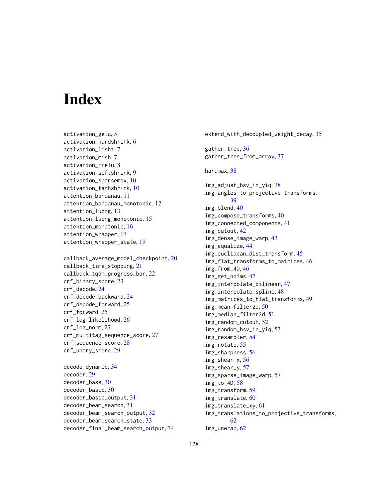# **Index**

activation\_gelu, [5](#page-4-0) activation\_hardshrink, [6](#page-5-0) activation\_lisht, [7](#page-6-0) activation\_mish, [7](#page-6-0) activation\_rrelu, [8](#page-7-0) activation\_softshrink, [9](#page-8-0) activation\_sparsemax, [10](#page-9-0) activation\_tanhshrink, [10](#page-9-0) attention\_bahdanau, [11](#page-10-0) attention\_bahdanau\_monotonic, [12](#page-11-0) attention\_luong, [13](#page-12-0) attention\_luong\_monotonic, [15](#page-14-0) attention\_monotonic, [16](#page-15-0) attention\_wrapper, [17](#page-16-0) attention\_wrapper\_state, [19](#page-18-0)

callback\_average\_model\_checkpoint, [20](#page-19-0) callback\_time\_stopping, [21](#page-20-0) callback\_tqdm\_progress\_bar, [22](#page-21-0) crf\_binary\_score, [23](#page-22-0) crf\_decode, [24](#page-23-0) crf\_decode\_backward, [24](#page-23-0) crf\_decode\_forward, [25](#page-24-0) crf\_forward, [25](#page-24-0) crf\_log\_likelihood, [26](#page-25-0) crf\_log\_norm, [27](#page-26-0) crf\_multitag\_sequence\_score, [27](#page-26-0) crf\_sequence\_score, [28](#page-27-0) crf\_unary\_score, [29](#page-28-0)

decode\_dynamic, [34](#page-33-0) decoder, [29](#page-28-0) decoder\_base, [30](#page-29-0) decoder\_basic, [30](#page-29-0) decoder\_basic\_output, [31](#page-30-0) decoder\_beam\_search, [31](#page-30-0) decoder\_beam\_search\_output, [32](#page-31-0) decoder\_beam\_search\_state, [33](#page-32-0) decoder\_final\_beam\_search\_output, [34](#page-33-0) extend\_with\_decoupled\_weight\_decay, [35](#page-34-0) gather\_tree, [36](#page-35-0) gather\_tree\_from\_array, [37](#page-36-0) hardmax, [38](#page-37-0) img\_adjust\_hsv\_in\_yiq, [38](#page-37-0) img\_angles\_to\_projective\_transforms, [39](#page-38-0) img\_blend, [40](#page-39-0) img\_compose\_transforms, [40](#page-39-0) img\_connected\_components, [41](#page-40-0) img\_cutout, [42](#page-41-0) img\_dense\_image\_warp, [43](#page-42-0) img\_equalize, [44](#page-43-0) img\_euclidean\_dist\_transform, [45](#page-44-0) img\_flat\_transforms\_to\_matrices, [46](#page-45-0) img\_from\_4D, [46](#page-45-0) img\_get\_ndims, [47](#page-46-0) img\_interpolate\_bilinear, [47](#page-46-0) img\_interpolate\_spline, [48](#page-47-0) img\_matrices\_to\_flat\_transforms, [49](#page-48-0) img\_mean\_filter2d, [50](#page-49-0) img\_median\_filter2d, [51](#page-50-0) img\_random\_cutout, [52](#page-51-0) img\_random\_hsv\_in\_yiq, [53](#page-52-0) img\_resampler, [54](#page-53-0) img\_rotate, [55](#page-54-0) img\_sharpness, [56](#page-55-0) img\_shear\_x, [56](#page-55-0) img\_shear\_y, [57](#page-56-0) img\_sparse\_image\_warp, [57](#page-56-0) img\_to\_4D, [58](#page-57-0) img\_transform, [59](#page-58-0) img\_translate, [60](#page-59-0) img\_translate\_xy, [61](#page-60-0) img\_translations\_to\_projective\_transforms, [62](#page-61-0) img\_unwrap, [62](#page-61-0)